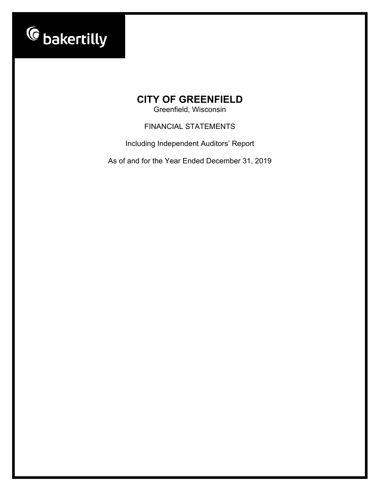

Greenfield, Wisconsin

# FINANCIAL STATEMENTS

Including Independent Auditors' Report

As of and for the Year Ended December 31, 2019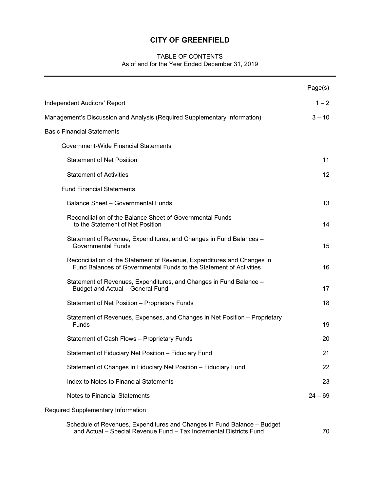### TABLE OF CONTENTS As of and for the Year Ended December 31, 2019

|                                                                                                                                               | Page(s)           |
|-----------------------------------------------------------------------------------------------------------------------------------------------|-------------------|
| Independent Auditors' Report                                                                                                                  | $1 - 2$           |
| Management's Discussion and Analysis (Required Supplementary Information)                                                                     | $3 - 10$          |
| <b>Basic Financial Statements</b>                                                                                                             |                   |
| Government-Wide Financial Statements                                                                                                          |                   |
| <b>Statement of Net Position</b>                                                                                                              | 11                |
| <b>Statement of Activities</b>                                                                                                                | $12 \overline{ }$ |
| <b>Fund Financial Statements</b>                                                                                                              |                   |
| <b>Balance Sheet - Governmental Funds</b>                                                                                                     | 13                |
| Reconciliation of the Balance Sheet of Governmental Funds<br>to the Statement of Net Position                                                 | 14                |
| Statement of Revenue, Expenditures, and Changes in Fund Balances -<br><b>Governmental Funds</b>                                               | 15                |
| Reconciliation of the Statement of Revenue, Expenditures and Changes in<br>Fund Balances of Governmental Funds to the Statement of Activities | 16                |
| Statement of Revenues, Expenditures, and Changes in Fund Balance -<br><b>Budget and Actual - General Fund</b>                                 | 17                |
| Statement of Net Position - Proprietary Funds                                                                                                 | 18                |
| Statement of Revenues, Expenses, and Changes in Net Position - Proprietary<br>Funds                                                           | 19                |
| Statement of Cash Flows - Proprietary Funds                                                                                                   | 20                |
| Statement of Fiduciary Net Position - Fiduciary Fund                                                                                          | 21                |
| Statement of Changes in Fiduciary Net Position - Fiduciary Fund                                                                               | 22                |
| Index to Notes to Financial Statements                                                                                                        | 23                |
| <b>Notes to Financial Statements</b>                                                                                                          | $24 - 69$         |
| Required Supplementary Information                                                                                                            |                   |
| Schedule of Revenues, Expenditures and Changes in Fund Balance - Budget<br>and Actual - Special Revenue Fund - Tax Incremental Districts Fund | 70                |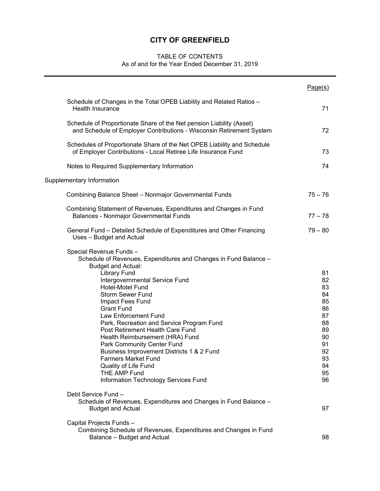### TABLE OF CONTENTS As of and for the Year Ended December 31, 2019

|                                                                                                                                                                                                                                                                                                                                                                                                                                                                                                                                                                                                                      | Page(s)                                                                                      |
|----------------------------------------------------------------------------------------------------------------------------------------------------------------------------------------------------------------------------------------------------------------------------------------------------------------------------------------------------------------------------------------------------------------------------------------------------------------------------------------------------------------------------------------------------------------------------------------------------------------------|----------------------------------------------------------------------------------------------|
| Schedule of Changes in the Total OPEB Liability and Related Ratios -<br>Health Insurance                                                                                                                                                                                                                                                                                                                                                                                                                                                                                                                             | 71                                                                                           |
| Schedule of Proportionate Share of the Net pension Liability (Asset)<br>and Schedule of Employer Contributions - Wisconsin Retirement System                                                                                                                                                                                                                                                                                                                                                                                                                                                                         | 72                                                                                           |
| Schedules of Proportionate Share of the Net OPEB Liability and Schedule<br>of Employer Contributions - Local Retiree Life Insurance Fund                                                                                                                                                                                                                                                                                                                                                                                                                                                                             | 73                                                                                           |
| Notes to Required Supplementary Information                                                                                                                                                                                                                                                                                                                                                                                                                                                                                                                                                                          | 74                                                                                           |
| Supplementary Information                                                                                                                                                                                                                                                                                                                                                                                                                                                                                                                                                                                            |                                                                                              |
| Combining Balance Sheet - Nonmajor Governmental Funds                                                                                                                                                                                                                                                                                                                                                                                                                                                                                                                                                                | $75 - 76$                                                                                    |
| Combining Statement of Revenues, Expenditures and Changes in Fund<br><b>Balances - Nonmajor Governmental Funds</b>                                                                                                                                                                                                                                                                                                                                                                                                                                                                                                   | $77 - 78$                                                                                    |
| General Fund - Detailed Schedule of Expenditures and Other Financing<br>Uses - Budget and Actual                                                                                                                                                                                                                                                                                                                                                                                                                                                                                                                     | $79 - 80$                                                                                    |
| Special Revenue Funds-<br>Schedule of Revenues, Expenditures and Changes in Fund Balance -<br><b>Budget and Actual:</b><br><b>Library Fund</b><br>Intergovernmental Service Fund<br><b>Hotel-Motel Fund</b><br><b>Storm Sewer Fund</b><br>Impact Fees Fund<br><b>Grant Fund</b><br>Law Enforcement Fund<br>Park, Recreation and Service Program Fund<br>Post Retirement Health Care Fund<br>Health Reimbursement (HRA) Fund<br>Park Community Center Fund<br>Business Improvement Districts 1 & 2 Fund<br>Farmers Market Fund<br>Quality of Life Fund<br><b>THE AMP Fund</b><br>Information Technology Services Fund | 81<br>82<br>83<br>84<br>85<br>86<br>87<br>88<br>89<br>90<br>91<br>92<br>93<br>94<br>95<br>96 |
| Debt Service Fund -<br>Schedule of Revenues, Expenditures and Changes in Fund Balance -<br><b>Budget and Actual</b>                                                                                                                                                                                                                                                                                                                                                                                                                                                                                                  | 97                                                                                           |
| Capital Projects Funds -<br>Combining Schedule of Revenues, Expenditures and Changes in Fund<br>Balance - Budget and Actual                                                                                                                                                                                                                                                                                                                                                                                                                                                                                          | 98                                                                                           |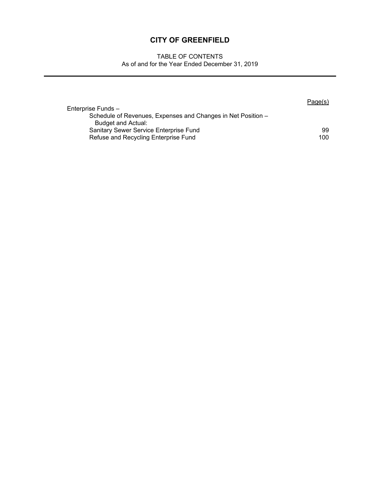### TABLE OF CONTENTS As of and for the Year Ended December 31, 2019

|                                                              | Page(s) |
|--------------------------------------------------------------|---------|
| Enterprise Funds -                                           |         |
| Schedule of Revenues, Expenses and Changes in Net Position - |         |
| Budget and Actual:                                           |         |
| Sanitary Sewer Service Enterprise Fund                       | 99      |
| Refuse and Recycling Enterprise Fund                         | 100     |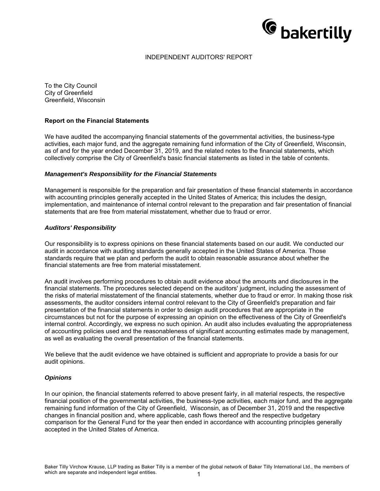

#### INDEPENDENT AUDITORS' REPORT

To the City Council City of Greenfield Greenfield, Wisconsin

#### **Report on the Financial Statements**

 We have audited the accompanying financial statements of the governmental activities, the business-type activities, each major fund, and the aggregate remaining fund information of the City of Greenfield, Wisconsin, as of and for the year ended December 31, 2019, and the related notes to the financial statements, which collectively comprise the City of Greenfield's basic financial statements as listed in the table of contents.

#### *Management's Responsibility for the Financial Statements*

Management is responsible for the preparation and fair presentation of these financial statements in accordance with accounting principles generally accepted in the United States of America; this includes the design, implementation, and maintenance of internal control relevant to the preparation and fair presentation of financial statements that are free from material misstatement, whether due to fraud or error.

#### *Auditors' Responsibility*

Our responsibility is to express opinions on these financial statements based on our audit. We conducted our audit in accordance with auditing standards generally accepted in the United States of America. Those standards require that we plan and perform the audit to obtain reasonable assurance about whether the financial statements are free from material misstatement.

An audit involves performing procedures to obtain audit evidence about the amounts and disclosures in the financial statements. The procedures selected depend on the auditors' judgment, including the assessment of the risks of material misstatement of the financial statements, whether due to fraud or error. In making those risk assessments, the auditor considers internal control relevant to the City of Greenfield's preparation and fair presentation of the financial statements in order to design audit procedures that are appropriate in the circumstances but not for the purpose of expressing an opinion on the effectiveness of the City of Greenfield's internal control. Accordingly, we express no such opinion. An audit also includes evaluating the appropriateness of accounting policies used and the reasonableness of significant accounting estimates made by management, as well as evaluating the overall presentation of the financial statements.

We believe that the audit evidence we have obtained is sufficient and appropriate to provide a basis for our audit opinions.

#### *Opinions*

In our opinion, the financial statements referred to above present fairly, in all material respects, the respective financial position of the governmental activities, the business-type activities, each major fund, and the aggregate remaining fund information of the City of Greenfield, Wisconsin, as of December 31, 2019 and the respective changes in financial position and, where applicable, cash flows thereof and the respective budgetary comparison for the General Fund for the year then ended in accordance with accounting principles generally accepted in the United States of America.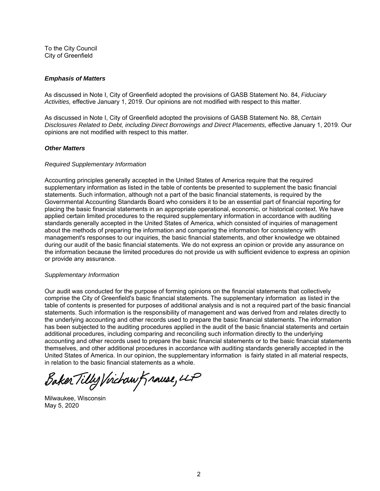To the City Council City of Greenfield

#### *Emphasis of Matters*

As discussed in Note I, City of Greenfield adopted the provisions of GASB Statement No. 84, *Fiduciary Activities,* effective January 1, 2019. Our opinions are not modified with respect to this matter.

As discussed in Note I, City of Greenfield adopted the provisions of GASB Statement No. 88, *Certain Disclosures Related to Debt, including Direct Borrowings and Direct Placements,* effective January 1, 2019. Our opinions are not modified with respect to this matter.

### *Other Matters*

#### *Required Supplementary Information*

Accounting principles generally accepted in the United States of America require that the required supplementary information as listed in the table of contents be presented to supplement the basic financial statements. Such information, although not a part of the basic financial statements, is required by the Governmental Accounting Standards Board who considers it to be an essential part of financial reporting for placing the basic financial statements in an appropriate operational, economic, or historical context. We have applied certain limited procedures to the required supplementary information in accordance with auditing standards generally accepted in the United States of America, which consisted of inquiries of management about the methods of preparing the information and comparing the information for consistency with management's responses to our inquiries, the basic financial statements, and other knowledge we obtained during our audit of the basic financial statements. We do not express an opinion or provide any assurance on the information because the limited procedures do not provide us with sufficient evidence to express an opinion or provide any assurance.

#### *Supplementary Information*

Our audit was conducted for the purpose of forming opinions on the financial statements that collectively comprise the City of Greenfield's basic financial statements. The supplementary information as listed in the table of contents is presented for purposes of additional analysis and is not a required part of the basic financial statements. Such information is the responsibility of management and was derived from and relates directly to the underlying accounting and other records used to prepare the basic financial statements. The information has been subjected to the auditing procedures applied in the audit of the basic financial statements and certain additional procedures, including comparing and reconciling such information directly to the underlying accounting and other records used to prepare the basic financial statements or to the basic financial statements themselves, and other additional procedures in accordance with auditing standards generally accepted in the United States of America. In our opinion, the supplementary information is fairly stated in all material respects, in relation to the basic financial statements as a whole.

Baker Tilly Virchaw Krause, 4P

Milwaukee, Wisconsin May 5, 2020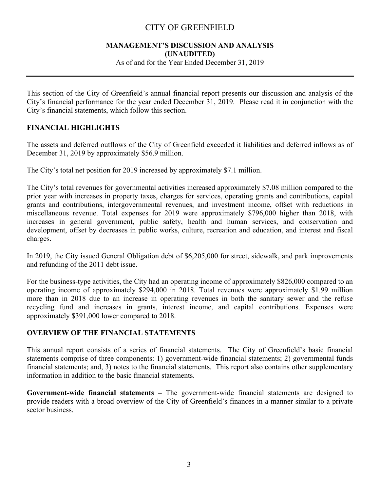# **MANAGEMENT'S DISCUSSION AND ANALYSIS (UNAUDITED)**

As of and for the Year Ended December 31, 2019

This section of the City of Greenfield's annual financial report presents our discussion and analysis of the City's financial performance for the year ended December 31, 2019. Please read it in conjunction with the City's financial statements, which follow this section.

# **FINANCIAL HIGHLIGHTS**

The assets and deferred outflows of the City of Greenfield exceeded it liabilities and deferred inflows as of December 31, 2019 by approximately \$56.9 million.

The City's total net position for 2019 increased by approximately \$7.1 million.

The City's total revenues for governmental activities increased approximately \$7.08 million compared to the prior year with increases in property taxes, charges for services, operating grants and contributions, capital grants and contributions, intergovernmental revenues, and investment income, offset with reductions in miscellaneous revenue. Total expenses for 2019 were approximately \$796,000 higher than 2018, with increases in general government, public safety, health and human services, and conservation and development, offset by decreases in public works, culture, recreation and education, and interest and fiscal charges.

In 2019, the City issued General Obligation debt of \$6,205,000 for street, sidewalk, and park improvements and refunding of the 2011 debt issue.

For the business-type activities, the City had an operating income of approximately \$826,000 compared to an operating income of approximately \$294,000 in 2018. Total revenues were approximately \$1.99 million more than in 2018 due to an increase in operating revenues in both the sanitary sewer and the refuse recycling fund and increases in grants, interest income, and capital contributions. Expenses were approximately \$391,000 lower compared to 2018.

# **OVERVIEW OF THE FINANCIAL STATEMENTS**

This annual report consists of a series of financial statements. The City of Greenfield's basic financial statements comprise of three components: 1) government-wide financial statements; 2) governmental funds financial statements; and, 3) notes to the financial statements. This report also contains other supplementary information in addition to the basic financial statements.

**Government-wide financial statements –** The government-wide financial statements are designed to provide readers with a broad overview of the City of Greenfield's finances in a manner similar to a private sector business.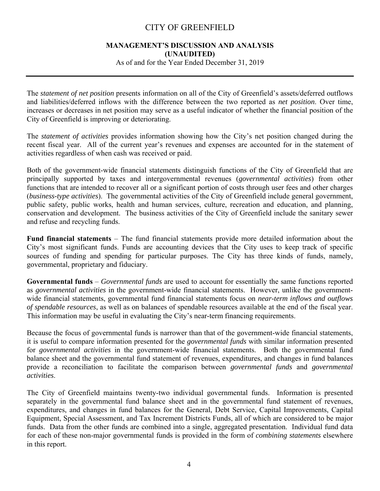## **MANAGEMENT'S DISCUSSION AND ANALYSIS (UNAUDITED)**  As of and for the Year Ended December 31, 2019

The *statement of net position* presents information on all of the City of Greenfield's assets/deferred outflows and liabilities/deferred inflows with the difference between the two reported as *net position*. Over time, increases or decreases in net position may serve as a useful indicator of whether the financial position of the City of Greenfield is improving or deteriorating.

The *statement of activities* provides information showing how the City's net position changed during the recent fiscal year. All of the current year's revenues and expenses are accounted for in the statement of activities regardless of when cash was received or paid.

Both of the government-wide financial statements distinguish functions of the City of Greenfield that are principally supported by taxes and intergovernmental revenues (*governmental activities*) from other functions that are intended to recover all or a significant portion of costs through user fees and other charges (*business-type activities*). The governmental activities of the City of Greenfield include general government, public safety, public works, health and human services, culture, recreation and education, and planning, conservation and development. The business activities of the City of Greenfield include the sanitary sewer and refuse and recycling funds.

**Fund financial statements** – The fund financial statements provide more detailed information about the City's most significant funds. Funds are accounting devices that the City uses to keep track of specific sources of funding and spending for particular purposes. The City has three kinds of funds, namely, governmental, proprietary and fiduciary.

**Governmental funds** – *Governmental funds* are used to account for essentially the same functions reported as *governmental activities* in the government-wide financial statements. However, unlike the governmentwide financial statements, governmental fund financial statements focus on *near-term inflows and outflows of spendable resources*, as well as on balances of spendable resources available at the end of the fiscal year. This information may be useful in evaluating the City's near-term financing requirements.

Because the focus of governmental funds is narrower than that of the government-wide financial statements, it is useful to compare information presented for the *governmental funds* with similar information presented for *governmental activities* in the government-wide financial statements. Both the governmental fund balance sheet and the governmental fund statement of revenues, expenditures, and changes in fund balances provide a reconciliation to facilitate the comparison between *governmental funds* and *governmental activities*.

The City of Greenfield maintains twenty-two individual governmental funds. Information is presented separately in the governmental fund balance sheet and in the governmental fund statement of revenues, expenditures, and changes in fund balances for the General, Debt Service, Capital Improvements, Capital Equipment, Special Assessment, and Tax Increment Districts Funds, all of which are considered to be major funds. Data from the other funds are combined into a single, aggregated presentation. Individual fund data for each of these non-major governmental funds is provided in the form of *combining statements* elsewhere in this report.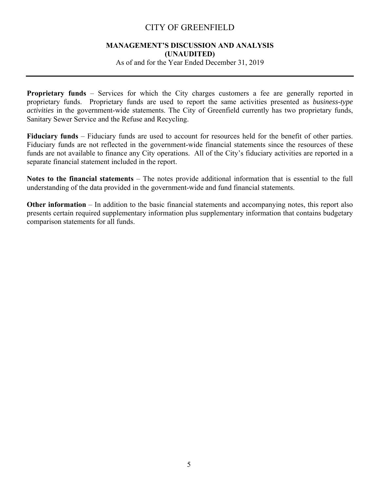# **MANAGEMENT'S DISCUSSION AND ANALYSIS (UNAUDITED)**

As of and for the Year Ended December 31, 2019

**Proprietary funds** – Services for which the City charges customers a fee are generally reported in proprietary funds. Proprietary funds are used to report the same activities presented as *business-type activities* in the government-wide statements. The City of Greenfield currently has two proprietary funds, Sanitary Sewer Service and the Refuse and Recycling.

**Fiduciary funds** – Fiduciary funds are used to account for resources held for the benefit of other parties. Fiduciary funds are not reflected in the government-wide financial statements since the resources of these funds are not available to finance any City operations. All of the City's fiduciary activities are reported in a separate financial statement included in the report.

**Notes to the financial statements** – The notes provide additional information that is essential to the full understanding of the data provided in the government-wide and fund financial statements.

**Other information** – In addition to the basic financial statements and accompanying notes, this report also presents certain required supplementary information plus supplementary information that contains budgetary comparison statements for all funds.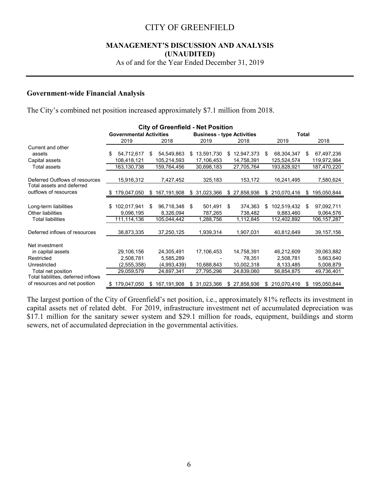# **MANAGEMENT'S DISCUSSION AND ANALYSIS (UNAUDITED)**

As of and for the Year Ended December 31, 2019

## **Government-wide Financial Analysis**

The City's combined net position increased approximately \$7.1 million from 2018.

|                                                                      | <b>City of Greenfield - Net Position</b> |                                |     |                         |     |                                   |    |                    |     |                          |              |                         |  |
|----------------------------------------------------------------------|------------------------------------------|--------------------------------|-----|-------------------------|-----|-----------------------------------|----|--------------------|-----|--------------------------|--------------|-------------------------|--|
|                                                                      |                                          | <b>Governmental Activities</b> |     |                         |     | <b>Business - type Activities</b> |    |                    |     |                          | <b>Total</b> |                         |  |
|                                                                      |                                          | 2019                           |     | 2018                    |     | 2019                              |    | 2018               |     | 2019                     |              | 2018                    |  |
| Current and other<br>assets                                          | \$                                       | 54,712,617                     | \$  | 54,549,863              |     | \$13,591,730                      | S. | 12,947,373         | \$  | 68,304,347               | \$           | 67,497,236              |  |
| Capital assets                                                       |                                          | 108,418,121                    |     | 105,214,593             |     | 17,106,453                        |    | 14,758,391         |     | 125,524,574              |              | 119,972,984             |  |
| <b>Total assets</b>                                                  |                                          | 163,130,738                    |     | 159,764,456             |     | 30,698,183                        |    | 27,705,764         |     | 193,828,921              |              | 187,470,220             |  |
| Deferred Outflows of resources<br>Total assets and deferred          |                                          | 15,916,312                     |     | 7,427,452               |     | 325,183                           |    | 153,172            |     | 16,241,495               |              | 7,580,624               |  |
| outflows of resources                                                | æ.                                       | 179,047,050                    | S.  | 167,191,908             | \$  | 31,023,366                        | \$ | 27,858,936         | \$  | 210,070,416              | \$.          | 195,050,844             |  |
| Long-term liabilities<br>Other liabilities                           | \$                                       | 102,017,941<br>9,096,195       | \$  | 96,718,348<br>8,326,094 | -\$ | 501,491<br>787,265                | \$ | 374,363<br>738,482 | \$. | 102,519,432<br>9,883,460 | \$           | 97,092,711<br>9,064,576 |  |
| Total liabilities                                                    |                                          | 111,114,136                    |     | 105,044,442             |     | 1,288,756                         |    | 1,112,845          |     | 112,402,892              |              | 106, 157, 287           |  |
| Deferred inflows of resources                                        |                                          | 38,873,335                     |     | 37,250,125              |     | 1,939,314                         |    | 1,907,031          |     | 40,812,649               |              | 39, 157, 156            |  |
| Net investment                                                       |                                          |                                |     |                         |     |                                   |    |                    |     |                          |              |                         |  |
| in capital assets                                                    |                                          | 29,106,156                     |     | 24,305,491              |     | 17,106,453                        |    | 14,758,391         |     | 46,212,609               |              | 39,063,882              |  |
| Restricted                                                           |                                          | 2,508,781                      |     | 5,585,289               |     |                                   |    | 78,351             |     | 2,508,781                |              | 5,663,640               |  |
| Unrestricted                                                         |                                          | (2, 555, 358)                  |     | (4,993,439)             |     | 10,688,843                        |    | 10,002,318         |     | 8,133,485                |              | 5,008,879               |  |
| Total net position                                                   |                                          | 29,059,579                     |     | 24,897,341              |     | 27,795,296                        |    | 24,839,060         |     | 56,854,875               |              | 49,736,401              |  |
| Total liabilities, deferred inflows<br>of resources and net position | \$                                       | 179,047,050                    | \$. | 167,191,908             | \$. | 31,023,366                        | \$ | 27,858,936         | \$  | 210,070,416              | \$           | 195,050,844             |  |

The largest portion of the City of Greenfield's net position, i.e., approximately 81% reflects its investment in capital assets net of related debt. For 2019, infrastructure investment net of accumulated depreciation was \$17.1 million for the sanitary sewer system and \$29.1 million for roads, equipment, buildings and storm sewers, net of accumulated depreciation in the governmental activities.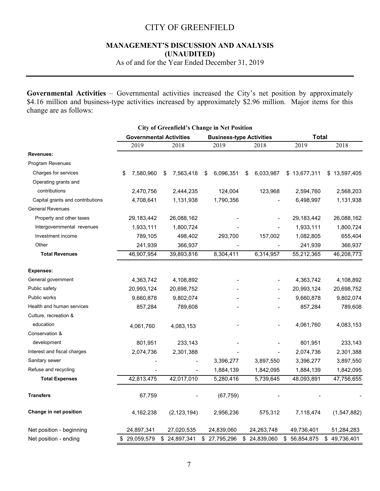# **MANAGEMENT'S DISCUSSION AND ANALYSIS (UNAUDITED)**

As of and for the Year Ended December 31, 2019

**Governmental Activities** – Governmental activities increased the City's net position by approximately \$4.16 million and business-type activities increased by approximately \$2.96 million. Major items for this change are as follows:

|                                  |                                | <b>City of Greenfield's Change in Net Position</b> |                                 |                  |                  |                  |  |  |  |
|----------------------------------|--------------------------------|----------------------------------------------------|---------------------------------|------------------|------------------|------------------|--|--|--|
|                                  | <b>Governmental Activities</b> |                                                    | <b>Business-type Activities</b> |                  | <b>Total</b>     |                  |  |  |  |
|                                  | 2019                           | 2018                                               | 2019                            | 2018             | 2019             | 2018             |  |  |  |
| <b>Revenues:</b>                 |                                |                                                    |                                 |                  |                  |                  |  |  |  |
| Program Revenues                 |                                |                                                    |                                 |                  |                  |                  |  |  |  |
| Charges for services             | \$<br>7,580,960                | 7,563,418<br>\$                                    | 6,096,351<br>\$                 | 6,033,987<br>\$  | \$13,677,311     | \$13,597,405     |  |  |  |
| Operating grants and             |                                |                                                    |                                 |                  |                  |                  |  |  |  |
| contributions                    | 2,470,756                      | 2,444,235                                          | 124,004                         | 123,968          | 2,594,760        | 2,568,203        |  |  |  |
| Capital grants and contributions | 4,708,641                      | 1,131,938                                          | 1,790,356                       |                  | 6,498,997        | 1,131,938        |  |  |  |
| <b>General Revenues</b>          |                                |                                                    |                                 |                  |                  |                  |  |  |  |
| Property and other taxes         | 29,183,442                     | 26,088,162                                         |                                 |                  | 29,183,442       | 26,088,162       |  |  |  |
| Intergovernmental revenues       | 1,933,111                      | 1,800,724                                          |                                 |                  | 1,933,111        | 1,800,724        |  |  |  |
| Investment income                | 789,105                        | 498,402                                            | 293,700                         | 157,002          | 1,082,805        | 655,404          |  |  |  |
| Other                            | 241,939                        | 366,937                                            |                                 |                  | 241,939          | 366,937          |  |  |  |
| <b>Total Revenues</b>            | 46,907,954                     | 39,893,816                                         | 8,304,411                       | 6,314,957        | 55,212,365       | 46,208,773       |  |  |  |
| <b>Expenses:</b>                 |                                |                                                    |                                 |                  |                  |                  |  |  |  |
| General government               | 4,363,742                      | 4,108,892                                          |                                 |                  | 4,363,742        | 4,108,892        |  |  |  |
| Public safety                    | 20,993,124                     | 20,698,752                                         |                                 |                  | 20,993,124       | 20,698,752       |  |  |  |
| Public works                     | 9,660,878                      | 9,802,074                                          |                                 |                  | 9,660,878        | 9,802,074        |  |  |  |
| Health and human services        | 857,284                        | 789,608                                            |                                 |                  | 857,284          | 789,608          |  |  |  |
| Culture, recreation &            |                                |                                                    |                                 |                  |                  |                  |  |  |  |
| education                        | 4,061,760                      | 4,083,153                                          |                                 |                  | 4,061,760        | 4,083,153        |  |  |  |
| Conservation &                   |                                |                                                    |                                 |                  |                  |                  |  |  |  |
| development                      | 801,951                        | 233,143                                            |                                 |                  | 801,951          | 233,143          |  |  |  |
| Interest and fiscal charges      | 2,074,736                      | 2,301,388                                          |                                 |                  | 2,074,736        | 2,301,388        |  |  |  |
| Sanitary sewer                   |                                |                                                    | 3,396,277                       | 3,897,550        | 3,396,277        | 3,897,550        |  |  |  |
| Refuse and recycling             |                                |                                                    | 1,884,139                       | 1,842,095        | 1,884,139        | 1,842,095        |  |  |  |
| <b>Total Expenses</b>            | 42,813,475                     | 42,017,010                                         | 5,280,416                       | 5,739,645        | 48,093,891       | 47,756,655       |  |  |  |
| <b>Transfers</b>                 | 67,759                         |                                                    | (67, 759)                       |                  |                  |                  |  |  |  |
| Change in net position           | 4,162,238                      | (2, 123, 194)                                      | 2,956,236                       | 575,312          | 7,118,474        | (1, 547, 882)    |  |  |  |
| Net position - beginning         | 24,897,341                     | 27,020,535                                         | 24,839,060                      | 24,263,748       | 49,736,401       | 51,284,283       |  |  |  |
| Net position - ending            | \$29,059,579                   | \$<br>24,897,341                                   | \$27,795,296                    | 24,839,060<br>\$ | \$<br>56,854,875 | \$<br>49,736,401 |  |  |  |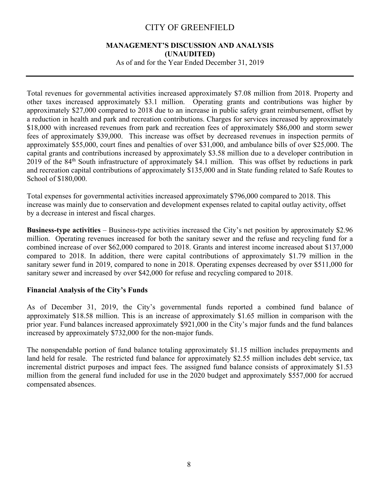## **MANAGEMENT'S DISCUSSION AND ANALYSIS (UNAUDITED)**

As of and for the Year Ended December 31, 2019

Total revenues for governmental activities increased approximately \$7.08 million from 2018. Property and other taxes increased approximately \$3.1 million. Operating grants and contributions was higher by approximately \$27,000 compared to 2018 due to an increase in public safety grant reimbursement, offset by a reduction in health and park and recreation contributions. Charges for services increased by approximately \$18,000 with increased revenues from park and recreation fees of approximately \$86,000 and storm sewer fees of approximately \$39,000. This increase was offset by decreased revenues in inspection permits of approximately \$55,000, court fines and penalties of over \$31,000, and ambulance bills of over \$25,000. The capital grants and contributions increased by approximately \$3.58 million due to a developer contribution in 2019 of the 84th South infrastructure of approximately \$4.1 million. This was offset by reductions in park and recreation capital contributions of approximately \$135,000 and in State funding related to Safe Routes to School of \$180,000.

Total expenses for governmental activities increased approximately \$796,000 compared to 2018. This increase was mainly due to conservation and development expenses related to capital outlay activity, offset by a decrease in interest and fiscal charges.

**Business-type activities** – Business-type activities increased the City's net position by approximately \$2.96 million. Operating revenues increased for both the sanitary sewer and the refuse and recycling fund for a combined increase of over \$62,000 compared to 2018. Grants and interest income increased about \$137,000 compared to 2018. In addition, there were capital contributions of approximately \$1.79 million in the sanitary sewer fund in 2019, compared to none in 2018. Operating expenses decreased by over \$511,000 for sanitary sewer and increased by over \$42,000 for refuse and recycling compared to 2018.

# **Financial Analysis of the City's Funds**

As of December 31, 2019, the City's governmental funds reported a combined fund balance of approximately \$18.58 million. This is an increase of approximately \$1.65 million in comparison with the prior year. Fund balances increased approximately \$921,000 in the City's major funds and the fund balances increased by approximately \$732,000 for the non-major funds.

The nonspendable portion of fund balance totaling approximately \$1.15 million includes prepayments and land held for resale. The restricted fund balance for approximately \$2.55 million includes debt service, tax incremental district purposes and impact fees. The assigned fund balance consists of approximately \$1.53 million from the general fund included for use in the 2020 budget and approximately \$557,000 for accrued compensated absences.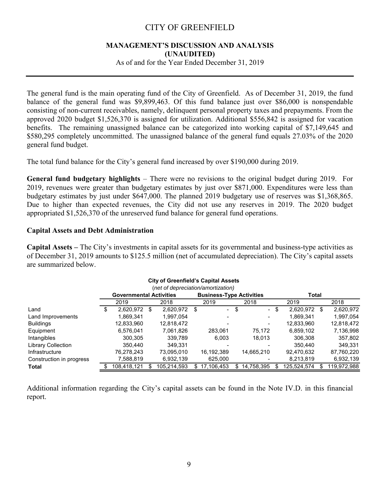### **MANAGEMENT'S DISCUSSION AND ANALYSIS (UNAUDITED)**

As of and for the Year Ended December 31, 2019

The general fund is the main operating fund of the City of Greenfield. As of December 31, 2019, the fund balance of the general fund was \$9,899,463. Of this fund balance just over \$86,000 is nonspendable consisting of non-current receivables, namely, delinquent personal property taxes and prepayments. From the approved 2020 budget \$1,526,370 is assigned for utilization. Additional \$556,842 is assigned for vacation benefits. The remaining unassigned balance can be categorized into working capital of \$7,149,645 and \$580,295 completely uncommitted. The unassigned balance of the general fund equals 27.03% of the 2020 general fund budget.

The total fund balance for the City's general fund increased by over \$190,000 during 2019.

**General fund budgetary highlights** – There were no revisions to the original budget during 2019. For 2019, revenues were greater than budgetary estimates by just over \$871,000. Expenditures were less than budgetary estimates by just under \$647,000. The planned 2019 budgetary use of reserves was \$1,368,865. Due to higher than expected revenues, the City did not use any reserves in 2019. The 2020 budget appropriated \$1,526,370 of the unreserved fund balance for general fund operations.

# **Capital Assets and Debt Administration**

**Capital Assets –** The City's investments in capital assets for its governmental and business-type activities as of December 31, 2019 amounts to \$125.5 million (net of accumulated depreciation). The City's capital assets are summarized below.

| <b>City of Greenfield's Capital Assets</b><br>(net of depreciation/amortization) |   |                                |    |             |      |                                 |     |                |    |             |   |             |  |
|----------------------------------------------------------------------------------|---|--------------------------------|----|-------------|------|---------------------------------|-----|----------------|----|-------------|---|-------------|--|
|                                                                                  |   | <b>Governmental Activities</b> |    |             |      | <b>Business-Type Activities</b> |     |                |    | Total       |   |             |  |
|                                                                                  |   | 2019                           |    | 2018        |      | 2019                            |     | 2018           |    | 2019        |   | 2018        |  |
| Land                                                                             | S | 2,620,972                      | \$ | 2,620,972   | - \$ | $\blacksquare$                  | \$  | $\blacksquare$ | \$ | 2,620,972   | S | 2,620,972   |  |
| Land Improvements                                                                |   | 1.869.341                      |    | 1.997.054   |      |                                 |     | $\blacksquare$ |    | 1,869,341   |   | 1,997,054   |  |
| <b>Buildings</b>                                                                 |   | 12,833,960                     |    | 12,818,472  |      |                                 |     | -              |    | 12.833.960  |   | 12,818,472  |  |
| Equipment                                                                        |   | 6.576.041                      |    | 7.061.826   |      | 283.061                         |     | 75.172         |    | 6,859,102   |   | 7,136,998   |  |
| Intangibles                                                                      |   | 300.305                        |    | 339.789     |      | 6.003                           |     | 18.013         |    | 306.308     |   | 357,802     |  |
| <b>Library Collection</b>                                                        |   | 350.440                        |    | 349.331     |      |                                 |     |                |    | 350.440     |   | 349,331     |  |
| Infrastructure                                                                   |   | 76.278.243                     |    | 73.095.010  |      | 16.192.389                      |     | 14.665.210     |    | 92.470.632  |   | 87,760,220  |  |
| Construction in progress                                                         |   | 7,588,819                      |    | 6,932,139   |      | 625,000                         |     |                |    | 8,213,819   |   | 6,932,139   |  |
| <b>Total</b>                                                                     |   | 108,418,121                    |    | 105.214.593 | \$.  | 17.106.453                      | \$. | 14.758.395     |    | 125,524,574 |   | 119,972,988 |  |

Additional information regarding the City's capital assets can be found in the Note IV.D. in this financial report.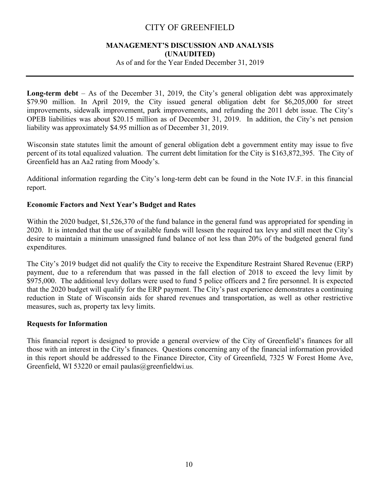# **MANAGEMENT'S DISCUSSION AND ANALYSIS (UNAUDITED)**

As of and for the Year Ended December 31, 2019

**Long-term debt** – As of the December 31, 2019, the City's general obligation debt was approximately \$79.90 million. In April 2019, the City issued general obligation debt for \$6,205,000 for street improvements, sidewalk improvement, park improvements, and refunding the 2011 debt issue. The City's OPEB liabilities was about \$20.15 million as of December 31, 2019. In addition, the City's net pension liability was approximately \$4.95 million as of December 31, 2019.

Wisconsin state statutes limit the amount of general obligation debt a government entity may issue to five percent of its total equalized valuation. The current debt limitation for the City is \$163,872,395. The City of Greenfield has an Aa2 rating from Moody's.

Additional information regarding the City's long-term debt can be found in the Note IV.F. in this financial report.

# **Economic Factors and Next Year's Budget and Rates**

Within the 2020 budget, \$1,526,370 of the fund balance in the general fund was appropriated for spending in 2020. It is intended that the use of available funds will lessen the required tax levy and still meet the City's desire to maintain a minimum unassigned fund balance of not less than 20% of the budgeted general fund expenditures.

The City's 2019 budget did not qualify the City to receive the Expenditure Restraint Shared Revenue (ERP) payment, due to a referendum that was passed in the fall election of 2018 to exceed the levy limit by \$975,000. The additional levy dollars were used to fund 5 police officers and 2 fire personnel. It is expected that the 2020 budget will qualify for the ERP payment. The City's past experience demonstrates a continuing reduction in State of Wisconsin aids for shared revenues and transportation, as well as other restrictive measures, such as, property tax levy limits.

# **Requests for Information**

This financial report is designed to provide a general overview of the City of Greenfield's finances for all those with an interest in the City's finances. Questions concerning any of the financial information provided in this report should be addressed to the Finance Director, City of Greenfield, 7325 W Forest Home Ave, Greenfield, WI 53220 or email paulas@greenfieldwi.us.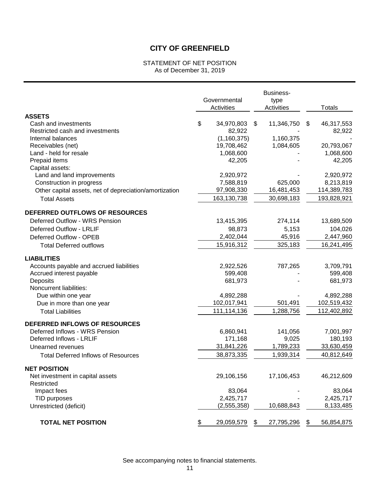### STATEMENT OF NET POSITION As of December 31, 2019

|                                                        | Governmental<br>Activities | Business-<br>type<br>Activities | <b>Totals</b>       |
|--------------------------------------------------------|----------------------------|---------------------------------|---------------------|
| <b>ASSETS</b>                                          |                            |                                 |                     |
| Cash and investments                                   | \$<br>34,970,803           | \$<br>11,346,750                | \$<br>46,317,553    |
| Restricted cash and investments                        | 82,922                     |                                 | 82,922              |
| Internal balances                                      | (1, 160, 375)              | 1,160,375                       |                     |
| Receivables (net)<br>Land - held for resale            | 19,708,462<br>1,068,600    | 1,084,605                       | 20,793,067          |
| Prepaid items                                          | 42,205                     |                                 | 1,068,600<br>42,205 |
| Capital assets:                                        |                            |                                 |                     |
| Land and land improvements                             | 2,920,972                  |                                 | 2,920,972           |
| Construction in progress                               | 7,588,819                  | 625,000                         | 8,213,819           |
| Other capital assets, net of depreciation/amortization | 97,908,330                 | 16,481,453                      | 114,389,783         |
| <b>Total Assets</b>                                    | 163,130,738                | 30,698,183                      | 193,828,921         |
| DEFERRED OUTFLOWS OF RESOURCES                         |                            |                                 |                     |
| Deferred Outflow - WRS Pension                         | 13,415,395                 | 274,114                         | 13,689,509          |
| Deferred Outflow - LRLIF                               | 98,873                     | 5,153                           | 104,026             |
| Deferred Outflow - OPEB                                | 2,402,044                  | 45,916                          | 2,447,960           |
| <b>Total Deferred outflows</b>                         | 15,916,312                 | 325,183                         | 16,241,495          |
| <b>LIABILITIES</b>                                     |                            |                                 |                     |
| Accounts payable and accrued liabilities               | 2,922,526                  | 787,265                         | 3,709,791           |
| Accrued interest payable                               | 599,408                    |                                 | 599,408             |
| Deposits                                               | 681,973                    |                                 | 681,973             |
| Noncurrent liabilities:                                |                            |                                 |                     |
| Due within one year                                    | 4,892,288                  |                                 | 4,892,288           |
| Due in more than one year                              | 102,017,941                | 501,491                         | 102,519,432         |
| <b>Total Liabilities</b>                               | 111,114,136                | 1,288,756                       | 112,402,892         |
| DEFERRED INFLOWS OF RESOURCES                          |                            |                                 |                     |
| Deferred Inflows - WRS Pension                         | 6,860,941                  | 141,056                         | 7,001,997           |
| Deferred Inflows - LRLIF                               | 171,168                    | 9,025                           | 180,193             |
| Unearned revenues                                      | 31,841,226                 | 1,789,233                       | 33,630,459          |
| <b>Total Deferred Inflows of Resources</b>             | 38,873,335                 | 1,939,314                       | 40,812,649          |
| <b>NET POSITION</b>                                    |                            |                                 |                     |
| Net investment in capital assets                       | 29,106,156                 | 17,106,453                      | 46,212,609          |
| Restricted                                             |                            |                                 |                     |
| Impact fees                                            | 83,064                     |                                 | 83,064              |
| TID purposes                                           | 2,425,717                  |                                 | 2,425,717           |
| Unrestricted (deficit)                                 | (2,555,358)                | 10,688,843                      | 8,133,485           |
| <b>TOTAL NET POSITION</b>                              | \$<br>29,059,579           | \$<br>27,795,296                | \$<br>56,854,875    |

See accompanying notes to financial statements.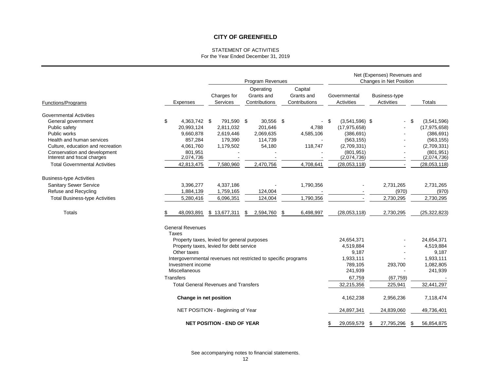### STATEMENT OF ACTIVITIES For the Year Ended December 31, 2019

|                                                             |                                                                |                                             | Program Revenues                         |                                        | Changes in Net Position    | Net (Expenses) Revenues and |                           |  |  |  |
|-------------------------------------------------------------|----------------------------------------------------------------|---------------------------------------------|------------------------------------------|----------------------------------------|----------------------------|-----------------------------|---------------------------|--|--|--|
| <b>Functions/Programs</b>                                   | Expenses                                                       | Charges for<br>Services                     | Operating<br>Grants and<br>Contributions | Capital<br>Grants and<br>Contributions | Governmental<br>Activities | Business-type<br>Activities | Totals                    |  |  |  |
| <b>Governmental Activities</b>                              |                                                                |                                             |                                          |                                        |                            |                             |                           |  |  |  |
| General government                                          | \$<br>4,363,742 \$                                             | 791,590 \$                                  | 30,556 \$                                |                                        | $(3,541,596)$ \$<br>SS.    |                             | (3,541,596)<br>\$         |  |  |  |
| Public safety                                               | 20,993,124                                                     | 2,811,032                                   | 201,646                                  | 4,788                                  | (17, 975, 658)             |                             | (17, 975, 658)            |  |  |  |
| Public works                                                | 9,660,878                                                      | 2,619,446                                   | 2,069,635                                | 4,585,106                              | (386, 691)                 |                             | (386, 691)                |  |  |  |
| Health and human services                                   | 857,284                                                        | 179,390                                     | 114,739                                  |                                        | (563, 155)                 |                             | (563, 155)                |  |  |  |
| Culture, education and recreation                           | 4,061,760                                                      | 1,179,502                                   | 54,180                                   | 118,747                                | (2,709,331)                |                             | (2,709,331)               |  |  |  |
| Conservation and development<br>Interest and fiscal charges | 801,951<br>2,074,736                                           |                                             |                                          |                                        | (801, 951)<br>(2,074,736)  |                             | (801, 951)<br>(2,074,736) |  |  |  |
| <b>Total Governmental Activities</b>                        | 42,813,475                                                     | 7,580,960                                   | 2,470,756                                | 4,708,641                              | (28,053,118)               | $\overline{\phantom{a}}$    | (28,053,118)              |  |  |  |
|                                                             |                                                                |                                             |                                          |                                        |                            |                             |                           |  |  |  |
| <b>Business-type Activities</b>                             |                                                                |                                             |                                          |                                        |                            |                             |                           |  |  |  |
| <b>Sanitary Sewer Service</b>                               | 3,396,277                                                      | 4,337,186                                   |                                          | 1,790,356                              |                            | 2,731,265                   | 2,731,265                 |  |  |  |
| Refuse and Recycling                                        | 1,884,139                                                      | 1,759,165                                   | 124,004                                  |                                        |                            | (970)                       | (970)                     |  |  |  |
| <b>Total Business-type Activities</b>                       | 5,280,416                                                      | 6,096,351                                   | 124,004                                  | 1,790,356                              |                            | 2,730,295                   | 2,730,295                 |  |  |  |
| <b>Totals</b>                                               | 48,093,891                                                     | \$13,677,311                                | 2,594,760<br>S.                          | 6,498,997<br>\$                        | (28,053,118)               | 2,730,295                   | (25, 322, 823)            |  |  |  |
|                                                             | <b>General Revenues</b>                                        |                                             |                                          |                                        |                            |                             |                           |  |  |  |
|                                                             | Taxes                                                          |                                             |                                          |                                        |                            |                             |                           |  |  |  |
|                                                             |                                                                | Property taxes, levied for general purposes |                                          |                                        | 24,654,371                 |                             | 24,654,371                |  |  |  |
|                                                             |                                                                | Property taxes, levied for debt service     |                                          |                                        | 4,519,884                  |                             | 4,519,884                 |  |  |  |
|                                                             | Other taxes                                                    |                                             |                                          |                                        | 9,187                      |                             | 9,187                     |  |  |  |
|                                                             | Intergovernmental revenues not restricted to specific programs |                                             |                                          |                                        | 1,933,111                  |                             | 1,933,111                 |  |  |  |
|                                                             | Investment income                                              |                                             |                                          |                                        | 789,105                    | 293,700                     | 1,082,805                 |  |  |  |
|                                                             | Miscellaneous                                                  |                                             |                                          |                                        | 241,939                    |                             | 241,939                   |  |  |  |
|                                                             | <b>Transfers</b>                                               |                                             |                                          |                                        | 67,759                     | (67, 759)                   |                           |  |  |  |
|                                                             |                                                                | <b>Total General Revenues and Transfers</b> |                                          |                                        | 32,215,356                 | 225,941                     | 32,441,297                |  |  |  |
|                                                             | Change in net position                                         |                                             | 4,162,238                                | 2,956,236                              | 7,118,474                  |                             |                           |  |  |  |
|                                                             |                                                                | NET POSITION - Beginning of Year            |                                          | 24,897,341                             | 24,839,060                 | 49,736,401                  |                           |  |  |  |
|                                                             |                                                                | <b>NET POSITION - END OF YEAR</b>           |                                          | 29,059,579                             | 27,795,296<br>\$           | 56,854,875<br>\$            |                           |  |  |  |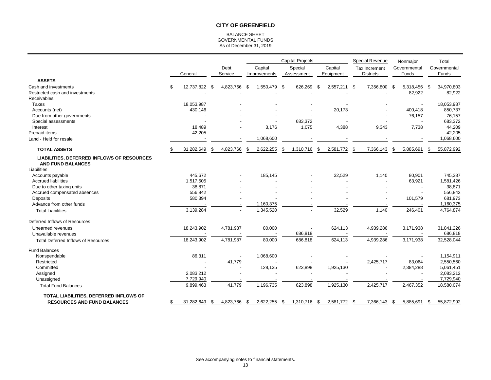### BALANCE SHEET GOVERNMENTAL FUNDS As of December 31, 2019

|                                                                               |                  |      |                 |    |                         |    | <b>Capital Projects</b> |      |                      |                                   | Special Revenue |      | Nonmajor              | Total |                       |  |  |
|-------------------------------------------------------------------------------|------------------|------|-----------------|----|-------------------------|----|-------------------------|------|----------------------|-----------------------------------|-----------------|------|-----------------------|-------|-----------------------|--|--|
|                                                                               | General          |      | Debt<br>Service |    | Capital<br>Improvements |    | Special<br>Assessment   |      | Capital<br>Equipment | Tax Increment<br><b>Districts</b> |                 |      | Governmental<br>Funds |       | Governmental<br>Funds |  |  |
| <b>ASSETS</b>                                                                 |                  |      |                 |    |                         |    |                         |      |                      |                                   |                 |      |                       |       |                       |  |  |
| Cash and investments                                                          | \$<br>12,737,822 | - \$ | 4,823,766       | \$ | 1,550,479 \$            |    | 626,269                 | - \$ | 2,557,211 \$         |                                   | 7,356,800       | - \$ | 5,318,456             | -\$   | 34,970,803            |  |  |
| Restricted cash and investments                                               |                  |      |                 |    |                         |    |                         |      |                      |                                   |                 |      | 82,922                |       | 82,922                |  |  |
| Receivables                                                                   |                  |      |                 |    |                         |    |                         |      |                      |                                   |                 |      |                       |       |                       |  |  |
| <b>Taxes</b>                                                                  | 18,053,987       |      |                 |    |                         |    |                         |      |                      |                                   |                 |      |                       |       | 18,053,987            |  |  |
| Accounts (net)                                                                | 430,146          |      |                 |    |                         |    |                         |      | 20,173               |                                   |                 |      | 400,418               |       | 850,737               |  |  |
| Due from other governments                                                    |                  |      |                 |    |                         |    |                         |      |                      |                                   |                 |      | 76,157                |       | 76,157                |  |  |
| Special assessments                                                           |                  |      |                 |    |                         |    | 683,372                 |      |                      |                                   |                 |      |                       |       | 683,372               |  |  |
| Interest                                                                      | 18,489           |      |                 |    | 3,176                   |    | 1,075                   |      | 4,388                |                                   | 9,343           |      | 7,738                 |       | 44,209                |  |  |
| Prepaid items                                                                 | 42,205           |      |                 |    |                         |    |                         |      |                      |                                   |                 |      |                       |       | 42,205                |  |  |
| Land - Held for resale                                                        |                  |      |                 |    | 1,068,600               |    |                         |      |                      |                                   |                 |      |                       |       | 1,068,600             |  |  |
| <b>TOTAL ASSETS</b>                                                           | 31,282,649       |      | 4,823,766       | S  | 2,622,255               | \$ | 1,310,716               | \$   | 2,581,772            | \$                                | 7,366,143       | \$   | 5,885,691             | \$    | 55,872,992            |  |  |
| <b>LIABILITIES, DEFERRED INFLOWS OF RESOURCES</b><br><b>AND FUND BALANCES</b> |                  |      |                 |    |                         |    |                         |      |                      |                                   |                 |      |                       |       |                       |  |  |
| Liabilities                                                                   |                  |      |                 |    |                         |    |                         |      |                      |                                   |                 |      |                       |       |                       |  |  |
| Accounts payable                                                              | 445,672          |      |                 |    | 185,145                 |    |                         |      | 32,529               |                                   | 1,140           |      | 80,901                |       | 745,387               |  |  |
| <b>Accrued liabilities</b>                                                    | 1,517,505        |      |                 |    |                         |    |                         |      |                      |                                   |                 |      | 63,921                |       | 1,581,426             |  |  |
| Due to other taxing units                                                     | 38,871           |      |                 |    |                         |    |                         |      |                      |                                   |                 |      |                       |       | 38,871                |  |  |
| Accrued compensated absences                                                  | 556,842          |      |                 |    |                         |    |                         |      |                      |                                   |                 |      |                       |       | 556,842               |  |  |
| Deposits                                                                      | 580,394          |      |                 |    |                         |    |                         |      |                      |                                   |                 |      | 101,579               |       | 681,973               |  |  |
| Advance from other funds                                                      |                  |      |                 |    | 1,160,375               |    |                         |      |                      |                                   |                 |      |                       |       | 1,160,375             |  |  |
| <b>Total Liabilities</b>                                                      | 3,139,284        |      |                 |    | 1,345,520               |    |                         |      | 32,529               |                                   | 1,140           |      | 246,401               |       | 4,764,874             |  |  |
| Deferred Inflows of Resources                                                 |                  |      |                 |    |                         |    |                         |      |                      |                                   |                 |      |                       |       |                       |  |  |
| Unearned revenues                                                             | 18,243,902       |      | 4,781,987       |    | 80,000                  |    |                         |      | 624,113              |                                   | 4,939,286       |      | 3,171,938             |       | 31,841,226            |  |  |
| Unavailable revenues                                                          |                  |      |                 |    |                         |    | 686,818                 |      |                      |                                   |                 |      |                       |       | 686,818               |  |  |
| <b>Total Deferred Inflows of Resources</b>                                    | 18,243,902       |      | 4,781,987       |    | 80,000                  |    | 686,818                 |      | 624,113              |                                   | 4,939,286       |      | 3,171,938             |       | 32,528,044            |  |  |
| <b>Fund Balances</b>                                                          |                  |      |                 |    |                         |    |                         |      |                      |                                   |                 |      |                       |       |                       |  |  |
| Nonspendable                                                                  | 86,311           |      |                 |    | 1,068,600               |    |                         |      |                      |                                   |                 |      |                       |       | 1,154,911             |  |  |
| Restricted                                                                    |                  |      | 41,779          |    |                         |    |                         |      |                      |                                   | 2,425,717       |      | 83,064                |       | 2,550,560             |  |  |
| Committed                                                                     |                  |      |                 |    | 128,135                 |    | 623,898                 |      | 1,925,130            |                                   |                 |      | 2,384,288             |       | 5,061,451             |  |  |
| Assigned                                                                      | 2,083,212        |      |                 |    |                         |    |                         |      |                      |                                   |                 |      |                       |       | 2,083,212             |  |  |
| Unassigned                                                                    | 7,729,940        |      |                 |    |                         |    |                         |      |                      |                                   |                 |      |                       |       | 7,729,940             |  |  |
| <b>Total Fund Balances</b>                                                    | 9,899,463        |      | 41,779          |    | 1,196,735               |    | 623,898                 |      | 1,925,130            |                                   | 2,425,717       |      | 2,467,352             |       | 18,580,074            |  |  |
| TOTAL LIABILITIES, DEFERRED INFLOWS OF                                        |                  |      |                 |    |                         |    |                         |      |                      |                                   |                 |      |                       |       |                       |  |  |
| <b>RESOURCES AND FUND BALANCES</b>                                            | 31,282,649       |      | 4,823,766       | \$ | 2,622,255               | S, | 1,310,716               | \$   | 2,581,772            | S,                                | 7,366,143       | \$   | 5,885,691             | \$    | 55,872,992            |  |  |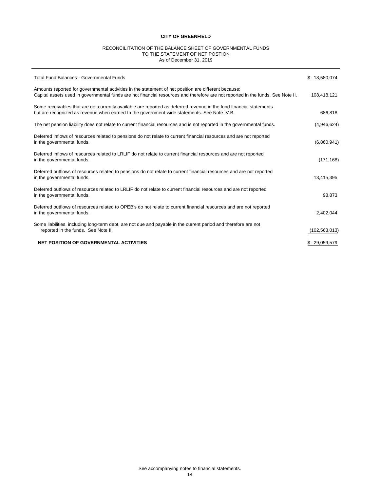# RECONCILITATION OF THE BALANCE SHEET OF GOVERNMENTAL FUNDS TO THE STATEMENT OF NET POSTION As of December 31, 2019

| <b>Total Fund Balances - Governmental Funds</b>                                                                                                                                                                                         | \$18,580,074    |
|-----------------------------------------------------------------------------------------------------------------------------------------------------------------------------------------------------------------------------------------|-----------------|
| Amounts reported for governmental activities in the statement of net position are different because:<br>Capital assets used in governmental funds are not financial resources and therefore are not reported in the funds. See Note II. | 108,418,121     |
| Some receivables that are not currently available are reported as deferred revenue in the fund financial statements<br>but are recognized as revenue when earned In the government-wide statements. See Note IV.B.                      | 686,818         |
| The net pension liability does not relate to current financial resources and is not reported in the governmental funds.                                                                                                                 | (4,946,624)     |
| Deferred inflows of resources related to pensions do not relate to current financial resources and are not reported<br>in the governmental funds.                                                                                       | (6,860,941)     |
| Deferred inflows of resources related to LRLIF do not relate to current financial resources and are not reported<br>in the governmental funds.                                                                                          | (171, 168)      |
| Deferred outflows of resources related to pensions do not relate to current financial resources and are not reported<br>in the governmental funds.                                                                                      | 13,415,395      |
| Deferred outflows of resources related to LRLIF do not relate to current financial resources and are not reported<br>in the governmental funds.                                                                                         | 98,873          |
| Deferred outflows of resources related to OPEB's do not relate to current financial resources and are not reported<br>in the governmental funds.                                                                                        | 2,402,044       |
| Some liabilities, including long-term debt, are not due and payable in the current period and therefore are not<br>reported in the funds. See Note II.                                                                                  | (102, 563, 013) |
| <b>NET POSITION OF GOVERNMENTAL ACTIVITIES</b>                                                                                                                                                                                          | \$ 29,059,579   |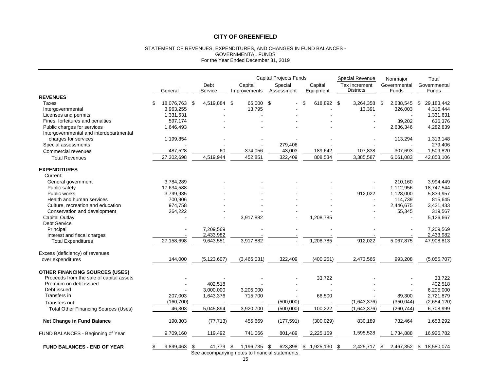## STATEMENT OF REVENUES, EXPENDITURES, AND CHANGES IN FUND BALANCES - GOVERNMENTAL FUNDS For the Year Ended December 31, 2019

|                                             |            |                                                                 | <b>Capital Projects Funds</b> |                         |    |                       |    |                      | Special Revenue                          | Nonmajor |                       |                       | Total        |
|---------------------------------------------|------------|-----------------------------------------------------------------|-------------------------------|-------------------------|----|-----------------------|----|----------------------|------------------------------------------|----------|-----------------------|-----------------------|--------------|
|                                             | General    | Debt<br>Service                                                 |                               | Capital<br>Improvements |    | Special<br>Assessment |    | Capital<br>Equipment | <b>Tax Increment</b><br><b>Districts</b> |          | Governmental<br>Funds | Governmental<br>Funds |              |
| <b>REVENUES</b>                             |            |                                                                 |                               |                         |    |                       |    |                      |                                          |          |                       |                       |              |
| <b>Taxes</b>                                | 18,076,763 | \$<br>4,519,884                                                 | \$                            | 65,000 \$               |    |                       | \$ | 618,892 \$           | 3,264,358                                | -\$      | 2,638,545             | S                     | 29,183,442   |
| Intergovernmental                           | 3,963,255  |                                                                 |                               | 13,795                  |    |                       |    |                      | 13,391                                   |          | 326,003               |                       | 4,316,444    |
| Licenses and permits                        | 1,331,631  |                                                                 |                               |                         |    |                       |    |                      |                                          |          |                       |                       | 1,331,631    |
| Fines, forfeitures and penalties            | 597,174    |                                                                 |                               |                         |    |                       |    |                      |                                          |          | 39,202                |                       | 636,376      |
| Public charges for services                 | 1,646,493  |                                                                 |                               |                         |    |                       |    |                      |                                          |          | 2,636,346             |                       | 4,282,839    |
| Intergovernmental and interdepartmental     |            |                                                                 |                               |                         |    |                       |    |                      |                                          |          |                       |                       |              |
| charges for services                        | 1,199,854  |                                                                 |                               |                         |    |                       |    |                      |                                          |          | 113,294               |                       | 1,313,148    |
| Special assessments                         |            |                                                                 |                               |                         |    | 279,406               |    |                      |                                          |          |                       |                       | 279,406      |
| Commercial revenues                         | 487,528    | 60                                                              |                               | 374,056                 |    | 43,003                |    | 189,642              | 107,838                                  |          | 307,693               |                       | 1,509,820    |
| <b>Total Revenues</b>                       | 27,302,698 | 4,519,944                                                       |                               | 452,851                 |    | 322,409               |    | 808,534              | 3,385,587                                |          | 6,061,083             |                       | 42,853,106   |
| <b>EXPENDITURES</b>                         |            |                                                                 |                               |                         |    |                       |    |                      |                                          |          |                       |                       |              |
| Current:                                    |            |                                                                 |                               |                         |    |                       |    |                      |                                          |          |                       |                       |              |
| General government                          | 3,784,289  |                                                                 |                               |                         |    |                       |    |                      |                                          |          | 210,160               |                       | 3,994,449    |
| Public safety                               | 17,634,588 |                                                                 |                               |                         |    |                       |    |                      |                                          |          | 1,112,956             |                       | 18,747,544   |
| Public works                                | 3,799,935  |                                                                 |                               |                         |    |                       |    |                      | 912,022                                  |          | 1,128,000             |                       | 5,839,957    |
| Health and human services                   | 700,906    |                                                                 |                               |                         |    |                       |    |                      |                                          |          | 114,739               |                       | 815,645      |
| Culture, recreation and education           | 974,758    |                                                                 |                               |                         |    |                       |    |                      |                                          |          | 2,446,675             |                       | 3,421,433    |
| Conservation and development                | 264,222    |                                                                 |                               |                         |    |                       |    |                      |                                          |          | 55,345                |                       | 319,567      |
| <b>Capital Outlay</b>                       |            |                                                                 |                               | 3,917,882               |    |                       |    | 1,208,785            |                                          |          |                       |                       | 5,126,667    |
| Debt Service                                |            |                                                                 |                               |                         |    |                       |    |                      |                                          |          |                       |                       |              |
| Principal                                   |            | 7,209,569                                                       |                               |                         |    |                       |    |                      |                                          |          |                       |                       | 7,209,569    |
| Interest and fiscal charges                 |            | 2,433,982                                                       |                               |                         |    |                       |    |                      |                                          |          |                       |                       | 2,433,982    |
| <b>Total Expenditures</b>                   | 27,158,698 | 9,643,551                                                       |                               | 3,917,882               |    |                       |    | 1,208,785            | 912,022                                  |          | 5,067,875             |                       | 47,908,813   |
| Excess (deficiency) of revenues             |            |                                                                 |                               |                         |    |                       |    |                      |                                          |          |                       |                       |              |
| over expenditures                           | 144,000    | (5, 123, 607)                                                   |                               | (3,465,031)             |    | 322,409               |    | (400, 251)           | 2,473,565                                |          | 993,208               |                       | (5,055,707)  |
| <b>OTHER FINANCING SOURCES (USES)</b>       |            |                                                                 |                               |                         |    |                       |    |                      |                                          |          |                       |                       |              |
| Proceeds from the sale of capital assets    |            |                                                                 |                               |                         |    |                       |    | 33,722               |                                          |          |                       |                       | 33,722       |
| Premium on debt issued                      |            | 402,518                                                         |                               |                         |    |                       |    |                      |                                          |          |                       |                       | 402,518      |
| Debt issued                                 |            | 3,000,000                                                       |                               | 3,205,000               |    |                       |    |                      |                                          |          |                       |                       | 6,205,000    |
| Transfers in                                | 207,003    | 1,643,376                                                       |                               | 715,700                 |    |                       |    | 66,500               |                                          |          | 89,300                |                       | 2,721,879    |
| Transfers out                               | (160, 700) |                                                                 |                               |                         |    | (500,000)             |    |                      | (1,643,376)                              |          | (350, 044)            |                       | (2,654,120)  |
| <b>Total Other Financing Sources (Uses)</b> | 46,303     | 5,045,894                                                       |                               | 3,920,700               |    | (500,000)             |    | 100,222              | (1,643,376)                              |          | (260, 744)            |                       | 6,708,999    |
| <b>Net Change in Fund Balance</b>           | 190,303    | (77, 713)                                                       |                               | 455,669                 |    | (177, 591)            |    | (300, 029)           | 830,189                                  |          | 732,464               |                       | 1,653,292    |
| FUND BALANCES - Beginning of Year           | 9,709,160  | 119,492                                                         |                               | 741,066                 |    | 801,489               |    | 2,225,159            | 1,595,528                                |          | 1,734,888             |                       | 16,926,782   |
| <b>FUND BALANCES - END OF YEAR</b>          | 9,899,463  | \$<br>41,779<br>See accompanying notes to financial statements. | \$                            | 1,196,735               | \$ | 623,898               |    | \$1,925,130          | \$<br>2,425,717                          | S.       | 2,467,352             |                       | \$18,580,074 |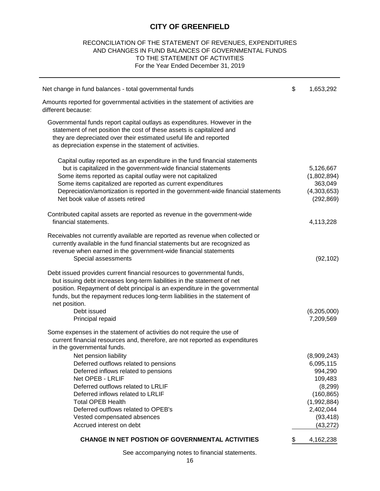### RECONCILIATION OF THE STATEMENT OF REVENUES, EXPENDITURES AND CHANGES IN FUND BALANCES OF GOVERNMENTAL FUNDS For the Year Ended December 31, 2019 TO THE STATEMENT OF ACTIVITIES

| Net change in fund balances - total governmental funds                                                                                                                                                                                                                                                                                                                                             | \$<br>1,653,292                                                  |
|----------------------------------------------------------------------------------------------------------------------------------------------------------------------------------------------------------------------------------------------------------------------------------------------------------------------------------------------------------------------------------------------------|------------------------------------------------------------------|
| Amounts reported for governmental activities in the statement of activities are<br>different because:                                                                                                                                                                                                                                                                                              |                                                                  |
| Governmental funds report capital outlays as expenditures. However in the<br>statement of net position the cost of these assets is capitalized and<br>they are depreciated over their estimated useful life and reported<br>as depreciation expense in the statement of activities.                                                                                                                |                                                                  |
| Capital outlay reported as an expenditure in the fund financial statements<br>but is capitalized in the government-wide financial statements<br>Some items reported as capital outlay were not capitalized<br>Some items capitalized are reported as current expenditures<br>Depreciation/amortization is reported in the government-wide financial statements<br>Net book value of assets retired | 5,126,667<br>(1,802,894)<br>363,049<br>(4,303,653)<br>(292, 869) |
| Contributed capital assets are reported as revenue in the government-wide<br>financial statements.                                                                                                                                                                                                                                                                                                 | 4,113,228                                                        |
| Receivables not currently available are reported as revenue when collected or<br>currently available in the fund financial statements but are recognized as<br>revenue when earned in the government-wide financial statements<br>Special assessments                                                                                                                                              | (92, 102)                                                        |
| Debt issued provides current financial resources to governmental funds,<br>but issuing debt increases long-term liabilities in the statement of net<br>position. Repayment of debt principal is an expenditure in the governmental<br>funds, but the repayment reduces long-term liabilities in the statement of                                                                                   |                                                                  |
| net position.<br>Debt issued<br>Principal repaid                                                                                                                                                                                                                                                                                                                                                   | (6,205,000)<br>7,209,569                                         |
| Some expenses in the statement of activities do not require the use of<br>current financial resources and, therefore, are not reported as expenditures<br>in the governmental funds.                                                                                                                                                                                                               |                                                                  |
| Net pension liability                                                                                                                                                                                                                                                                                                                                                                              | (8,909,243)                                                      |
| Deferred outflows related to pensions                                                                                                                                                                                                                                                                                                                                                              | 6,095,115                                                        |
| Deferred inflows related to pensions                                                                                                                                                                                                                                                                                                                                                               | 994,290                                                          |
| Net OPEB - LRLIF                                                                                                                                                                                                                                                                                                                                                                                   | 109,483                                                          |
| Deferred outflows related to LRLIF                                                                                                                                                                                                                                                                                                                                                                 | (8, 299)                                                         |
| Deferred inflows related to LRLIF                                                                                                                                                                                                                                                                                                                                                                  | (160, 865)                                                       |
| <b>Total OPEB Health</b>                                                                                                                                                                                                                                                                                                                                                                           | (1,992,884)                                                      |
| Deferred outflows related to OPEB's                                                                                                                                                                                                                                                                                                                                                                | 2,402,044                                                        |
| Vested compensated absences                                                                                                                                                                                                                                                                                                                                                                        | (93, 418)                                                        |
| Accrued interest on debt                                                                                                                                                                                                                                                                                                                                                                           | (43, 272)                                                        |
| <b>CHANGE IN NET POSTION OF GOVERNMENTAL ACTIVITIES</b>                                                                                                                                                                                                                                                                                                                                            | \$<br>4,162,238                                                  |

See accompanying notes to financial statements.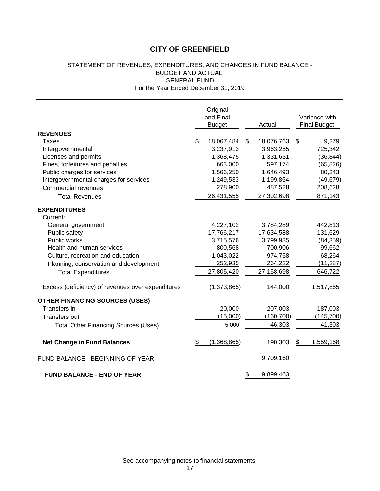### STATEMENT OF REVENUES, EXPENDITURES, AND CHANGES IN FUND BALANCE - BUDGET AND ACTUAL For the Year Ended December 31, 2019 GENERAL FUND

|                                                   | Original<br>and Final<br><b>Budget</b> | Actual           | Variance with<br><b>Final Budget</b> |
|---------------------------------------------------|----------------------------------------|------------------|--------------------------------------|
| <b>REVENUES</b>                                   |                                        |                  |                                      |
| Taxes                                             | \$<br>18,067,484                       | \$<br>18,076,763 | \$<br>9,279                          |
| Intergovernmental                                 | 3,237,913                              | 3,963,255        | 725,342                              |
| Licenses and permits                              | 1,368,475                              | 1,331,631        | (36, 844)                            |
| Fines, forfeitures and penalties                  | 663,000                                | 597,174          | (65, 826)                            |
| Public charges for services                       | 1,566,250                              | 1,646,493        | 80,243                               |
| Intergovernmental charges for services            | 1,249,533                              | 1,199,854        | (49, 679)                            |
| Commercial revenues                               | 278,900                                | 487,528          | 208,628                              |
| <b>Total Revenues</b>                             | 26,431,555                             | 27,302,698       | 871,143                              |
| <b>EXPENDITURES</b>                               |                                        |                  |                                      |
| Current:                                          |                                        |                  |                                      |
| General government                                | 4,227,102                              | 3,784,289        | 442,813                              |
| Public safety                                     | 17,766,217                             | 17,634,588       | 131,629                              |
| Public works                                      | 3,715,576                              | 3,799,935        | (84, 359)                            |
| Health and human services                         | 800,568                                | 700,906          | 99,662                               |
| Culture, recreation and education                 | 1,043,022                              | 974,758          | 68,264                               |
| Planning, conservation and development            | 252,935                                | 264,222          | (11, 287)                            |
| <b>Total Expenditures</b>                         | 27,805,420                             | 27,158,698       | 646,722                              |
| Excess (deficiency) of revenues over expenditures | (1,373,865)                            | 144,000          | 1,517,865                            |
| <b>OTHER FINANCING SOURCES (USES)</b>             |                                        |                  |                                      |
| Transfers in                                      | 20,000                                 | 207,003          | 187,003                              |
| <b>Transfers out</b>                              | (15,000)                               | (160, 700)       | (145, 700)                           |
| <b>Total Other Financing Sources (Uses)</b>       | 5,000                                  | 46,303           | 41,303                               |
| <b>Net Change in Fund Balances</b>                | \$<br>(1,368,865)                      | 190,303          | \$<br>1,559,168                      |
| FUND BALANCE - BEGINNING OF YEAR                  |                                        | 9,709,160        |                                      |
| <b>FUND BALANCE - END OF YEAR</b>                 |                                        | \$<br>9,899,463  |                                      |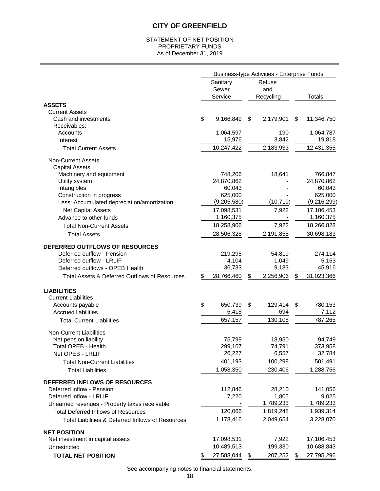## STATEMENT OF NET POSITION PROPRIETARY FUNDS As of December 31, 2019

|                                                                |                   |                     | <b>Business-type Activities - Enterprise Funds</b> |    |                     |
|----------------------------------------------------------------|-------------------|---------------------|----------------------------------------------------|----|---------------------|
|                                                                | Sanitary<br>Sewer |                     | Refuse<br>and                                      |    |                     |
|                                                                |                   | Service             | Recycling                                          |    | <b>Totals</b>       |
| <b>ASSETS</b>                                                  |                   |                     |                                                    |    |                     |
| <b>Current Assets</b>                                          |                   |                     |                                                    |    |                     |
| Cash and investments                                           | \$                | 9,166,849           | \$<br>2,179,901                                    | \$ | 11,346,750          |
| Receivables:                                                   |                   |                     |                                                    |    |                     |
| Accounts                                                       |                   | 1,064,597<br>15,976 | 190<br>3,842                                       |    | 1,064,787<br>19,818 |
| Interest<br><b>Total Current Assets</b>                        |                   | 10,247,422          | 2,183,933                                          |    | 12,431,355          |
| <b>Non-Current Assets</b>                                      |                   |                     |                                                    |    |                     |
| <b>Capital Assets</b>                                          |                   |                     |                                                    |    |                     |
| Machinery and equipment                                        |                   | 748,206             | 18,641                                             |    | 766,847             |
| Utility system                                                 |                   | 24,870,862          |                                                    |    | 24,870,862          |
| Intangibles                                                    |                   | 60,043              |                                                    |    | 60,043              |
| Construction in progress                                       |                   | 625,000             |                                                    |    | 625,000             |
| Less: Accumulated depreciation/amortization                    |                   | (9,205,580)         | (10, 719)                                          |    | (9,216,299)         |
| <b>Net Capital Assets</b>                                      |                   | 17,098,531          | 7,922                                              |    | 17,106,453          |
| Advance to other funds                                         |                   | 1,160,375           |                                                    |    | 1,160,375           |
| <b>Total Non-Current Assets</b>                                |                   | 18,258,906          | 7,922                                              |    | 18,266,828          |
| <b>Total Assets</b>                                            |                   | 28,506,328          | 2,191,855                                          |    | 30,698,183          |
| DEFERRED OUTFLOWS OF RESOURCES                                 |                   |                     |                                                    |    |                     |
| Deferred outflow - Pension                                     |                   | 219,295             | 54,819                                             |    | 274,114             |
| Deferred outflow - LRLIF                                       |                   | 4,104               | 1,049                                              |    | 5,153               |
| Deferred outflows - OPEB Health                                |                   | 36,733              | 9,183                                              |    | 45,916              |
| <b>Total Assets &amp; Deferred Outflows of Resources</b>       | \$                | 28,766,460          | \$<br>2,256,906                                    | \$ | 31,023,366          |
|                                                                |                   |                     |                                                    |    |                     |
| <b>LIABILITIES</b>                                             |                   |                     |                                                    |    |                     |
| <b>Current Liabilities</b>                                     | \$                |                     |                                                    |    | 780,153             |
| Accounts payable                                               |                   | 650,739<br>6,418    | \$<br>129,414<br>694                               | \$ | 7,112               |
| <b>Accrued liabilities</b><br><b>Total Current Liabilities</b> |                   | 657,157             | 130,108                                            |    | 787,265             |
|                                                                |                   |                     |                                                    |    |                     |
| <b>Non-Current Liabilities</b>                                 |                   |                     |                                                    |    |                     |
| Net pension liability                                          |                   | 75,799              | 18,950                                             |    | 94,749              |
| <b>Total OPEB - Health</b>                                     |                   | 299,167             | 74,791                                             |    | 373,958             |
| Net OPEB - LRLIF                                               |                   | 26,227              | 6,557                                              |    | 32,784              |
| <b>Total Non-Current Liabilities</b>                           |                   | 401,193             | 100,298                                            |    | 501,491             |
| <b>Total Liabilities</b>                                       |                   | 1,058,350           | 230,406                                            |    | 1,288,756           |
| DEFERRED INFLOWS OF RESOURCES                                  |                   |                     |                                                    |    |                     |
| Deferred inflow - Pension                                      |                   | 112,846             | 28,210                                             |    | 141,056             |
| Deferred inflow - LRLIF                                        |                   | 7,220               | 1,805                                              |    | 9,025               |
| Unearned revenues - Property taxes receivable                  |                   |                     | 1,789,233                                          |    | 1,789,233           |
| <b>Total Deferred Inflows of Resources</b>                     |                   | 120,066             | 1,819,248                                          |    | 1,939,314           |
| Total Liabilities & Deferred Inflows of Resources              |                   | 1,178,416           | 2,049,654                                          |    | 3,228,070           |
| <b>NET POSITION</b>                                            |                   |                     |                                                    |    |                     |
| Net investment in capital assets                               |                   | 17,098,531          | 7,922                                              |    | 17,106,453          |
| Unrestricted                                                   |                   | 10,489,513          | 199,330                                            |    | 10,688,843          |
| <b>TOTAL NET POSITION</b>                                      | \$                | 27,588,044          | \$<br>207,252                                      | \$ | 27,795,296          |

See accompanying notes to financial statements.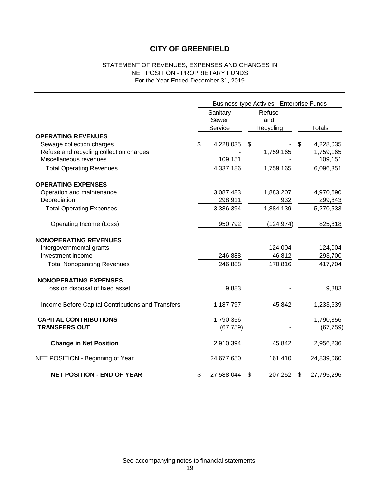## STATEMENT OF REVENUES, EXPENSES AND CHANGES IN NET POSITION - PROPRIETARY FUNDS For the Year Ended December 31, 2019

|                                                   |          | Business-type Activies - Enterprise Funds |    |            |    |               |
|---------------------------------------------------|----------|-------------------------------------------|----|------------|----|---------------|
|                                                   | Sanitary |                                           |    | Refuse     |    |               |
|                                                   |          | Sewer                                     |    | and        |    |               |
|                                                   |          | Service                                   |    | Recycling  |    | <b>Totals</b> |
| <b>OPERATING REVENUES</b>                         |          |                                           |    |            |    |               |
| Sewage collection charges                         | \$       | 4,228,035                                 | \$ |            | \$ | 4,228,035     |
| Refuse and recycling collection charges           |          |                                           |    | 1,759,165  |    | 1,759,165     |
| Miscellaneous revenues                            |          | 109,151                                   |    |            |    | 109,151       |
| <b>Total Operating Revenues</b>                   |          | 4,337,186                                 |    | 1,759,165  |    | 6,096,351     |
| <b>OPERATING EXPENSES</b>                         |          |                                           |    |            |    |               |
| Operation and maintenance                         |          | 3,087,483                                 |    | 1,883,207  |    | 4,970,690     |
| Depreciation                                      |          | 298,911                                   |    | 932        |    | 299,843       |
| <b>Total Operating Expenses</b>                   |          | 3,386,394                                 |    | 1,884,139  |    | 5,270,533     |
| Operating Income (Loss)                           |          | 950,792                                   |    | (124, 974) |    | 825,818       |
| <b>NONOPERATING REVENUES</b>                      |          |                                           |    |            |    |               |
| Intergovernmental grants                          |          |                                           |    | 124,004    |    | 124,004       |
| Investment income                                 |          | 246,888                                   |    | 46,812     |    | 293,700       |
| <b>Total Nonoperating Revenues</b>                |          | 246,888                                   |    | 170,816    |    | 417,704       |
| <b>NONOPERATING EXPENSES</b>                      |          |                                           |    |            |    |               |
| Loss on disposal of fixed asset                   |          | 9,883                                     |    |            |    | 9,883         |
| Income Before Capital Contributions and Transfers |          | 1,187,797                                 |    | 45,842     |    | 1,233,639     |
| <b>CAPITAL CONTRIBUTIONS</b>                      |          | 1,790,356                                 |    |            |    | 1,790,356     |
| <b>TRANSFERS OUT</b>                              |          | (67, 759)                                 |    |            |    | (67, 759)     |
| <b>Change in Net Position</b>                     |          | 2,910,394                                 |    | 45,842     |    | 2,956,236     |
| NET POSITION - Beginning of Year                  |          | 24,677,650                                |    | 161,410    |    | 24,839,060    |
| <b>NET POSITION - END OF YEAR</b>                 | \$       | 27,588,044                                | \$ | 207,252    | \$ | 27,795,296    |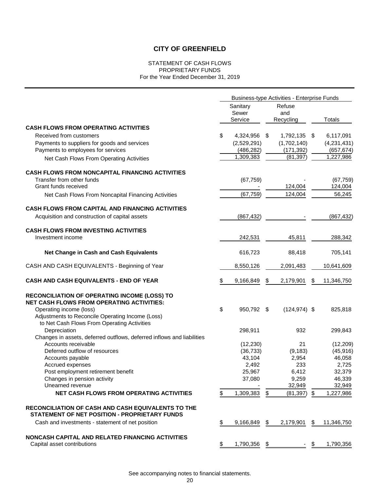### For the Year Ended December 31, 2019 STATEMENT OF CASH FLOWS PROPRIETARY FUNDS

|                                                                                                     |    |                              |            | <b>Business-type Activities - Enterprise Funds</b> |          |                        |
|-----------------------------------------------------------------------------------------------------|----|------------------------------|------------|----------------------------------------------------|----------|------------------------|
|                                                                                                     |    | Sanitary<br>Sewer<br>Service |            | Refuse<br>and<br>Recycling                         |          | <b>Totals</b>          |
| <b>CASH FLOWS FROM OPERATING ACTIVITIES</b>                                                         |    |                              |            |                                                    |          |                        |
| Received from customers                                                                             | \$ | 4,324,956                    | \$         | 1,792,135                                          | - \$     | 6,117,091              |
| Payments to suppliers for goods and services                                                        |    | (2,529,291)                  |            | (1,702,140)                                        |          | (4,231,431)            |
| Payments to employees for services                                                                  |    | (486, 282)                   |            | (171, 392)                                         |          | (657, 674)             |
| Net Cash Flows From Operating Activities                                                            |    | 1,309,383                    |            | (81, 397)                                          |          | 1,227,986              |
| <b>CASH FLOWS FROM NONCAPITAL FINANCING ACTIVITIES</b>                                              |    |                              |            |                                                    |          |                        |
| Transfer from other funds                                                                           |    | (67, 759)                    |            |                                                    |          | (67, 759)              |
| Grant funds received                                                                                |    |                              |            | 124,004                                            |          | 124,004                |
| Net Cash Flows From Noncapital Financing Activities                                                 |    | (67, 759)                    |            | 124,004                                            |          | 56,245                 |
| <b>CASH FLOWS FROM CAPITAL AND FINANCING ACTIVITIES</b>                                             |    |                              |            |                                                    |          |                        |
| Acquisition and construction of capital assets                                                      |    | (867, 432)                   |            |                                                    |          | (867, 432)             |
| <b>CASH FLOWS FROM INVESTING ACTIVITIES</b>                                                         |    |                              |            |                                                    |          |                        |
| Investment income                                                                                   |    | 242,531                      |            | 45,811                                             |          | 288,342                |
| Net Change in Cash and Cash Equivalents                                                             |    | 616,723                      |            | 88,418                                             |          | 705,141                |
| CASH AND CASH EQUIVALENTS - Beginning of Year                                                       |    | 8,550,126                    |            | 2,091,483                                          |          | 10,641,609             |
| CASH AND CASH EQUIVALENTS - END OF YEAR                                                             | S  | 9,166,849                    | \$         | 2,179,901                                          | S.       | 11,346,750             |
| RECONCILIATION OF OPERATING INCOME (LOSS) TO                                                        |    |                              |            |                                                    |          |                        |
| <b>NET CASH FLOWS FROM OPERATING ACTIVITIES:</b>                                                    |    |                              |            |                                                    |          |                        |
| Operating income (loss)                                                                             | \$ | 950,792                      | $\sqrt{3}$ | $(124, 974)$ \$                                    |          | 825,818                |
| Adjustments to Reconcile Operating Income (Loss)                                                    |    |                              |            |                                                    |          |                        |
| to Net Cash Flows From Operating Activities                                                         |    |                              |            |                                                    |          |                        |
| Depreciation                                                                                        |    | 298,911                      |            | 932                                                |          | 299,843                |
| Changes in assets, deferred outflows, deferred inflows and liabilities<br>Accounts receivable       |    |                              |            |                                                    |          |                        |
| Deferred outflow of resources                                                                       |    | (12, 230)                    |            | 21                                                 |          | (12, 209)<br>(45, 916) |
| Accounts payable                                                                                    |    | (36, 733)<br>43,104          |            | (9, 183)<br>2,954                                  |          | 46,058                 |
| Accrued expenses                                                                                    |    | 2,492                        |            | 233                                                |          | 2,725                  |
| Post employment retirement benefit                                                                  |    | 25,967                       |            | 6,412                                              |          | 32,379                 |
| Changes in pension activity                                                                         |    | 37,080                       |            | 9,259                                              |          | 46,339                 |
| Unearned revenue                                                                                    |    |                              |            | 32,949                                             |          | 32,949                 |
| <b>NET CASH FLOWS FROM OPERATING ACTIVITIES</b>                                                     | \$ | 1,309,383                    | \$         | (81, 397)                                          | \$       | 1,227,986              |
|                                                                                                     |    |                              |            |                                                    |          |                        |
| RECONCILIATION OF CASH AND CASH EQUIVALENTS TO THE<br>STATEMENT OF NET POSITION - PROPRIETARY FUNDS |    |                              |            |                                                    |          |                        |
| Cash and investments - statement of net position                                                    | \$ | 9,166,849                    | \$         | 2,179,901                                          | \$       | 11,346,750             |
| NONCASH CAPITAL AND RELATED FINANCING ACTIVITIES                                                    |    |                              |            |                                                    |          |                        |
| Capital asset contributions                                                                         | \$ | 1,790,356                    | <u>\$</u>  |                                                    | <u>৯</u> | 1,790,356              |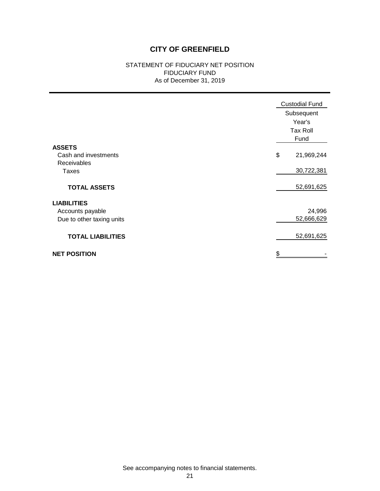### STATEMENT OF FIDUCIARY NET POSITION FIDUCIARY FUND As of December 31, 2019

|                                     | <b>Custodial Fund</b><br>Subsequent<br>Year's<br><b>Tax Roll</b><br>Fund |
|-------------------------------------|--------------------------------------------------------------------------|
| <b>ASSETS</b>                       |                                                                          |
| Cash and investments<br>Receivables | \$<br>21,969,244                                                         |
| Taxes                               | 30,722,381                                                               |
| <b>TOTAL ASSETS</b>                 | 52,691,625                                                               |
| <b>LIABILITIES</b>                  |                                                                          |
| Accounts payable                    | 24,996                                                                   |
| Due to other taxing units           | 52,666,629                                                               |
| <b>TOTAL LIABILITIES</b>            | 52,691,625                                                               |
| <b>NET POSITION</b>                 |                                                                          |

See accompanying notes to financial statements.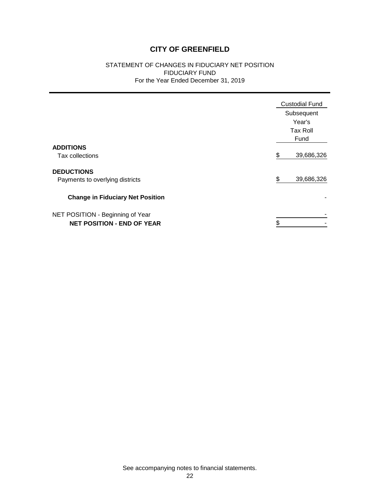## STATEMENT OF CHANGES IN FIDUCIARY NET POSITION FIDUCIARY FUND For the Year Ended December 31, 2019

|                                                                       | <b>Custodial Fund</b><br>Subsequent |
|-----------------------------------------------------------------------|-------------------------------------|
|                                                                       | Year's                              |
|                                                                       | Tax Roll<br>Fund                    |
| <b>ADDITIONS</b>                                                      |                                     |
| Tax collections                                                       | \$<br>39,686,326                    |
| <b>DEDUCTIONS</b>                                                     |                                     |
| Payments to overlying districts                                       | \$<br>39,686,326                    |
| <b>Change in Fiduciary Net Position</b>                               |                                     |
| NET POSITION - Beginning of Year<br><b>NET POSITION - END OF YEAR</b> |                                     |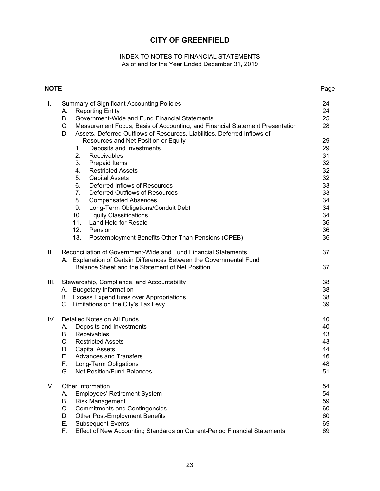# INDEX TO NOTES TO FINANCIAL STATEMENTS As of and for the Year Ended December 31, 2019

| NOTE |                                                                                         | Page |
|------|-----------------------------------------------------------------------------------------|------|
| I.   | <b>Summary of Significant Accounting Policies</b>                                       | 24   |
|      | <b>Reporting Entity</b><br>А.                                                           | 24   |
|      | Β.<br>Government-Wide and Fund Financial Statements                                     | 25   |
|      | $C_{-}$<br>Measurement Focus, Basis of Accounting, and Financial Statement Presentation | 28   |
|      | D.<br>Assets, Deferred Outflows of Resources, Liabilities, Deferred Inflows of          |      |
|      | Resources and Net Position or Equity                                                    | 29   |
|      | 1.<br>Deposits and Investments                                                          | 29   |
|      | 2.<br>Receivables                                                                       | 31   |
|      | 3.<br>Prepaid Items                                                                     | 32   |
|      | 4.<br><b>Restricted Assets</b>                                                          | 32   |
|      | 5.<br><b>Capital Assets</b>                                                             | 32   |
|      | 6.<br>Deferred Inflows of Resources                                                     | 33   |
|      | 7.<br>Deferred Outflows of Resources                                                    | 33   |
|      | 8.<br><b>Compensated Absences</b>                                                       | 34   |
|      | 9.<br>Long-Term Obligations/Conduit Debt                                                | 34   |
|      | 10.<br><b>Equity Classifications</b>                                                    | 34   |
|      | 11. Land Held for Resale                                                                | 36   |
|      | 12. Pension                                                                             | 36   |
|      | 13.<br>Postemployment Benefits Other Than Pensions (OPEB)                               | 36   |
| Ш.   | Reconciliation of Government-Wide and Fund Financial Statements                         | 37   |
|      | A. Explanation of Certain Differences Between the Governmental Fund                     |      |
|      | Balance Sheet and the Statement of Net Position                                         | 37   |
| Ш.   | Stewardship, Compliance, and Accountability                                             | 38   |
|      | A. Budgetary Information                                                                | 38   |
|      | B. Excess Expenditures over Appropriations                                              | 38   |
|      | C. Limitations on the City's Tax Levy                                                   | 39   |
| IV.  | Detailed Notes on All Funds                                                             | 40   |
|      | Deposits and Investments<br>А.                                                          | 40   |
|      | В.<br>Receivables                                                                       | 43   |
|      | C.<br><b>Restricted Assets</b>                                                          | 43   |
|      | <b>Capital Assets</b><br>D.                                                             | 44   |
|      | Е.<br><b>Advances and Transfers</b>                                                     | 46   |
|      | F.<br>Long-Term Obligations                                                             | 48   |
|      | G.<br><b>Net Position/Fund Balances</b>                                                 | 51   |
| V.   | Other Information                                                                       | 54   |
|      | <b>Employees' Retirement System</b><br>А.                                               | 54   |
|      | Β.<br><b>Risk Management</b>                                                            | 59   |
|      | C.<br><b>Commitments and Contingencies</b>                                              | 60   |
|      | D.<br>Other Post-Employment Benefits                                                    | 60   |
|      | Ε.<br><b>Subsequent Events</b>                                                          | 69   |
|      | F.<br>Effect of New Accounting Standards on Current-Period Financial Statements         | 69   |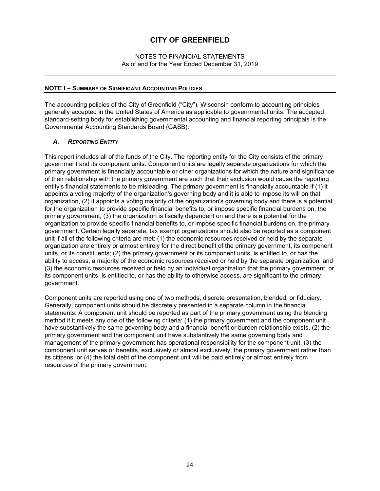### NOTES TO FINANCIAL STATEMENTS As of and for the Year Ended December 31, 2019

#### **NOTE I – SUMMARY OF SIGNIFICANT ACCOUNTING POLICIES**

The accounting policies of the City of Greenfield ("City"), Wisconsin conform to accounting principles generally accepted in the United States of America as applicable to governmental units. The accepted standard-setting body for establishing governmental accounting and financial reporting principals is the Governmental Accounting Standards Board (GASB).

### *A. REPORTING ENTITY*

This report includes all of the funds of the City. The reporting entity for the City consists of the primary government and its component units. Component units are legally separate organizations for which the primary government is financially accountable or other organizations for which the nature and significance of their relationship with the primary government are such that their exclusion would cause the reporting entity's financial statements to be misleading. The primary government is financially accountable if (1) it appoints a voting majority of the organization's governing body and it is able to impose its will on that organization, (2) it appoints a voting majority of the organization's governing body and there is a potential for the organization to provide specific financial benefits to, or impose specific financial burdens on, the primary government, (3) the organization is fiscally dependent on and there is a potential for the organization to provide specific financial benefits to, or impose specific financial burdens on, the primary government. Certain legally separate, tax exempt organizations should also be reported as a component unit if all of the following criteria are met: (1) the economic resources received or held by the separate organization are entirely or almost entirely for the direct benefit of the primary government, its component units, or its constituents; (2) the primary government or its component units, is entitled to, or has the ability to access, a majority of the economic resources received or held by the separate organization; and (3) the economic resources received or held by an individual organization that the primary government, or its component units, is entitled to, or has the ability to otherwise access, are significant to the primary government.

Component units are reported using one of two methods, discrete presentation, blended, or fiduciary. Generally, component units should be discretely presented in a separate column in the financial statements. A component unit should be reported as part of the primary government using the blending method if it meets any one of the following criteria: (1) the primary government and the component unit have substantively the same governing body and a financial benefit or burden relationship exists, (2) the primary government and the component unit have substantively the same governing body and management of the primary government has operational responsibility for the component unit, (3) the component unit serves or benefits, exclusively or almost exclusively, the primary government rather than its citizens, or (4) the total debt of the component unit will be paid entirely or almost entirely from resources of the primary government.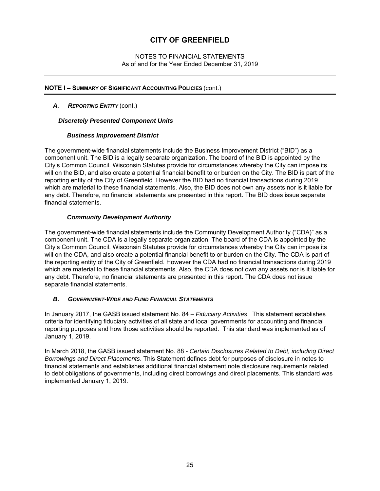### NOTES TO FINANCIAL STATEMENTS As of and for the Year Ended December 31, 2019

#### **NOTE I – SUMMARY OF SIGNIFICANT ACCOUNTING POLICIES** (cont.)

### *A. REPORTING ENTITY* (cont.)

### *Discretely Presented Component Units*

### *Business Improvement District*

The government-wide financial statements include the Business Improvement District ("BID") as a component unit. The BID is a legally separate organization. The board of the BID is appointed by the City's Common Council. Wisconsin Statutes provide for circumstances whereby the City can impose its will on the BID, and also create a potential financial benefit to or burden on the City. The BID is part of the reporting entity of the City of Greenfield. However the BID had no financial transactions during 2019 which are material to these financial statements. Also, the BID does not own any assets nor is it liable for any debt. Therefore, no financial statements are presented in this report. The BID does issue separate financial statements.

### *Community Development Authority*

The government-wide financial statements include the Community Development Authority ("CDA)" as a component unit. The CDA is a legally separate organization. The board of the CDA is appointed by the City's Common Council. Wisconsin Statutes provide for circumstances whereby the City can impose its will on the CDA, and also create a potential financial benefit to or burden on the City. The CDA is part of the reporting entity of the City of Greenfield. However the CDA had no financial transactions during 2019 which are material to these financial statements. Also, the CDA does not own any assets nor is it liable for any debt. Therefore, no financial statements are presented in this report. The CDA does not issue separate financial statements.

#### *B. GOVERNMENT-WIDE AND FUND FINANCIAL STATEMENTS*

In January 2017, the GASB issued statement No. 84 – *Fiduciary Activities*. This statement establishes criteria for identifying fiduciary activities of all state and local governments for accounting and financial reporting purposes and how those activities should be reported. This standard was implemented as of January 1, 2019.

In March 2018, the GASB issued statement No. 88 - *Certain Disclosures Related to Debt, including Direct Borrowings and Direct Placements*. This Statement defines debt for purposes of disclosure in notes to financial statements and establishes additional financial statement note disclosure requirements related to debt obligations of governments, including direct borrowings and direct placements. This standard was implemented January 1, 2019.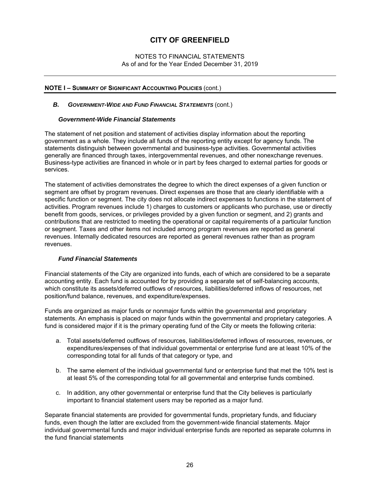### NOTES TO FINANCIAL STATEMENTS As of and for the Year Ended December 31, 2019

#### **NOTE I – SUMMARY OF SIGNIFICANT ACCOUNTING POLICIES** (cont.)

### *B. GOVERNMENT-WIDE AND FUND FINANCIAL STATEMENTS* (cont.)

### *Government-Wide Financial Statements*

The statement of net position and statement of activities display information about the reporting government as a whole. They include all funds of the reporting entity except for agency funds. The statements distinguish between governmental and business-type activities. Governmental activities generally are financed through taxes, intergovernmental revenues, and other nonexchange revenues. Business-type activities are financed in whole or in part by fees charged to external parties for goods or services.

The statement of activities demonstrates the degree to which the direct expenses of a given function or segment are offset by program revenues. Direct expenses are those that are clearly identifiable with a specific function or segment. The city does not allocate indirect expenses to functions in the statement of activities. Program revenues include 1) charges to customers or applicants who purchase, use or directly benefit from goods, services, or privileges provided by a given function or segment, and 2) grants and contributions that are restricted to meeting the operational or capital requirements of a particular function or segment. Taxes and other items not included among program revenues are reported as general revenues. Internally dedicated resources are reported as general revenues rather than as program revenues.

### *Fund Financial Statements*

Financial statements of the City are organized into funds, each of which are considered to be a separate accounting entity. Each fund is accounted for by providing a separate set of self-balancing accounts, which constitute its assets/deferred outflows of resources, liabilities/deferred inflows of resources, net position/fund balance, revenues, and expenditure/expenses.

Funds are organized as major funds or nonmajor funds within the governmental and proprietary statements. An emphasis is placed on major funds within the governmental and proprietary categories. A fund is considered major if it is the primary operating fund of the City or meets the following criteria:

- a. Total assets/deferred outflows of resources, liabilities/deferred inflows of resources, revenues, or expenditures/expenses of that individual governmental or enterprise fund are at least 10% of the corresponding total for all funds of that category or type, and
- b. The same element of the individual governmental fund or enterprise fund that met the 10% test is at least 5% of the corresponding total for all governmental and enterprise funds combined.
- c. In addition, any other governmental or enterprise fund that the City believes is particularly important to financial statement users may be reported as a major fund.

Separate financial statements are provided for governmental funds, proprietary funds, and fiduciary funds, even though the latter are excluded from the government-wide financial statements. Major individual governmental funds and major individual enterprise funds are reported as separate columns in the fund financial statements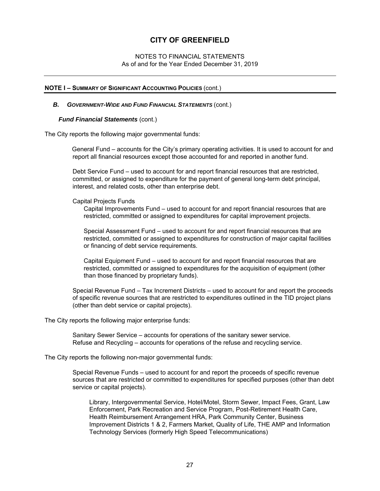#### NOTES TO FINANCIAL STATEMENTS As of and for the Year Ended December 31, 2019

#### **NOTE I – SUMMARY OF SIGNIFICANT ACCOUNTING POLICIES** (cont.)

#### *B. GOVERNMENT-WIDE AND FUND FINANCIAL STATEMENTS* (cont.)

#### *Fund Financial Statements (cont.)*

The City reports the following major governmental funds:

General Fund – accounts for the City's primary operating activities. It is used to account for and report all financial resources except those accounted for and reported in another fund.

Debt Service Fund – used to account for and report financial resources that are restricted, committed, or assigned to expenditure for the payment of general long-term debt principal, interest, and related costs, other than enterprise debt.

#### Capital Projects Funds

Capital Improvements Fund – used to account for and report financial resources that are restricted, committed or assigned to expenditures for capital improvement projects.

Special Assessment Fund – used to account for and report financial resources that are restricted, committed or assigned to expenditures for construction of major capital facilities or financing of debt service requirements.

Capital Equipment Fund – used to account for and report financial resources that are restricted, committed or assigned to expenditures for the acquisition of equipment (other than those financed by proprietary funds).

 Special Revenue Fund – Tax Increment Districts – used to account for and report the proceeds of specific revenue sources that are restricted to expenditures outlined in the TID project plans (other than debt service or capital projects).

The City reports the following major enterprise funds:

Sanitary Sewer Service – accounts for operations of the sanitary sewer service. Refuse and Recycling – accounts for operations of the refuse and recycling service.

The City reports the following non-major governmental funds:

Special Revenue Funds – used to account for and report the proceeds of specific revenue sources that are restricted or committed to expenditures for specified purposes (other than debt service or capital projects).

Library, Intergovernmental Service, Hotel/Motel, Storm Sewer, Impact Fees, Grant, Law Enforcement, Park Recreation and Service Program, Post-Retirement Health Care, Health Reimbursement Arrangement HRA, Park Community Center, Business Improvement Districts 1 & 2, Farmers Market, Quality of Life, THE AMP and Information Technology Services (formerly High Speed Telecommunications)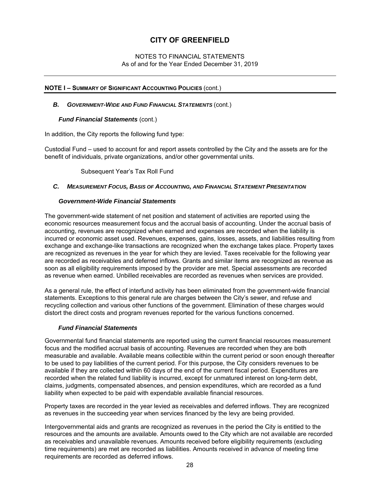### NOTES TO FINANCIAL STATEMENTS As of and for the Year Ended December 31, 2019

#### **NOTE I – SUMMARY OF SIGNIFICANT ACCOUNTING POLICIES** (cont.)

#### *B. GOVERNMENT-WIDE AND FUND FINANCIAL STATEMENTS* (cont.)

#### *Fund Financial Statements (cont.)*

In addition, the City reports the following fund type:

Custodial Fund – used to account for and report assets controlled by the City and the assets are for the benefit of individuals, private organizations, and/or other governmental units.

Subsequent Year's Tax Roll Fund

#### *C. MEASUREMENT FOCUS, BASIS OF ACCOUNTING, AND FINANCIAL STATEMENT PRESENTATION*

#### *Government-Wide Financial Statements*

The government-wide statement of net position and statement of activities are reported using the economic resources measurement focus and the accrual basis of accounting. Under the accrual basis of accounting, revenues are recognized when earned and expenses are recorded when the liability is incurred or economic asset used. Revenues, expenses, gains, losses, assets, and liabilities resulting from exchange and exchange-like transactions are recognized when the exchange takes place. Property taxes are recognized as revenues in the year for which they are levied. Taxes receivable for the following year are recorded as receivables and deferred inflows. Grants and similar items are recognized as revenue as soon as all eligibility requirements imposed by the provider are met. Special assessments are recorded as revenue when earned. Unbilled receivables are recorded as revenues when services are provided.

As a general rule, the effect of interfund activity has been eliminated from the government-wide financial statements. Exceptions to this general rule are charges between the City's sewer, and refuse and recycling collection and various other functions of the government. Elimination of these charges would distort the direct costs and program revenues reported for the various functions concerned.

#### *Fund Financial Statements*

Governmental fund financial statements are reported using the current financial resources measurement focus and the modified accrual basis of accounting. Revenues are recorded when they are both measurable and available. Available means collectible within the current period or soon enough thereafter to be used to pay liabilities of the current period. For this purpose, the City considers revenues to be available if they are collected within 60 days of the end of the current fiscal period. Expenditures are recorded when the related fund liability is incurred, except for unmatured interest on long-term debt, claims, judgments, compensated absences, and pension expenditures, which are recorded as a fund liability when expected to be paid with expendable available financial resources.

Property taxes are recorded in the year levied as receivables and deferred inflows. They are recognized as revenues in the succeeding year when services financed by the levy are being provided.

Intergovernmental aids and grants are recognized as revenues in the period the City is entitled to the resources and the amounts are available. Amounts owed to the City which are not available are recorded as receivables and unavailable revenues. Amounts received before eligibility requirements (excluding time requirements) are met are recorded as liabilities. Amounts received in advance of meeting time requirements are recorded as deferred inflows.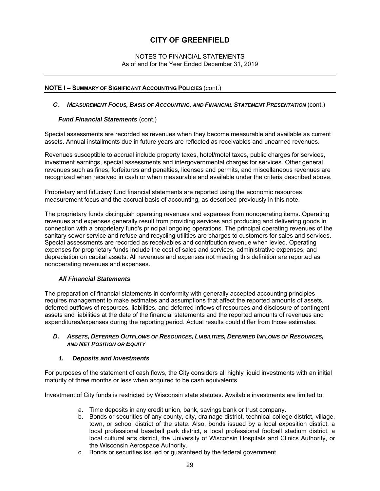### NOTES TO FINANCIAL STATEMENTS As of and for the Year Ended December 31, 2019

#### **NOTE I – SUMMARY OF SIGNIFICANT ACCOUNTING POLICIES** (cont.)

### *C. MEASUREMENT FOCUS, BASIS OF ACCOUNTING, AND FINANCIAL STATEMENT PRESENTATION* (cont.)

### *Fund Financial Statements (cont.)*

Special assessments are recorded as revenues when they become measurable and available as current assets. Annual installments due in future years are reflected as receivables and unearned revenues.

Revenues susceptible to accrual include property taxes, hotel/motel taxes, public charges for services, investment earnings, special assessments and intergovernmental charges for services. Other general revenues such as fines, forfeitures and penalties, licenses and permits, and miscellaneous revenues are recognized when received in cash or when measurable and available under the criteria described above.

Proprietary and fiduciary fund financial statements are reported using the economic resources measurement focus and the accrual basis of accounting, as described previously in this note.

The proprietary funds distinguish operating revenues and expenses from nonoperating items. Operating revenues and expenses generally result from providing services and producing and delivering goods in connection with a proprietary fund's principal ongoing operations. The principal operating revenues of the sanitary sewer service and refuse and recycling utilities are charges to customers for sales and services. Special assessments are recorded as receivables and contribution revenue when levied. Operating expenses for proprietary funds include the cost of sales and services, administrative expenses, and depreciation on capital assets. All revenues and expenses not meeting this definition are reported as nonoperating revenues and expenses.

#### *All Financial Statements*

The preparation of financial statements in conformity with generally accepted accounting principles requires management to make estimates and assumptions that affect the reported amounts of assets, deferred outflows of resources, liabilities, and deferred inflows of resources and disclosure of contingent assets and liabilities at the date of the financial statements and the reported amounts of revenues and expenditures/expenses during the reporting period. Actual results could differ from those estimates.

### *D. ASSETS, DEFERRED OUTFLOWS OF RESOURCES, LIABILITIES, DEFERRED INFLOWS OF RESOURCES, AND NET POSITION OR EQUITY*

#### *1. Deposits and Investments*

For purposes of the statement of cash flows, the City considers all highly liquid investments with an initial maturity of three months or less when acquired to be cash equivalents.

Investment of City funds is restricted by Wisconsin state statutes. Available investments are limited to:

- a. Time deposits in any credit union, bank, savings bank or trust company.
- b. Bonds or securities of any county, city, drainage district, technical college district, village, town, or school district of the state. Also, bonds issued by a local exposition district, a local professional baseball park district, a local professional football stadium district, a local cultural arts district, the University of Wisconsin Hospitals and Clinics Authority, or the Wisconsin Aerospace Authority.
- c. Bonds or securities issued or guaranteed by the federal government.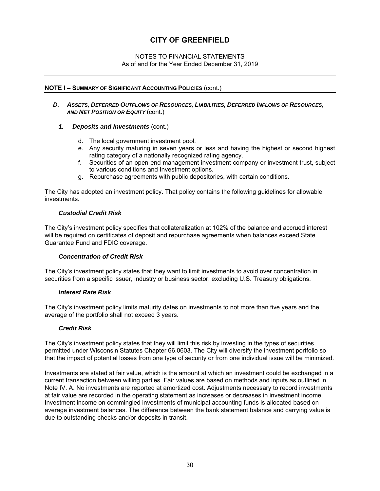### NOTES TO FINANCIAL STATEMENTS As of and for the Year Ended December 31, 2019

#### **NOTE I – SUMMARY OF SIGNIFICANT ACCOUNTING POLICIES** (cont.)

- *D. ASSETS, DEFERRED OUTFLOWS OF RESOURCES, LIABILITIES, DEFERRED INFLOWS OF RESOURCES, AND NET POSITION OR EQUITY* (cont.)
	- *1. Deposits and Investments* (cont.)
		- d. The local government investment pool.
		- e. Any security maturing in seven years or less and having the highest or second highest rating category of a nationally recognized rating agency.
		- f. Securities of an open-end management investment company or investment trust, subject to various conditions and Investment options.
		- g. Repurchase agreements with public depositories, with certain conditions.

The City has adopted an investment policy. That policy contains the following guidelines for allowable investments.

### *Custodial Credit Risk*

The City's investment policy specifies that collateralization at 102% of the balance and accrued interest will be required on certificates of deposit and repurchase agreements when balances exceed State Guarantee Fund and FDIC coverage.

#### *Concentration of Credit Risk*

The City's investment policy states that they want to limit investments to avoid over concentration in securities from a specific issuer, industry or business sector, excluding U.S. Treasury obligations.

#### *Interest Rate Risk*

The City's investment policy limits maturity dates on investments to not more than five years and the average of the portfolio shall not exceed 3 years.

#### *Credit Risk*

The City's investment policy states that they will limit this risk by investing in the types of securities permitted under Wisconsin Statutes Chapter 66.0603. The City will diversify the investment portfolio so that the impact of potential losses from one type of security or from one individual issue will be minimized.

Investments are stated at fair value, which is the amount at which an investment could be exchanged in a current transaction between willing parties. Fair values are based on methods and inputs as outlined in Note IV. A. No investments are reported at amortized cost. Adjustments necessary to record investments at fair value are recorded in the operating statement as increases or decreases in investment income. Investment income on commingled investments of municipal accounting funds is allocated based on average investment balances. The difference between the bank statement balance and carrying value is due to outstanding checks and/or deposits in transit.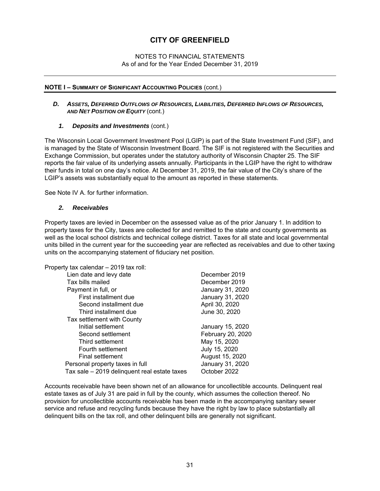### NOTES TO FINANCIAL STATEMENTS As of and for the Year Ended December 31, 2019

#### **NOTE I – SUMMARY OF SIGNIFICANT ACCOUNTING POLICIES** (cont.)

### *D. ASSETS, DEFERRED OUTFLOWS OF RESOURCES, LIABILITIES, DEFERRED INFLOWS OF RESOURCES, AND NET POSITION OR EQUITY* (cont.)

### *1. Deposits and Investments* (cont.)

The Wisconsin Local Government Investment Pool (LGIP) is part of the State Investment Fund (SIF), and is managed by the State of Wisconsin Investment Board. The SIF is not registered with the Securities and Exchange Commission, but operates under the statutory authority of Wisconsin Chapter 25. The SIF reports the fair value of its underlying assets annually. Participants in the LGIP have the right to withdraw their funds in total on one day's notice. At December 31, 2019, the fair value of the City's share of the LGIP's assets was substantially equal to the amount as reported in these statements.

See Note IV A. for further information.

### *2. Receivables*

Property taxes are levied in December on the assessed value as of the prior January 1. In addition to property taxes for the City, taxes are collected for and remitted to the state and county governments as well as the local school districts and technical college district. Taxes for all state and local governmental units billed in the current year for the succeeding year are reflected as receivables and due to other taxing units on the accompanying statement of fiduciary net position.

| December 2019     |
|-------------------|
| December 2019     |
| January 31, 2020  |
| January 31, 2020  |
| April 30, 2020    |
| June 30, 2020     |
|                   |
| January 15, 2020  |
| February 20, 2020 |
| May 15, 2020      |
| July 15, 2020     |
| August 15, 2020   |
| January 31, 2020  |
| October 2022      |
|                   |

Accounts receivable have been shown net of an allowance for uncollectible accounts. Delinquent real estate taxes as of July 31 are paid in full by the county, which assumes the collection thereof. No provision for uncollectible accounts receivable has been made in the accompanying sanitary sewer service and refuse and recycling funds because they have the right by law to place substantially all delinquent bills on the tax roll, and other delinquent bills are generally not significant.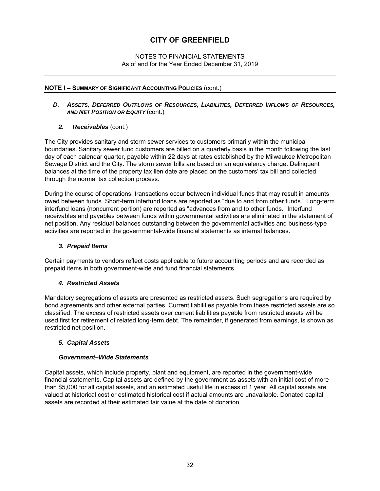### NOTES TO FINANCIAL STATEMENTS As of and for the Year Ended December 31, 2019

### **NOTE I – SUMMARY OF SIGNIFICANT ACCOUNTING POLICIES** (cont.)

### *D. ASSETS, DEFERRED OUTFLOWS OF RESOURCES, LIABILITIES, DEFERRED INFLOWS OF RESOURCES, AND NET POSITION OR EQUITY* (cont.)

### 2. Receivables (cont.)

The City provides sanitary and storm sewer services to customers primarily within the municipal boundaries. Sanitary sewer fund customers are billed on a quarterly basis in the month following the last day of each calendar quarter, payable within 22 days at rates established by the Milwaukee Metropolitan Sewage District and the City. The storm sewer bills are based on an equivalency charge. Delinquent balances at the time of the property tax lien date are placed on the customers' tax bill and collected through the normal tax collection process.

During the course of operations, transactions occur between individual funds that may result in amounts owed between funds. Short-term interfund loans are reported as "due to and from other funds." Long-term interfund loans (noncurrent portion) are reported as "advances from and to other funds." Interfund receivables and payables between funds within governmental activities are eliminated in the statement of net position. Any residual balances outstanding between the governmental activities and business-type activities are reported in the governmental-wide financial statements as internal balances.

### *3. Prepaid Items*

Certain payments to vendors reflect costs applicable to future accounting periods and are recorded as prepaid items in both government-wide and fund financial statements.

### *4. Restricted Assets*

Mandatory segregations of assets are presented as restricted assets. Such segregations are required by bond agreements and other external parties. Current liabilities payable from these restricted assets are so classified. The excess of restricted assets over current liabilities payable from restricted assets will be used first for retirement of related long-term debt. The remainder, if generated from earnings, is shown as restricted net position.

### *5. Capital Assets*

### *Government–Wide Statements*

Capital assets, which include property, plant and equipment, are reported in the government-wide financial statements. Capital assets are defined by the government as assets with an initial cost of more than \$5,000 for all capital assets, and an estimated useful life in excess of 1 year. All capital assets are valued at historical cost or estimated historical cost if actual amounts are unavailable. Donated capital assets are recorded at their estimated fair value at the date of donation.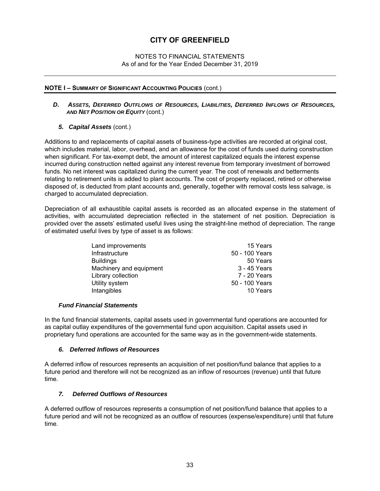# NOTES TO FINANCIAL STATEMENTS As of and for the Year Ended December 31, 2019

## **NOTE I – SUMMARY OF SIGNIFICANT ACCOUNTING POLICIES** (cont.)

# *D. ASSETS, DEFERRED OUTFLOWS OF RESOURCES, LIABILITIES, DEFERRED INFLOWS OF RESOURCES, AND NET POSITION OR EQUITY* (cont.)

*5. Capital Assets* (cont.)

Additions to and replacements of capital assets of business-type activities are recorded at original cost, which includes material, labor, overhead, and an allowance for the cost of funds used during construction when significant. For tax-exempt debt, the amount of interest capitalized equals the interest expense incurred during construction netted against any interest revenue from temporary investment of borrowed funds. No net interest was capitalized during the current year. The cost of renewals and betterments relating to retirement units is added to plant accounts. The cost of property replaced, retired or otherwise disposed of, is deducted from plant accounts and, generally, together with removal costs less salvage, is charged to accumulated depreciation.

Depreciation of all exhaustible capital assets is recorded as an allocated expense in the statement of activities, with accumulated depreciation reflected in the statement of net position. Depreciation is provided over the assets' estimated useful lives using the straight-line method of depreciation. The range of estimated useful lives by type of asset is as follows:

| Land improvements       | 15 Years       |
|-------------------------|----------------|
| Infrastructure          | 50 - 100 Years |
| <b>Buildings</b>        | 50 Years       |
| Machinery and equipment | 3 - 45 Years   |
| Library collection      | 7 - 20 Years   |
| Utility system          | 50 - 100 Years |
| Intangibles             | 10 Years       |

## *Fund Financial Statements*

In the fund financial statements, capital assets used in governmental fund operations are accounted for as capital outlay expenditures of the governmental fund upon acquisition. Capital assets used in proprietary fund operations are accounted for the same way as in the government-wide statements.

## *6. Deferred Inflows of Resources*

A deferred inflow of resources represents an acquisition of net position/fund balance that applies to a future period and therefore will not be recognized as an inflow of resources (revenue) until that future time.

## *7. Deferred Outflows of Resources*

A deferred outflow of resources represents a consumption of net position/fund balance that applies to a future period and will not be recognized as an outflow of resources (expense/expenditure) until that future time.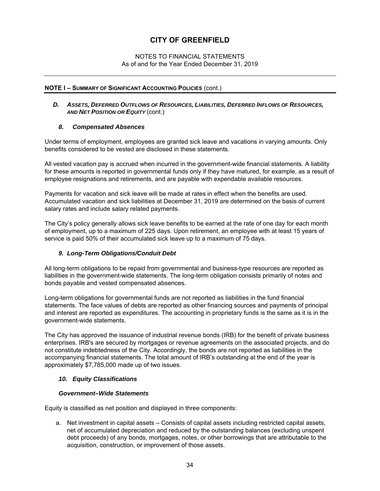# NOTES TO FINANCIAL STATEMENTS As of and for the Year Ended December 31, 2019

## **NOTE I – SUMMARY OF SIGNIFICANT ACCOUNTING POLICIES** (cont.)

# *D. ASSETS, DEFERRED OUTFLOWS OF RESOURCES, LIABILITIES, DEFERRED INFLOWS OF RESOURCES, AND NET POSITION OR EQUITY* (cont.)

# *8. Compensated Absences*

Under terms of employment, employees are granted sick leave and vacations in varying amounts. Only benefits considered to be vested are disclosed in these statements.

All vested vacation pay is accrued when incurred in the government-wide financial statements. A liability for these amounts is reported in governmental funds only if they have matured, for example, as a result of employee resignations and retirements, and are payable with expendable available resources.

Payments for vacation and sick leave will be made at rates in effect when the benefits are used. Accumulated vacation and sick liabilities at December 31, 2019 are determined on the basis of current salary rates and include salary related payments.

The City's policy generally allows sick leave benefits to be earned at the rate of one day for each month of employment, up to a maximum of 225 days. Upon retirement, an employee with at least 15 years of service is paid 50% of their accumulated sick leave up to a maximum of 75 days.

# *9. Long-Term Obligations/Conduit Debt*

All long-term obligations to be repaid from governmental and business-type resources are reported as liabilities in the government-wide statements. The long-term obligation consists primarily of notes and bonds payable and vested compensated absences.

Long-term obligations for governmental funds are not reported as liabilities in the fund financial statements. The face values of debts are reported as other financing sources and payments of principal and interest are reported as expenditures. The accounting in proprietary funds is the same as it is in the government-wide statements.

The City has approved the issuance of industrial revenue bonds (IRB) for the benefit of private business enterprises. IRB's are secured by mortgages or revenue agreements on the associated projects, and do not constitute indebtedness of the City. Accordingly, the bonds are not reported as liabilities in the accompanying financial statements. The total amount of IRB's outstanding at the end of the year is approximately \$7,785,000 made up of two issues.

# *10. Equity Classifications*

# *Government–Wide Statements*

Equity is classified as net position and displayed in three components:

a. Net investment in capital assets – Consists of capital assets including restricted capital assets, net of accumulated depreciation and reduced by the outstanding balances (excluding unspent debt proceeds) of any bonds, mortgages, notes, or other borrowings that are attributable to the acquisition, construction, or improvement of those assets.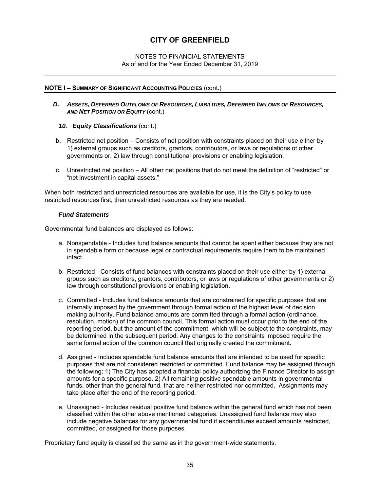## NOTES TO FINANCIAL STATEMENTS As of and for the Year Ended December 31, 2019

### **NOTE I – SUMMARY OF SIGNIFICANT ACCOUNTING POLICIES** (cont.)

*D. ASSETS, DEFERRED OUTFLOWS OF RESOURCES, LIABILITIES, DEFERRED INFLOWS OF RESOURCES, AND NET POSITION OR EQUITY* (cont.)

## *10. Equity Classifications* (cont.)

- b. Restricted net position Consists of net position with constraints placed on their use either by 1) external groups such as creditors, grantors, contributors, or laws or regulations of other governments or, 2) law through constitutional provisions or enabling legislation.
- c. Unrestricted net position All other net positions that do not meet the definition of "restricted" or "net investment in capital assets."

When both restricted and unrestricted resources are available for use, it is the City's policy to use restricted resources first, then unrestricted resources as they are needed.

## *Fund Statements*

Governmental fund balances are displayed as follows:

- a. Nonspendable Includes fund balance amounts that cannot be spent either because they are not in spendable form or because legal or contractual requirements require them to be maintained intact.
- b. Restricted Consists of fund balances with constraints placed on their use either by 1) external groups such as creditors, grantors, contributors, or laws or regulations of other governments or 2) law through constitutional provisions or enabling legislation.
- c. Committed Includes fund balance amounts that are constrained for specific purposes that are internally imposed by the government through formal action of the highest level of decision making authority. Fund balance amounts are committed through a formal action (ordinance, resolution, motion) of the common council. This formal action must occur prior to the end of the reporting period, but the amount of the commitment, which will be subject to the constraints, may be determined in the subsequent period. Any changes to the constraints imposed require the same formal action of the common council that originally created the commitment.
- d. Assigned Includes spendable fund balance amounts that are intended to be used for specific purposes that are not considered restricted or committed. Fund balance may be assigned through the following; 1) The City has adopted a financial policy authorizing the Finance Director to assign amounts for a specific purpose. 2) All remaining positive spendable amounts in governmental funds, other than the general fund, that are neither restricted nor committed. Assignments may take place after the end of the reporting period.
- e. Unassigned Includes residual positive fund balance within the general fund which has not been classified within the other above mentioned categories. Unassigned fund balance may also include negative balances for any governmental fund if expenditures exceed amounts restricted, committed, or assigned for those purposes.

Proprietary fund equity is classified the same as in the government-wide statements.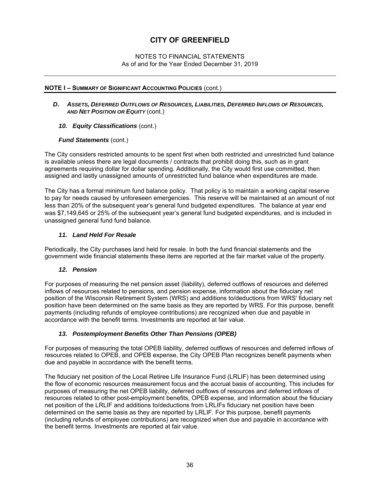# NOTES TO FINANCIAL STATEMENTS As of and for the Year Ended December 31, 2019

## **NOTE I – SUMMARY OF SIGNIFICANT ACCOUNTING POLICIES** (cont.)

*D. ASSETS, DEFERRED OUTFLOWS OF RESOURCES, LIABILITIES, DEFERRED INFLOWS OF RESOURCES, AND NET POSITION OR EQUITY* (cont.)

# *10. Equity Classifications* (cont.)

# *Fund Statements (cont.)*

The City considers restricted amounts to be spent first when both restricted and unrestricted fund balance is available unless there are legal documents / contracts that prohibit doing this, such as in grant agreements requiring dollar for dollar spending. Additionally, the City would first use committed, then assigned and lastly unassigned amounts of unrestricted fund balance when expenditures are made.

The City has a formal minimum fund balance policy. That policy is to maintain a working capital reserve to pay for needs caused by unforeseen emergencies. This reserve will be maintained at an amount of not less than 20% of the subsequent year's general fund budgeted expenditures. The balance at year end was \$7,149,645 or 25% of the subsequent year's general fund budgeted expenditures, and is included in unassigned general fund fund balance.

# *11. Land Held For Resale*

Periodically, the City purchases land held for resale. In both the fund financial statements and the government wide financial statements these items are reported at the fair market value of the property.

# *12. Pension*

For purposes of measuring the net pension asset (liability), deferred outflows of resources and deferred inflows of resources related to pensions, and pension expense, information about the fiduciary net position of the Wisconsin Retirement System (WRS) and additions to/deductions from WRS' fiduciary net position have been determined on the same basis as they are reported by WRS. For this purpose, benefit payments (including refunds of employee contributions) are recognized when due and payable in accordance with the benefit terms. Investments are reported at fair value.

# *13. Postemployment Benefits Other Than Pensions (OPEB)*

For purposes of measuring the total OPEB liability, deferred outflows of resources and deferred inflows of resources related to OPEB, and OPEB expense, the City OPEB Plan recognizes benefit payments when due and payable in accordance with the benefit terms.

The fiduciary net position of the Local Retiree Life Insurance Fund (LRLIF) has been determined using the flow of economic resources measurement focus and the accrual basis of accounting. This includes for purposes of measuring the net OPEB liability, deferred outflows of resources and deferred inflows of resources related to other post-employment benefits, OPEB expense, and information about the fiduciary net position of the LRLIF and additions to/deductions from LRLIFs fiduciary net position have been determined on the same basis as they are reported by LRLIF. For this purpose, benefit payments (including refunds of employee contributions) are recognized when due and payable in accordance with the benefit terms. Investments are reported at fair value.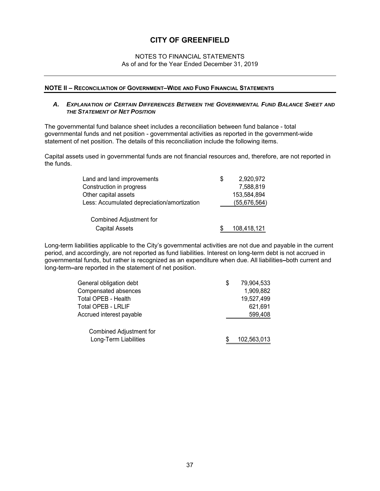# NOTES TO FINANCIAL STATEMENTS As of and for the Year Ended December 31, 2019

### **NOTE II – RECONCILIATION OF GOVERNMENT–WIDE AND FUND FINANCIAL STATEMENTS**

## A. EXPLANATION OF CERTAIN DIFFERENCES BETWEEN THE GOVERNMENTAL FUND BALANCE SHEET AND *THE STATEMENT OF NET POSITION*

The governmental fund balance sheet includes a reconciliation between fund balance - total governmental funds and net position - governmental activities as reported in the government-wide statement of net position. The details of this reconciliation include the following items.

Capital assets used in governmental funds are not financial resources and, therefore, are not reported in the funds.

| Land and land improvements                  | S | 2,920,972      |
|---------------------------------------------|---|----------------|
| Construction in progress                    |   | 7,588,819      |
| Other capital assets                        |   | 153,584,894    |
| Less: Accumulated depreciation/amortization |   | (55, 676, 564) |
| <b>Combined Adjustment for</b>              |   |                |
| <b>Capital Assets</b>                       |   | 108,418,121    |

Long-term liabilities applicable to the City's governmental activities are not due and payable in the current period, and accordingly, are not reported as fund liabilities. Interest on long-term debt is not accrued in governmental funds, but rather is recognized as an expenditure when due. All liabilities**–**both current and long-term**–**are reported in the statement of net position.

| General obligation debt                                 | \$<br>79,904,533 |
|---------------------------------------------------------|------------------|
| Compensated absences                                    | 1,909,882        |
| <b>Total OPEB - Health</b>                              | 19,527,499       |
| Total OPEB - LRLIF                                      | 621,691          |
| Accrued interest payable                                | 599,408          |
| <b>Combined Adjustment for</b><br>Long-Term Liabilities | 102,563,013      |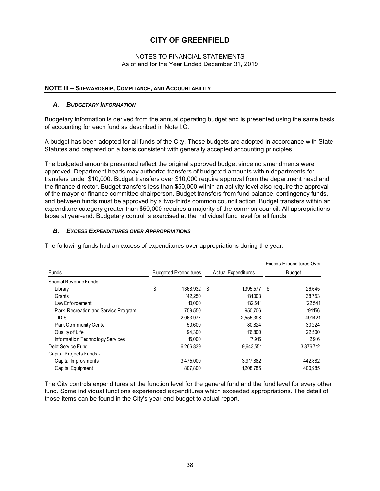# NOTES TO FINANCIAL STATEMENTS As of and for the Year Ended December 31, 2019

### **NOTE III – STEWARDSHIP, COMPLIANCE, AND ACCOUNTABILITY**

### *A. BUDGETARY INFORMATION*

Budgetary information is derived from the annual operating budget and is presented using the same basis of accounting for each fund as described in Note I.C.

A budget has been adopted for all funds of the City. These budgets are adopted in accordance with State Statutes and prepared on a basis consistent with generally accepted accounting principles.

The budgeted amounts presented reflect the original approved budget since no amendments were approved. Department heads may authorize transfers of budgeted amounts within departments for transfers under \$10,000. Budget transfers over \$10,000 require approval from the department head and the finance director. Budget transfers less than \$50,000 within an activity level also require the approval of the mayor or finance committee chairperson. Budget transfers from fund balance, contingency funds, and between funds must be approved by a two-thirds common council action. Budget transfers within an expenditure category greater than \$50,000 requires a majority of the common council. All appropriations lapse at year-end. Budgetary control is exercised at the individual fund level for all funds.

## *B. EXCESS EXPENDITURES OVER APPROPRIATIONS*

The following funds had an excess of expenditures over appropriations during the year.

|                                      |                              |    |                            |               | Excess Expenditures Over |  |
|--------------------------------------|------------------------------|----|----------------------------|---------------|--------------------------|--|
| Funds                                | <b>Budgeted Expenditures</b> |    | <b>Actual Expenditures</b> | <b>Budget</b> |                          |  |
| Special Revenue Funds -              |                              |    |                            |               |                          |  |
| Library                              | \$<br>1368.932               | Ŝ. | 1395.577                   | \$            | 26,645                   |  |
| Grants                               | 142,250                      |    | 181.003                    |               | 38,753                   |  |
| Law Enforcement                      | 10.000                       |    | 132.541                    |               | 122,541                  |  |
| Park, Recreation and Service Program | 759,550                      |    | 950,706                    |               | 191,156                  |  |
| TID'S                                | 2,063,977                    |    | 2,555,398                  |               | 491,421                  |  |
| <b>Park Community Center</b>         | 50,600                       |    | 80.824                     |               | 30,224                   |  |
| Quality of Life                      | 94,300                       |    | 116,800                    |               | 22,500                   |  |
| Information Technology Services      | 15.000                       |    | 17.916                     |               | 2,916                    |  |
| Debt Service Fund                    | 6,266,839                    |    | 9,643,551                  |               | 3,376,712                |  |
| Capital Projects Funds -             |                              |    |                            |               |                          |  |
| Capital Improvments                  | 3,475,000                    |    | 3,917,882                  |               | 442,882                  |  |
| Capital Equipment                    | 807.800                      |    | 1,208,785                  |               | 400.985                  |  |

The City controls expenditures at the function level for the general fund and the fund level for every other fund. Some individual functions experienced expenditures which exceeded appropriations. The detail of those items can be found in the City's year-end budget to actual report.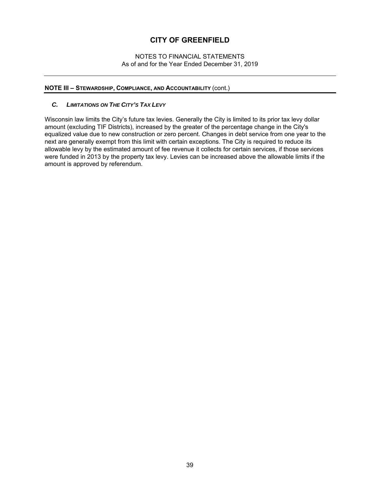# NOTES TO FINANCIAL STATEMENTS As of and for the Year Ended December 31, 2019

## **NOTE III – STEWARDSHIP, COMPLIANCE, AND ACCOUNTABILITY** (cont.)

# *C. LIMITATIONS ON THE CITY'S TAX LEVY*

Wisconsin law limits the City's future tax levies. Generally the City is limited to its prior tax levy dollar amount (excluding TIF Districts), increased by the greater of the percentage change in the City's equalized value due to new construction or zero percent. Changes in debt service from one year to the next are generally exempt from this limit with certain exceptions. The City is required to reduce its allowable levy by the estimated amount of fee revenue it collects for certain services, if those services were funded in 2013 by the property tax levy. Levies can be increased above the allowable limits if the amount is approved by referendum.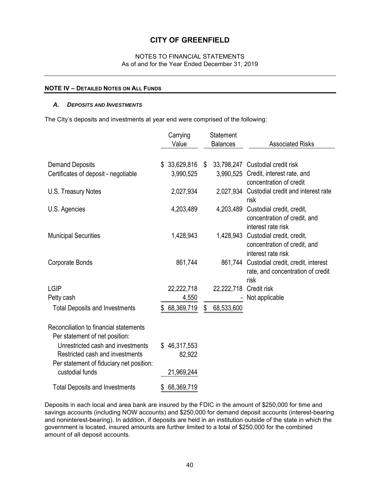# NOTES TO FINANCIAL STATEMENTS As of and for the Year Ended December 31, 2019

## **NOTE IV – DETAILED NOTES ON ALL FUNDS**

### *A. DEPOSITS AND INVESTMENTS*

The City's deposits and investments at year end were comprised of the following:

|                                                                                                                  | Carrying<br>Value             | Statement<br><b>Balances</b> |            | <b>Associated Risks</b>                                                                             |
|------------------------------------------------------------------------------------------------------------------|-------------------------------|------------------------------|------------|-----------------------------------------------------------------------------------------------------|
|                                                                                                                  |                               |                              |            |                                                                                                     |
| <b>Demand Deposits</b><br>Certificates of deposit - negotiable                                                   | \$<br>33,629,816<br>3,990,525 | \$                           |            | 33,798,247 Custodial credit risk<br>3,990,525 Credit, interest rate, and<br>concentration of credit |
| U.S. Treasury Notes                                                                                              | 2,027,934                     |                              |            | 2,027,934 Custodial credit and interest rate<br>risk                                                |
| U.S. Agencies                                                                                                    | 4,203,489                     |                              | 4,203,489  | Custodial credit, credit,<br>concentration of credit, and<br>interest rate risk                     |
| <b>Municipal Securities</b>                                                                                      | 1,428,943                     |                              |            | 1,428,943 Custodial credit, credit,<br>concentration of credit, and<br>interest rate risk           |
| Corporate Bonds                                                                                                  | 861,744                       |                              |            | 861,744 Custodial credit, credit, interest<br>rate, and concentration of credit<br>risk             |
| <b>LGIP</b>                                                                                                      | 22,222,718                    |                              | 22,222,718 | Credit risk                                                                                         |
| Petty cash                                                                                                       | 4,550                         |                              |            | Not applicable                                                                                      |
| <b>Total Deposits and Investments</b>                                                                            | \$<br>68,369,719              | \$                           | 68,533,600 |                                                                                                     |
| Reconciliation to financial statements<br>Per statement of net position:                                         |                               |                              |            |                                                                                                     |
| Unrestricted cash and investments<br>Restricted cash and investments<br>Per statement of fiduciary net position: | \$<br>46,317,553<br>82,922    |                              |            |                                                                                                     |
| custodial funds                                                                                                  | 21,969,244                    |                              |            |                                                                                                     |
| <b>Total Deposits and Investments</b>                                                                            | \$<br>68,369,719              |                              |            |                                                                                                     |

Deposits in each local and area bank are insured by the FDIC in the amount of \$250,000 for time and savings accounts (including NOW accounts) and \$250,000 for demand deposit accounts (interest-bearing and noninterest-bearing). In addition, if deposits are held in an institution outside of the state in which the government is located, insured amounts are further limited to a total of \$250,000 for the combined amount of all deposit accounts.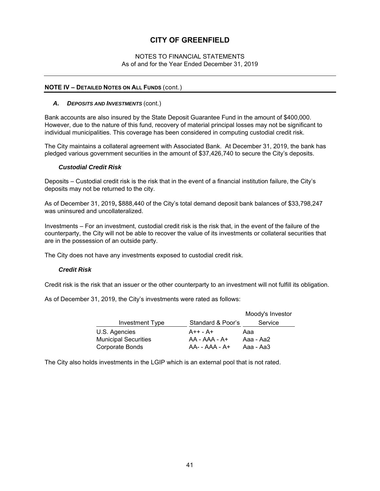## NOTES TO FINANCIAL STATEMENTS As of and for the Year Ended December 31, 2019

### **NOTE IV – DETAILED NOTES ON ALL FUNDS** (cont.)

### A. DEPOSITS AND **INVESTMENTS** (cont.)

Bank accounts are also insured by the State Deposit Guarantee Fund in the amount of \$400,000. However, due to the nature of this fund, recovery of material principal losses may not be significant to individual municipalities. This coverage has been considered in computing custodial credit risk.

The City maintains a collateral agreement with Associated Bank. At December 31, 2019, the bank has pledged various government securities in the amount of \$37,426,740 to secure the City's deposits.

### *Custodial Credit Risk*

Deposits – Custodial credit risk is the risk that in the event of a financial institution failure, the City's deposits may not be returned to the city.

As of December 31, 2019**,** \$888,440 of the City's total demand deposit bank balances of \$33,798,247 was uninsured and uncollateralized.

Investments – For an investment, custodial credit risk is the risk that, in the event of the failure of the counterparty, the City will not be able to recover the value of its investments or collateral securities that are in the possession of an outside party.

The City does not have any investments exposed to custodial credit risk.

## *Credit Risk*

Credit risk is the risk that an issuer or the other counterparty to an investment will not fulfill its obligation.

As of December 31, 2019, the City's investments were rated as follows:

|                             |                   | Moody's Investor |
|-----------------------------|-------------------|------------------|
| Investment Type             | Standard & Poor's | Service          |
| U.S. Agencies               | A++ - A+          | Aaa              |
| <b>Municipal Securities</b> | $AA - AAA - A+$   | Aaa - Aa2        |
| Corporate Bonds             | AA- - AAA - A+    | Aaa - Aa3        |

The City also holds investments in the LGIP which is an external pool that is not rated.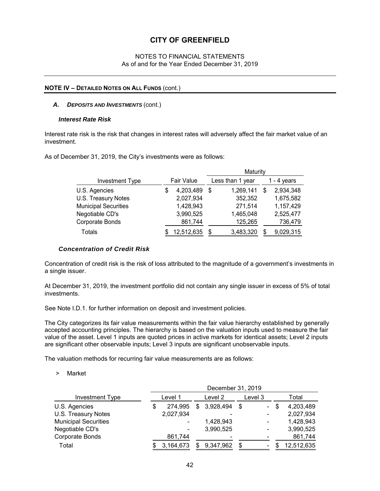# NOTES TO FINANCIAL STATEMENTS As of and for the Year Ended December 31, 2019

### **NOTE IV – DETAILED NOTES ON ALL FUNDS** (cont.)

### A. DEPOSITS AND **INVESTMENTS** (cont.)

#### *Interest Rate Risk*

Interest rate risk is the risk that changes in interest rates will adversely affect the fair market value of an investment.

As of December 31, 2019, the City's investments were as follows:

|                             |                   | Maturity |                  |    |           |  |
|-----------------------------|-------------------|----------|------------------|----|-----------|--|
| <b>Investment Type</b>      | <b>Fair Value</b> |          | Less than 1 year |    | 4 years   |  |
| U.S. Agencies               | \$<br>4,203,489   | \$       | 1,269,141        | \$ | 2,934,348 |  |
| U.S. Treasury Notes         | 2,027,934         |          | 352,352          |    | 1,675,582 |  |
| <b>Municipal Securities</b> | 1,428,943         |          | 271,514          |    | 1,157,429 |  |
| Negotiable CD's             | 3,990,525         |          | 1,465,048        |    | 2,525,477 |  |
| Corporate Bonds             | 861,744           |          | 125,265          |    | 736,479   |  |
| Totals                      | 12,512,635        | \$       | 3,483,320        | S  | 9,029,315 |  |

# *Concentration of Credit Risk*

Concentration of credit risk is the risk of loss attributed to the magnitude of a government's investments in a single issuer.

At December 31, 2019, the investment portfolio did not contain any single issuer in excess of 5% of total investments.

See Note I.D.1. for further information on deposit and investment policies.

The City categorizes its fair value measurements within the fair value hierarchy established by generally accepted accounting principles. The hierarchy is based on the valuation inputs used to measure the fair value of the asset. Level 1 inputs are quoted prices in active markets for identical assets; Level 2 inputs are significant other observable inputs; Level 3 inputs are significant unobservable inputs.

The valuation methods for recurring fair value measurements are as follows:

> Market

|                             | December 31, 2019 |     |           |    |                          |  |            |  |  |
|-----------------------------|-------------------|-----|-----------|----|--------------------------|--|------------|--|--|
| <b>Investment Type</b>      | Level 1           |     | Level 2   |    | Level 3                  |  | Total      |  |  |
| U.S. Agencies               | \$<br>274.995     | \$. | 3,928,494 | \$ | $\sim$                   |  | 4,203,489  |  |  |
| U.S. Treasury Notes         | 2,027,934         |     |           |    | ۰                        |  | 2,027,934  |  |  |
| <b>Municipal Securities</b> |                   |     | 1,428,943 |    | $\overline{\phantom{0}}$ |  | 1,428,943  |  |  |
| Negotiable CD's             | -                 |     | 3,990,525 |    | -                        |  | 3,990,525  |  |  |
| Corporate Bonds             | 861,744           |     |           |    |                          |  | 861,744    |  |  |
| Total                       | 3.164.673         |     | 9,347,962 | \$ | $\overline{\phantom{0}}$ |  | 12,512,635 |  |  |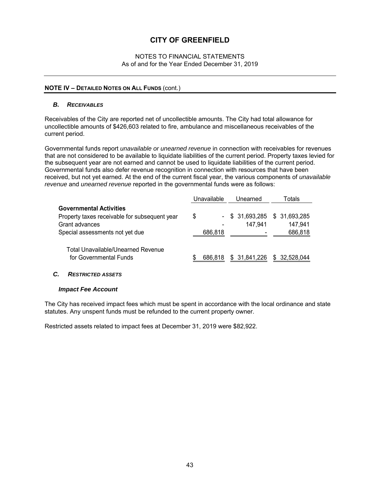## NOTES TO FINANCIAL STATEMENTS As of and for the Year Ended December 31, 2019

### **NOTE IV – DETAILED NOTES ON ALL FUNDS** (cont.)

### *B. RECEIVABLES*

Receivables of the City are reported net of uncollectible amounts. The City had total allowance for uncollectible amounts of \$426,603 related to fire, ambulance and miscellaneous receivables of the current period.

Governmental funds report *unavailable or unearned revenue* in connection with receivables for revenues that are not considered to be available to liquidate liabilities of the current period. Property taxes levied for the subsequent year are not earned and cannot be used to liquidate liabilities of the current period. Governmental funds also defer revenue recognition in connection with resources that have been received, but not yet earned. At the end of the current fiscal year, the various components of *unavailable revenue* and *unearned revenue* reported in the governmental funds were as follows:

|                                               | Unavailable                  |  | Unearned                        | Totals |               |  |
|-----------------------------------------------|------------------------------|--|---------------------------------|--------|---------------|--|
| <b>Governmental Activities</b>                |                              |  |                                 |        |               |  |
| Property taxes receivable for subsequent year | \$                           |  | $-$ \$ 31,693,285 \$ 31,693,285 |        |               |  |
| Grant advances                                | $\qquad \qquad \blacksquare$ |  | 147,941                         |        | 147.941       |  |
| Special assessments not yet due               | 686,818                      |  |                                 |        | 686,818       |  |
|                                               |                              |  |                                 |        |               |  |
| <b>Total Unavailable/Unearned Revenue</b>     |                              |  |                                 |        |               |  |
| for Governmental Funds                        | 686.818                      |  | \$31,841,226                    |        | \$ 32,528,044 |  |

## *C. RESTRICTED ASSETS*

#### *Impact Fee Account*

The City has received impact fees which must be spent in accordance with the local ordinance and state statutes. Any unspent funds must be refunded to the current property owner.

Restricted assets related to impact fees at December 31, 2019 were \$82,922.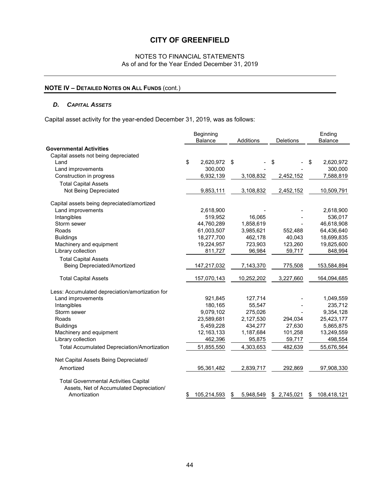# NOTES TO FINANCIAL STATEMENTS As of and for the Year Ended December 31, 2019

# **NOTE IV – DETAILED NOTES ON ALL FUNDS** (cont.)

### *D. CAPITAL ASSETS*

Capital asset activity for the year-ended December 31, 2019, was as follows:

|                                                                                          | Beginning         |                 |             | Ending            |
|------------------------------------------------------------------------------------------|-------------------|-----------------|-------------|-------------------|
|                                                                                          | Balance           | Additions       | Deletions   | <b>Balance</b>    |
| <b>Governmental Activities</b>                                                           |                   |                 |             |                   |
| Capital assets not being depreciated                                                     |                   |                 |             |                   |
| Land                                                                                     | \$<br>2,620,972   | \$              | \$          | \$<br>2,620,972   |
| Land improvements                                                                        | 300,000           |                 |             | 300,000           |
| Construction in progress                                                                 | 6,932,139         | 3,108,832       | 2,452,152   | 7,588,819         |
| <b>Total Capital Assets</b>                                                              |                   |                 |             |                   |
| Not Being Depreciated                                                                    | 9,853,111         | 3,108,832       | 2,452,152   | 10,509,791        |
| Capital assets being depreciated/amortized                                               |                   |                 |             |                   |
| Land improvements                                                                        | 2,618,900         |                 |             | 2,618,900         |
| Intangibles                                                                              | 519,952           | 16,065          |             | 536,017           |
| Storm sewer                                                                              | 44,760,289        | 1,858,619       |             | 46,618,908        |
| Roads                                                                                    | 61,003,507        | 3,985,621       | 552,488     | 64,436,640        |
| <b>Buildings</b>                                                                         | 18,277,700        | 462,178         | 40,043      | 18,699,835        |
| Machinery and equipment                                                                  | 19,224,957        | 723,903         | 123,260     | 19,825,600        |
| Library collection                                                                       | 811,727           | 96,984          | 59,717      | 848,994           |
| <b>Total Capital Assets</b>                                                              |                   |                 |             |                   |
| <b>Being Depreciated/Amortized</b>                                                       | 147,217,032       | 7,143,370       | 775,508     | 153,584,894       |
| <b>Total Capital Assets</b>                                                              | 157,070,143       | 10,252,202      | 3,227,660   | 164,094,685       |
| Less: Accumulated depreciation/amortization for                                          |                   |                 |             |                   |
| Land improvements                                                                        | 921,845           | 127,714         |             | 1,049,559         |
| Intangibles                                                                              | 180,165           | 55,547          |             | 235,712           |
| Storm sewer                                                                              | 9,079,102         | 275,026         |             | 9,354,128         |
| Roads                                                                                    | 23,589,681        | 2,127,530       | 294,034     | 25,423,177        |
| <b>Buildings</b>                                                                         | 5,459,228         | 434,277         | 27,630      | 5,865,875         |
| Machinery and equipment                                                                  | 12, 163, 133      | 1,187,684       | 101,258     | 13,249,559        |
| Library collection                                                                       | 462,396           | 95,875          | 59,717      | 498,554           |
| <b>Total Accumulated Depreciation/Amortization</b>                                       | 51,855,550        | 4,303,653       | 482,639     | 55,676,564        |
| Net Capital Assets Being Depreciated/                                                    |                   |                 |             |                   |
| Amortized                                                                                | 95,361,482        | 2,839,717       | 292,869     | 97,908,330        |
| <b>Total Governmental Activities Capital</b><br>Assets, Net of Accumulated Depreciation/ |                   |                 |             |                   |
| Amortization                                                                             | \$<br>105,214,593 | \$<br>5,948,549 | \$2,745,021 | \$<br>108,418,121 |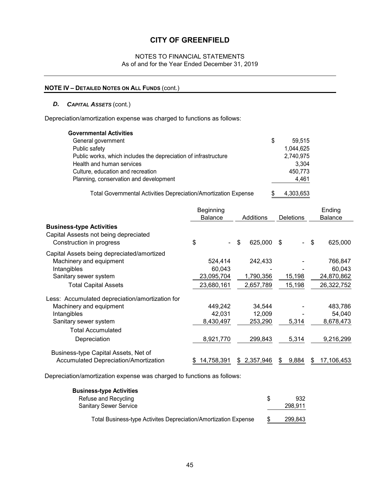# NOTES TO FINANCIAL STATEMENTS As of and for the Year Ended December 31, 2019

# **NOTE IV – DETAILED NOTES ON ALL FUNDS** (cont.)

# *D. CAPITAL ASSETS* (cont.)

Depreciation/amortization expense was charged to functions as follows:

| <b>Governmental Activities</b>                                         |   |           |  |
|------------------------------------------------------------------------|---|-----------|--|
| General government                                                     | S | 59.515    |  |
| Public safety                                                          |   | 1,044,625 |  |
| Public works, which includes the depreciation of infrastructure        |   | 2,740,975 |  |
| Health and human services                                              |   | 3.304     |  |
| Culture, education and recreation                                      |   | 450,773   |  |
| Planning, conservation and development                                 |   | 4.461     |  |
| <b>Total Governmental Activities Depreciation/Amortization Expense</b> |   | 4,303,653 |  |

|                                                 | Beginning      |                 |             | Ending        |
|-------------------------------------------------|----------------|-----------------|-------------|---------------|
|                                                 | <b>Balance</b> | Additions       |             | Balance       |
| <b>Business-type Activities</b>                 |                |                 |             |               |
| Capital Assests not being depreciated           |                |                 |             |               |
| Construction in progress                        | \$             | 625,000<br>\$   | \$          | 625,000<br>\$ |
| Capital Assets being depreciated/amortized      |                |                 |             |               |
| Machinery and equipment                         | 524,414        | 242,433         |             | 766,847       |
| Intangibles                                     | 60,043         |                 |             | 60,043        |
| Sanitary sewer system                           | 23,095,704     | 1,790,356       | 15,198      | 24,870,862    |
| <b>Total Capital Assets</b>                     | 23,680,161     | 2,657,789       | 15,198      | 26,322,752    |
| Less: Accumulated depreciation/amortization for |                |                 |             |               |
| Machinery and equipment                         | 449,242        | 34,544          |             | 483,786       |
| Intangibles                                     | 42,031         | 12,009          |             | 54,040        |
| Sanitary sewer system                           | 8,430,497      | 253,290         | 5,314       | 8,678,473     |
| Total Accumulated                               |                |                 |             |               |
| Depreciation                                    | 8,921,770      | 299,843         | 5,314       | 9,216,299     |
| Business-type Capital Assets, Net of            |                |                 |             |               |
| Accumulated Depreciation/Amortization           | 14,758,391     | 2,357,946<br>\$ | 9,884<br>\$ | 17,106,453    |

Depreciation/amortization expense was charged to functions as follows:

| <b>Business-type Activities</b>                                 |         |
|-----------------------------------------------------------------|---------|
| Refuse and Recycling                                            | 932     |
| <b>Sanitary Sewer Service</b>                                   | 298.911 |
| Total Business-type Activites Depreciation/Amortization Expense | 299.843 |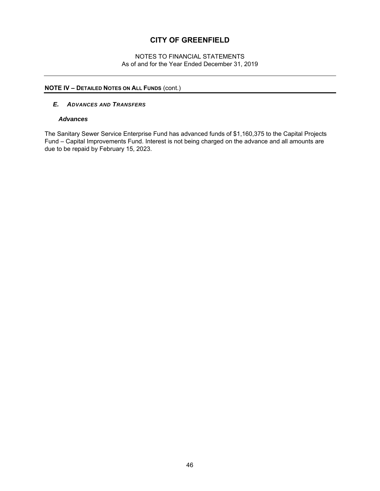# NOTES TO FINANCIAL STATEMENTS As of and for the Year Ended December 31, 2019

# **NOTE IV – DETAILED NOTES ON ALL FUNDS** (cont.)

## *E. ADVANCES AND TRANSFERS*

## *Advances*

The Sanitary Sewer Service Enterprise Fund has advanced funds of \$1,160,375 to the Capital Projects Fund – Capital Improvements Fund. Interest is not being charged on the advance and all amounts are due to be repaid by February 15, 2023.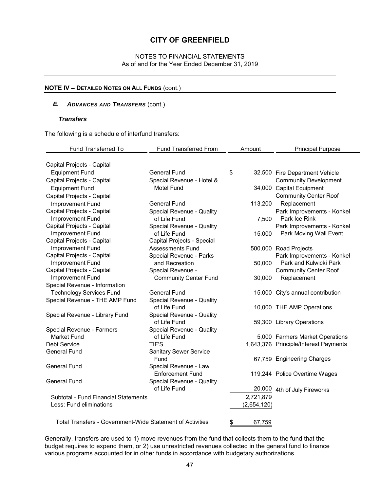# NOTES TO FINANCIAL STATEMENTS As of and for the Year Ended December 31, 2019

### **NOTE IV – DETAILED NOTES ON ALL FUNDS** (cont.)

# *E. ADVANCES AND TRANSFERS* (cont.)

# *Transfers*

The following is a schedule of interfund transfers:

| Fund Transferred To                                              | <b>Fund Transferred From</b>                     | Amount       | <b>Principal Purpose</b>              |
|------------------------------------------------------------------|--------------------------------------------------|--------------|---------------------------------------|
|                                                                  |                                                  |              |                                       |
| Capital Projects - Capital                                       |                                                  |              |                                       |
| <b>Equipment Fund</b>                                            | <b>General Fund</b>                              | \$           | 32,500 Fire Department Vehicle        |
| Capital Projects - Capital                                       | Special Revenue - Hotel &                        |              | <b>Community Development</b>          |
| <b>Equipment Fund</b>                                            | Motel Fund                                       |              | 34,000 Capital Equipment              |
| Capital Projects - Capital                                       |                                                  |              | <b>Community Center Roof</b>          |
| Improvement Fund                                                 | <b>General Fund</b>                              | 113,200      | Replacement                           |
| Capital Projects - Capital                                       | Special Revenue - Quality                        |              | Park Improvements - Konkel            |
| Improvement Fund                                                 | of Life Fund                                     | 7,500        | Park Ice Rink                         |
| Capital Projects - Capital                                       | Special Revenue - Quality                        |              | Park Improvements - Konkel            |
| Improvement Fund                                                 | of Life Fund                                     | 15,000       | Park Moving Wall Event                |
| Capital Projects - Capital                                       | Capital Projects - Special                       |              |                                       |
| Improvement Fund                                                 | <b>Assessments Fund</b>                          |              | 500,000 Road Projects                 |
| Capital Projects - Capital                                       | Special Revenue - Parks                          |              | Park Improvements - Konkel            |
| Improvement Fund                                                 | and Recreation                                   | 50,000       | Park and Kulwicki Park                |
| Capital Projects - Capital                                       | Special Revenue -                                |              | <b>Community Center Roof</b>          |
| Improvement Fund                                                 | <b>Community Center Fund</b>                     | 30,000       | Replacement                           |
| Special Revenue - Information                                    |                                                  |              |                                       |
| <b>Technology Services Fund</b>                                  | <b>General Fund</b>                              |              | 15,000 City's annual contribution     |
| Special Revenue - THE AMP Fund                                   | Special Revenue - Quality                        |              |                                       |
|                                                                  | of Life Fund                                     |              | 10,000 THE AMP Operations             |
| Special Revenue - Library Fund                                   | Special Revenue - Quality                        |              |                                       |
|                                                                  | of Life Fund                                     |              | 59,300 Library Operations             |
| Special Revenue - Farmers                                        | Special Revenue - Quality                        |              |                                       |
| <b>Market Fund</b>                                               | of Life Fund                                     |              | 5,000 Farmers Market Operations       |
| Debt Service                                                     | TIF'S                                            |              | 1,643,376 Principle/Interest Payments |
| <b>General Fund</b>                                              | <b>Sanitary Sewer Service</b>                    |              |                                       |
| <b>General Fund</b>                                              | Fund                                             |              | 67,759 Engineering Charges            |
|                                                                  | Special Revenue - Law<br><b>Enforcement Fund</b> |              | 119,244 Police Overtime Wages         |
| <b>General Fund</b>                                              | Special Revenue - Quality                        |              |                                       |
|                                                                  | of Life Fund                                     |              |                                       |
|                                                                  |                                                  |              | 20,000 4th of July Fireworks          |
| Subtotal - Fund Financial Statements                             |                                                  | 2,721,879    |                                       |
| Less: Fund eliminations                                          |                                                  | (2,654,120)  |                                       |
|                                                                  |                                                  |              |                                       |
| <b>Total Transfers - Government-Wide Statement of Activities</b> |                                                  | \$<br>67,759 |                                       |

Generally, transfers are used to 1) move revenues from the fund that collects them to the fund that the budget requires to expend them, or 2) use unrestricted revenues collected in the general fund to finance various programs accounted for in other funds in accordance with budgetary authorizations.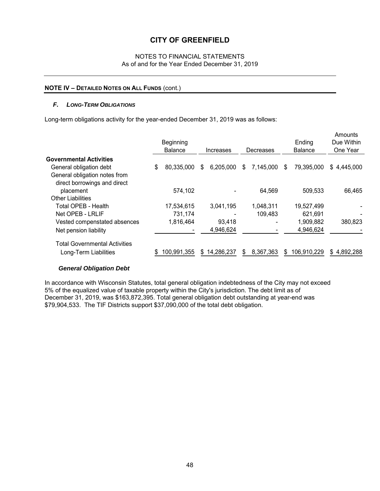# NOTES TO FINANCIAL STATEMENTS As of and for the Year Ended December 31, 2019

### **NOTE IV – DETAILED NOTES ON ALL FUNDS** (cont.)

### *F. LONG-TERM OBLIGATIONS*

Long-term obligations activity for the year-ended December 31, 2019 was as follows:

|                                      | Beginning<br><b>Balance</b> |    | Increases  |    | Decreases | Ending<br><b>Balance</b> | Amounts<br>Due Within<br>One Year |
|--------------------------------------|-----------------------------|----|------------|----|-----------|--------------------------|-----------------------------------|
| <b>Governmental Activities</b>       |                             |    |            |    |           |                          |                                   |
| General obligation debt              | \$<br>80,335,000            | S. | 6,205,000  | \$ | 7,145,000 | \$<br>79,395,000         | \$4,445,000                       |
| General obligation notes from        |                             |    |            |    |           |                          |                                   |
| direct borrowings and direct         |                             |    |            |    |           |                          |                                   |
| placement                            | 574,102                     |    |            |    | 64,569    | 509,533                  | 66,465                            |
| <b>Other Liabilities</b>             |                             |    |            |    |           |                          |                                   |
| <b>Total OPEB - Health</b>           | 17,534,615                  |    | 3,041,195  |    | 1,048,311 | 19,527,499               |                                   |
| Net OPEB - LRLIF                     | 731,174                     |    |            |    | 109,483   | 621,691                  |                                   |
| Vested compenstated absences         | 1,816,464                   |    | 93,418     |    |           | 1,909,882                | 380,823                           |
| Net pension liability                |                             |    | 4,946,624  |    |           | 4,946,624                |                                   |
| <b>Total Governmental Activities</b> |                             |    |            |    |           |                          |                                   |
| Long-Term Liabilities                | 100,991,355                 | S. | 14,286,237 | S  | 8,367,363 | \$<br>106,910,229        | \$4,892,288                       |

## *General Obligation Debt*

In accordance with Wisconsin Statutes, total general obligation indebtedness of the City may not exceed 5% of the equalized value of taxable property within the City's jurisdiction. The debt limit as of December 31, 2019, was \$163,872,395. Total general obligation debt outstanding at year-end was \$79,904,533. The TIF Districts support \$37,090,000 of the total debt obligation.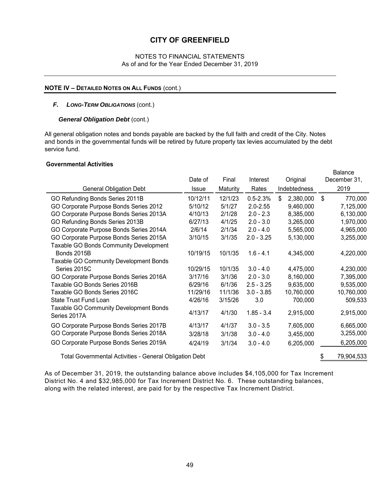## NOTES TO FINANCIAL STATEMENTS As of and for the Year Ended December 31, 2019

### **NOTE IV – DETAILED NOTES ON ALL FUNDS** (cont.)

### *F. LONG-TERM OBLIGATIONS* (cont.)

# *General Obligation Debt* (cont.)

All general obligation notes and bonds payable are backed by the full faith and credit of the City. Notes and bonds in the governmental funds will be retired by future property tax levies accumulated by the debt service fund.

## **Governmental Activities**

|                                                                |              |          |              |                     | <b>Balance</b>   |
|----------------------------------------------------------------|--------------|----------|--------------|---------------------|------------------|
|                                                                | Date of      | Final    | Interest     | Original            | December 31,     |
| <b>General Obligation Debt</b>                                 | <b>Issue</b> | Maturity | Rates        | <b>Indebtedness</b> | 2019             |
| GO Refunding Bonds Series 2011B                                | 10/12/11     | 12/1/23  | $0.5 - 2.3%$ | 2,380,000<br>\$     | \$<br>770,000    |
| GO Corporate Purpose Bonds Series 2012                         | 5/10/12      | 5/1/27   | $2.0 - 2.55$ | 9,460,000           | 7,125,000        |
| GO Corporate Purpose Bonds Series 2013A                        | 4/10/13      | 2/1/28   | $2.0 - 2.3$  | 8,385,000           | 6,130,000        |
| GO Refunding Bonds Series 2013B                                | 6/27/13      | 4/1/25   | $2.0 - 3.0$  | 3,265,000           | 1,970,000        |
| GO Corporate Purpose Bonds Series 2014A                        | 2/6/14       | 2/1/34   | $2.0 - 4.0$  | 5,565,000           | 4,965,000        |
| GO Corporate Purpose Bonds Series 2015A                        | 3/10/15      | 3/1/35   | $2.0 - 3.25$ | 5,130,000           | 3,255,000        |
| <b>Taxable GO Bonds Community Development</b>                  |              |          |              |                     |                  |
| Bonds 2015B                                                    | 10/19/15     | 10/1/35  | $1.6 - 4.1$  | 4,345,000           | 4,220,000        |
| Taxable GO Community Development Bonds                         |              |          |              |                     |                  |
| Series 2015C                                                   | 10/29/15     | 10/1/35  | $3.0 - 4.0$  | 4,475,000           | 4,230,000        |
| GO Corporate Purpose Bonds Series 2016A                        | 3/17/16      | 3/1/36   | $2.0 - 3.0$  | 8,160,000           | 7,395,000        |
| Taxable GO Bonds Series 2016B                                  | 6/29/16      | 6/1/36   | $2.5 - 3.25$ | 9,635,000           | 9,535,000        |
| Taxable GO Bonds Series 2016C                                  | 11/29/16     | 11/1/36  | $3.0 - 3.85$ | 10,760,000          | 10,760,000       |
| <b>State Trust Fund Loan</b>                                   | 4/26/16      | 3/15/26  | 3.0          | 700,000             | 509,533          |
| <b>Taxable GO Community Development Bonds</b><br>Series 2017A  | 4/13/17      | 4/1/30   | $1.85 - 3.4$ | 2,915,000           | 2,915,000        |
| GO Corporate Purpose Bonds Series 2017B                        | 4/13/17      | 4/1/37   | $3.0 - 3.5$  | 7,605,000           | 6,665,000        |
| GO Corporate Purpose Bonds Series 2018A                        | 3/28/18      | 3/1/38   | $3.0 - 4.0$  | 3,455,000           | 3,255,000        |
| GO Corporate Purpose Bonds Series 2019A                        | 4/24/19      | 3/1/34   | $3.0 - 4.0$  | 6,205,000           | 6,205,000        |
| <b>Total Governmental Activities - General Obligation Debt</b> |              |          |              |                     | 79,904,533<br>\$ |

As of December 31, 2019, the outstanding balance above includes \$4,105,000 for Tax Increment District No. 4 and \$32,985,000 for Tax Increment District No. 6. These outstanding balances, along with the related interest, are paid for by the respective Tax Increment District.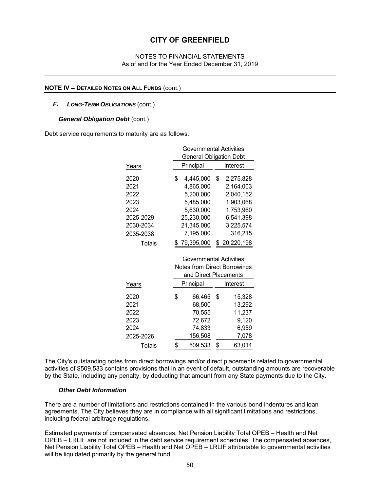# NOTES TO FINANCIAL STATEMENTS As of and for the Year Ended December 31, 2019

### **NOTE IV – DETAILED NOTES ON ALL FUNDS** (cont.)

## *F. LONG-TERM OBLIGATIONS* (cont.)

### *General Obligation Debt (cont.)*

Debt service requirements to maturity are as follows:

|               | <b>Governmental Activities</b> |                       |    |              |  |  |
|---------------|--------------------------------|-----------------------|----|--------------|--|--|
|               | <b>General Obligation Debt</b> |                       |    |              |  |  |
| Years         |                                | Principal             |    | Interest     |  |  |
| 2020          | \$                             | 4,445,000             | \$ | 2,275,828    |  |  |
| 2021          |                                | 4,865,000             |    | 2,164,003    |  |  |
| 2022          |                                | 5,200,000             |    | 2,040,152    |  |  |
| 2023          |                                | 5,485,000             |    | 1,903,068    |  |  |
| 2024          |                                | 5,630,000             |    | 1,753,960    |  |  |
| 2025-2029     |                                | 25,230,000            |    | 6,541,398    |  |  |
| 2030-2034     |                                | 21,345,000            |    | 3,225,574    |  |  |
| 2035-2038     |                                | 7,195,000             |    | 316,215      |  |  |
| Totals        | \$                             | 79,395,000            |    | \$20,220,198 |  |  |
|               |                                |                       |    |              |  |  |
|               | <b>Governmental Activities</b> |                       |    |              |  |  |
|               | Notes from Direct Borrowings   |                       |    |              |  |  |
|               |                                | and Direct Placements |    |              |  |  |
| Years         |                                | Principal             |    | Interest     |  |  |
| 2020          | \$                             | 66,465                | \$ | 15,328       |  |  |
| 2021          |                                | 68,500                |    | 13,292       |  |  |
| 2022          |                                | 70,555                |    | 11,237       |  |  |
| 2023          |                                | 72,672                |    | 9,120        |  |  |
| 2024          |                                | 74,833                |    | 6,959        |  |  |
| 2025-2026     |                                | 156,508               |    | 7,078        |  |  |
| <b>Totals</b> | \$                             | 509,533               | \$ | 63,014       |  |  |

The City's outstanding notes from direct borrowings and/or direct placements related to governmental activities of \$509,533 contains provisions that in an event of default, outstanding amounts are recoverable by the State, including any penalty, by deducting that amount from any State payments due to the City.

## *Other Debt Information*

There are a number of limitations and restrictions contained in the various bond indentures and loan agreements. The City believes they are in compliance with all significant limitations and restrictions, including federal arbitrage regulations.

Estimated payments of compensated absences, Net Pension Liability Total OPEB – Health and Net OPEB – LRLIF are not included in the debt service requirement schedules. The compensated absences, Net Pension Liability Total OPEB – Health and Net OPEB – LRLIF attributable to governmental activities will be liquidated primarily by the general fund.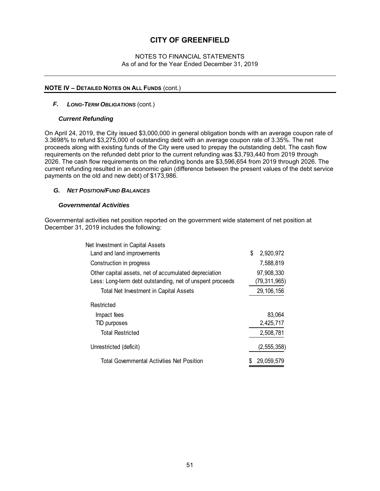## NOTES TO FINANCIAL STATEMENTS As of and for the Year Ended December 31, 2019

### **NOTE IV – DETAILED NOTES ON ALL FUNDS** (cont.)

# *F. LONG-TERM OBLIGATIONS* (cont.)

#### *Current Refunding*

On April 24, 2019, the City issued \$3,000,000 in general obligation bonds with an average coupon rate of 3.3698% to refund \$3,275,000 of outstanding debt with an average coupon rate of 3.35%. The net proceeds along with existing funds of the City were used to prepay the outstanding debt. The cash flow requirements on the refunded debt prior to the current refunding was \$3,793,440 from 2019 through 2026. The cash flow requirements on the refunding bonds are \$3,596,654 from 2019 through 2026. The current refunding resulted in an economic gain (difference between the present values of the debt service payments on the old and new debt) of \$173,986.

### *G. NET POSITION/FUND BALANCES*

## *Governmental Activities*

Governmental activities net position reported on the government wide statement of net position at December 31, 2019 includes the following:

| Net Investment in Capital Assets                          |                 |
|-----------------------------------------------------------|-----------------|
| Land and land improvements                                | \$<br>2,920,972 |
| Construction in progress                                  | 7,588,819       |
| Other capital assets, net of accumulated depreciation     | 97,908,330      |
| Less: Long-term debt outstanding, net of unspent proceeds | (79, 311, 965)  |
| Total Net Investment in Capital Assets                    | 29, 106, 156    |
| Restricted                                                |                 |
| Impact fees                                               | 83,064          |
| TID purposes                                              | 2,425,717       |
| <b>Total Restricted</b>                                   | 2,508,781       |
| Unrestricted (deficit)                                    | (2, 555, 358)   |
| <b>Total Governmental Activities Net Position</b>         | 29,059,579      |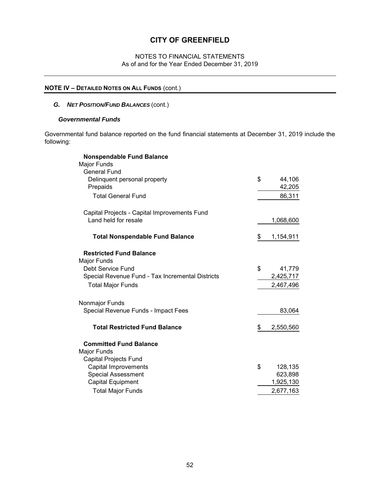# NOTES TO FINANCIAL STATEMENTS As of and for the Year Ended December 31, 2019

# **NOTE IV – DETAILED NOTES ON ALL FUNDS** (cont.)

# *G. NET POSITION/FUND BALANCES* (cont.)

# *Governmental Funds*

Governmental fund balance reported on the fund financial statements at December 31, 2019 include the following:

| <b>Nonspendable Fund Balance</b>                 |                 |
|--------------------------------------------------|-----------------|
| <b>Major Funds</b>                               |                 |
| <b>General Fund</b>                              |                 |
| Delinquent personal property                     | \$<br>44,106    |
| Prepaids                                         | 42,205          |
| <b>Total General Fund</b>                        | 86,311          |
| Capital Projects - Capital Improvements Fund     |                 |
| Land held for resale                             | 1,068,600       |
| <b>Total Nonspendable Fund Balance</b>           | \$<br>1,154,911 |
| <b>Restricted Fund Balance</b>                   |                 |
| <b>Major Funds</b>                               |                 |
| Debt Service Fund                                | \$<br>41,779    |
| Special Revenue Fund - Tax Incremental Districts | 2,425,717       |
| <b>Total Major Funds</b>                         | 2,467,496       |
| Nonmajor Funds                                   |                 |
| Special Revenue Funds - Impact Fees              | 83,064          |
| <b>Total Restricted Fund Balance</b>             | \$<br>2,550,560 |
| <b>Committed Fund Balance</b>                    |                 |
| Major Funds                                      |                 |
| <b>Capital Projects Fund</b>                     |                 |
| Capital Improvements                             | \$<br>128,135   |
| <b>Special Assessment</b>                        | 623,898         |
| <b>Capital Equipment</b>                         | 1,925,130       |
| <b>Total Major Funds</b>                         | 2,677,163       |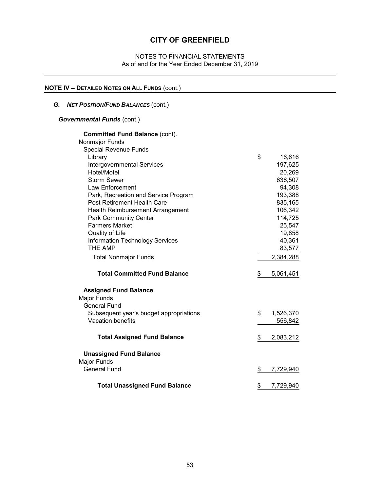# NOTES TO FINANCIAL STATEMENTS As of and for the Year Ended December 31, 2019

# **NOTE IV – DETAILED NOTES ON ALL FUNDS** (cont.)

# *G. NET POSITION/FUND BALANCES* (cont.)

# *Governmental Funds* (cont.)

| <b>Committed Fund Balance (cont).</b>   |                 |
|-----------------------------------------|-----------------|
| Nonmajor Funds                          |                 |
| <b>Special Revenue Funds</b>            | \$              |
| Library                                 | 16,616          |
| Intergovernmental Services              | 197,625         |
| Hotel/Motel                             | 20,269          |
| <b>Storm Sewer</b>                      | 636,507         |
| Law Enforcement                         | 94,308          |
| Park, Recreation and Service Program    | 193,388         |
| <b>Post Retirement Health Care</b>      | 835,165         |
| Health Reimbursement Arrangement        | 106,342         |
| <b>Park Community Center</b>            | 114,725         |
| <b>Farmers Market</b>                   | 25,547          |
| Quality of Life                         | 19,858          |
| <b>Information Technology Services</b>  | 40,361          |
| <b>THE AMP</b>                          | 83,577          |
| <b>Total Nonmajor Funds</b>             | 2,384,288       |
| <b>Total Committed Fund Balance</b>     | \$<br>5,061,451 |
| <b>Assigned Fund Balance</b>            |                 |
| <b>Major Funds</b>                      |                 |
| <b>General Fund</b>                     |                 |
| Subsequent year's budget appropriations | \$<br>1,526,370 |
| Vacation benefits                       | 556,842         |
|                                         |                 |
| <b>Total Assigned Fund Balance</b>      | \$<br>2,083,212 |
| <b>Unassigned Fund Balance</b>          |                 |
| <b>Major Funds</b>                      |                 |
| <b>General Fund</b>                     | \$<br>7,729,940 |
| <b>Total Unassigned Fund Balance</b>    | \$<br>7,729,940 |
|                                         |                 |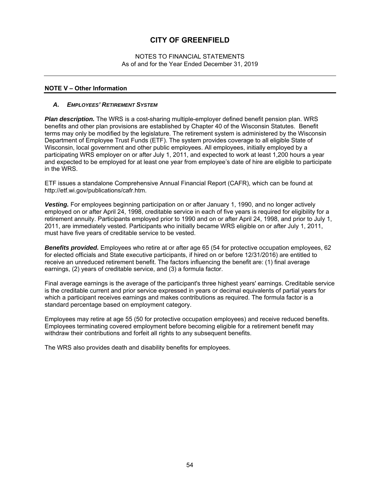## NOTES TO FINANCIAL STATEMENTS As of and for the Year Ended December 31, 2019

### **NOTE V – Other Information**

### *A. EMPLOYEES' RETIREMENT SYSTEM*

*Plan description.* The WRS is a cost-sharing multiple-employer defined benefit pension plan. WRS benefits and other plan provisions are established by Chapter 40 of the Wisconsin Statutes. Benefit terms may only be modified by the legislature. The retirement system is administered by the Wisconsin Department of Employee Trust Funds (ETF). The system provides coverage to all eligible State of Wisconsin, local government and other public employees. All employees, initially employed by a participating WRS employer on or after July 1, 2011, and expected to work at least 1,200 hours a year and expected to be employed for at least one year from employee's date of hire are eligible to participate in the WRS.

ETF issues a standalone Comprehensive Annual Financial Report (CAFR), which can be found at http://etf.wi.gov/publications/cafr.htm.

*Vesting.* For employees beginning participation on or after January 1, 1990, and no longer actively employed on or after April 24, 1998, creditable service in each of five years is required for eligibility for a retirement annuity. Participants employed prior to 1990 and on or after April 24, 1998, and prior to July 1, 2011, are immediately vested. Participants who initially became WRS eligible on or after July 1, 2011, must have five years of creditable service to be vested.

*Benefits provided.* Employees who retire at or after age 65 (54 for protective occupation employees, 62 for elected officials and State executive participants, if hired on or before 12/31/2016) are entitled to receive an unreduced retirement benefit. The factors influencing the benefit are: (1) final average earnings, (2) years of creditable service, and (3) a formula factor.

Final average earnings is the average of the participant's three highest years' earnings. Creditable service is the creditable current and prior service expressed in years or decimal equivalents of partial years for which a participant receives earnings and makes contributions as required. The formula factor is a standard percentage based on employment category.

Employees may retire at age 55 (50 for protective occupation employees) and receive reduced benefits. Employees terminating covered employment before becoming eligible for a retirement benefit may withdraw their contributions and forfeit all rights to any subsequent benefits.

The WRS also provides death and disability benefits for employees.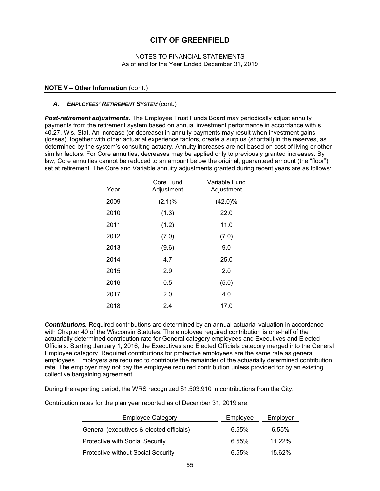## NOTES TO FINANCIAL STATEMENTS As of and for the Year Ended December 31, 2019

#### **NOTE V – Other Information** (cont.)

### A. EMPLOYEES' RETIREMENT SYSTEM (cont.)

*Post-retirement adjustments*. The Employee Trust Funds Board may periodically adjust annuity payments from the retirement system based on annual investment performance in accordance with s. 40.27, Wis. Stat. An increase (or decrease) in annuity payments may result when investment gains (losses), together with other actuarial experience factors, create a surplus (shortfall) in the reserves, as determined by the system's consulting actuary. Annuity increases are not based on cost of living or other similar factors. For Core annuities, decreases may be applied only to previously granted increases. By law, Core annuities cannot be reduced to an amount below the original, guaranteed amount (the "floor") set at retirement. The Core and Variable annuity adjustments granted during recent years are as follows:

| Year | Core Fund<br>Adjustment | Variable Fund<br>Adjustment |
|------|-------------------------|-----------------------------|
| 2009 | (2.1)%                  | $(42.0)\%$                  |
| 2010 | (1.3)                   | 22.0                        |
| 2011 | (1.2)                   | 11.0                        |
| 2012 | (7.0)                   | (7.0)                       |
| 2013 | (9.6)                   | 9.0                         |
| 2014 | 4.7                     | 25.0                        |
| 2015 | 2.9                     | 2.0                         |
| 2016 | 0.5                     | (5.0)                       |
| 2017 | 2.0                     | 4.0                         |
| 2018 | 2.4                     | 17.0                        |

*Contributions.* Required contributions are determined by an annual actuarial valuation in accordance with Chapter 40 of the Wisconsin Statutes. The employee required contribution is one-half of the actuarially determined contribution rate for General category employees and Executives and Elected Officials. Starting January 1, 2016, the Executives and Elected Officials category merged into the General Employee category. Required contributions for protective employees are the same rate as general employees. Employers are required to contribute the remainder of the actuarially determined contribution rate. The employer may not pay the employee required contribution unless provided for by an existing collective bargaining agreement.

During the reporting period, the WRS recognized \$1,503,910 in contributions from the City.

Contribution rates for the plan year reported as of December 31, 2019 are:

| <b>Employee Category</b>                  | Employee | Employer  |
|-------------------------------------------|----------|-----------|
| General (executives & elected officials)  | 6.55%    | 6.55%     |
| <b>Protective with Social Security</b>    | 6.55%    | $11.22\%$ |
| <b>Protective without Social Security</b> | 6.55%    | 15.62%    |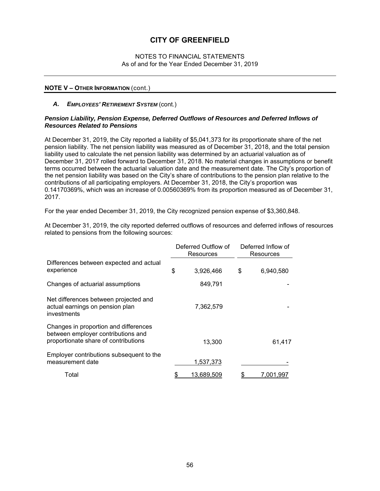## NOTES TO FINANCIAL STATEMENTS As of and for the Year Ended December 31, 2019

### **NOTE V – OTHER INFORMATION** (cont.)

## A. EMPLOYEES' RETIREMENT SYSTEM (cont.)

## *Pension Liability, Pension Expense, Deferred Outflows of Resources and Deferred Inflows of Resources Related to Pensions*

At December 31, 2019, the City reported a liability of \$5,041,373 for its proportionate share of the net pension liability. The net pension liability was measured as of December 31, 2018, and the total pension liability used to calculate the net pension liability was determined by an actuarial valuation as of December 31, 2017 rolled forward to December 31, 2018. No material changes in assumptions or benefit terms occurred between the actuarial valuation date and the measurement date. The City's proportion of the net pension liability was based on the City's share of contributions to the pension plan relative to the contributions of all participating employers. At December 31, 2018, the City's proportion was 0.14170369%, which was an increase of 0.00560369% from its proportion measured as of December 31, 2017.

For the year ended December 31, 2019, the City recognized pension expense of \$3,360,848.

At December 31, 2019, the city reported deferred outflows of resources and deferred inflows of resources related to pensions from the following sources:

|                                                                                                                     | Deferred Outflow of<br>Resources | Deferred Inflow of<br>Resources |
|---------------------------------------------------------------------------------------------------------------------|----------------------------------|---------------------------------|
| Differences between expected and actual<br>experience                                                               | \$<br>3,926,466                  | \$<br>6,940,580                 |
| Changes of actuarial assumptions                                                                                    | 849,791                          |                                 |
| Net differences between projected and<br>actual earnings on pension plan<br>investments                             | 7,362,579                        |                                 |
| Changes in proportion and differences<br>between employer contributions and<br>proportionate share of contributions | 13,300                           | 61,417                          |
| Employer contributions subsequent to the<br>measurement date                                                        | 1,537,373                        |                                 |
| Total                                                                                                               | <u>13,689,509</u>                | 7.001.997                       |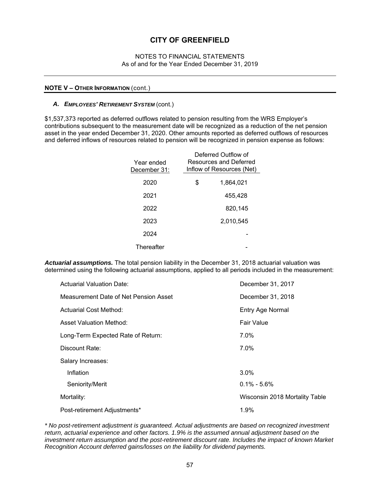## NOTES TO FINANCIAL STATEMENTS As of and for the Year Ended December 31, 2019

### **NOTE V – OTHER INFORMATION** (cont.)

### A. EMPLOYEES' RETIREMENT SYSTEM (cont.)

\$1,537,373 reported as deferred outflows related to pension resulting from the WRS Employer's contributions subsequent to the measurement date will be recognized as a reduction of the net pension asset in the year ended December 31, 2020. Other amounts reported as deferred outflows of resources and deferred inflows of resources related to pension will be recognized in pension expense as follows:

| Year ended<br>December 31: | Deferred Outflow of<br>Resources and Deferred<br>Inflow of Resources (Net) |           |  |  |
|----------------------------|----------------------------------------------------------------------------|-----------|--|--|
| 2020                       | \$                                                                         | 1.864.021 |  |  |
| 2021                       |                                                                            | 455,428   |  |  |
| 2022                       |                                                                            | 820,145   |  |  |
| 2023                       |                                                                            | 2,010,545 |  |  |
| 2024                       |                                                                            |           |  |  |
| Thereafter                 |                                                                            |           |  |  |

*Actuarial assumptions.* The total pension liability in the December 31, 2018 actuarial valuation was determined using the following actuarial assumptions, applied to all periods included in the measurement:

| <b>Actuarial Valuation Date:</b>      | December 31, 2017              |
|---------------------------------------|--------------------------------|
| Measurement Date of Net Pension Asset | December 31, 2018              |
| Actuarial Cost Method:                | Entry Age Normal               |
| Asset Valuation Method:               | Fair Value                     |
| Long-Term Expected Rate of Return:    | 7.0%                           |
| Discount Rate:                        | 7.0%                           |
| Salary Increases:                     |                                |
| Inflation                             | $3.0\%$                        |
| Seniority/Merit                       | $0.1\% - 5.6\%$                |
| Mortality:                            | Wisconsin 2018 Mortality Table |
| Post-retirement Adjustments*          | 1.9%                           |

*\* No post-retirement adjustment is guaranteed. Actual adjustments are based on recognized investment return, actuarial experience and other factors. 1.9% is the assumed annual adjustment based on the investment return assumption and the post-retirement discount rate. Includes the impact of known Market Recognition Account deferred gains/losses on the liability for dividend payments.*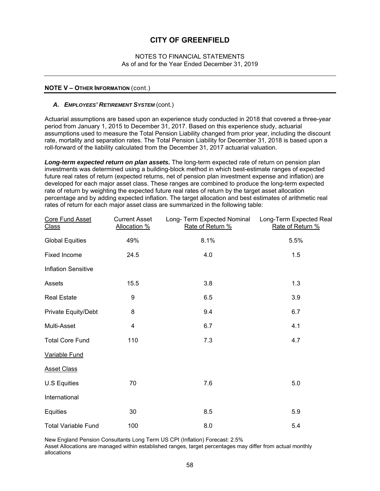## NOTES TO FINANCIAL STATEMENTS As of and for the Year Ended December 31, 2019

### **NOTE V – OTHER INFORMATION** (cont.)

### A. EMPLOYEES' RETIREMENT SYSTEM (cont.)

Actuarial assumptions are based upon an experience study conducted in 2018 that covered a three-year period from January 1, 2015 to December 31, 2017. Based on this experience study, actuarial assumptions used to measure the Total Pension Liability changed from prior year, including the discount rate, mortality and separation rates. The Total Pension Liability for December 31, 2018 is based upon a roll-forward of the liability calculated from the December 31, 2017 actuarial valuation.

*Long-term expected return on plan assets.* The long-term expected rate of return on pension plan investments was determined using a building-block method in which best-estimate ranges of expected future real rates of return (expected returns, net of pension plan investment expense and inflation) are developed for each major asset class. These ranges are combined to produce the long-term expected rate of return by weighting the expected future real rates of return by the target asset allocation percentage and by adding expected inflation. The target allocation and best estimates of arithmetic real rates of return for each major asset class are summarized in the following table:

| Core Fund Asset<br><b>Class</b> | <b>Current Asset</b><br>Allocation % | Long- Term Expected Nominal<br>Rate of Return % | Long-Term Expected Real<br>Rate of Return % |
|---------------------------------|--------------------------------------|-------------------------------------------------|---------------------------------------------|
| <b>Global Equities</b>          | 49%                                  | 8.1%                                            | 5.5%                                        |
| Fixed Income                    | 24.5                                 | 4.0                                             | 1.5                                         |
| <b>Inflation Sensitive</b>      |                                      |                                                 |                                             |
| Assets                          | 15.5                                 | 3.8                                             | 1.3                                         |
| <b>Real Estate</b>              | $\boldsymbol{9}$                     | 6.5                                             | 3.9                                         |
| Private Equity/Debt             | 8                                    | 9.4                                             | 6.7                                         |
| Multi-Asset                     | 4                                    | 6.7                                             | 4.1                                         |
| <b>Total Core Fund</b>          | 110                                  | 7.3                                             | 4.7                                         |
| Variable Fund                   |                                      |                                                 |                                             |
| <b>Asset Class</b>              |                                      |                                                 |                                             |
| <b>U.S Equities</b>             | 70                                   | 7.6                                             | 5.0                                         |
| International                   |                                      |                                                 |                                             |
| Equities                        | 30                                   | 8.5                                             | 5.9                                         |
| <b>Total Variable Fund</b>      | 100                                  | 8.0                                             | 5.4                                         |

New England Pension Consultants Long Term US CPI (Inflation) Forecast: 2.5%

Asset Allocations are managed within established ranges, target percentages may differ from actual monthly allocations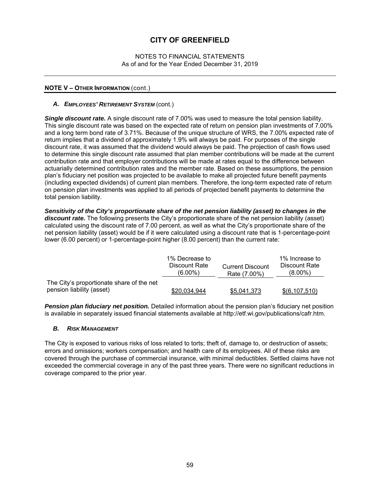## NOTES TO FINANCIAL STATEMENTS As of and for the Year Ended December 31, 2019

### **NOTE V – OTHER INFORMATION** (cont.)

## A. EMPLOYEES' RETIREMENT SYSTEM (cont.)

*Single discount rate.* A single discount rate of 7.00% was used to measure the total pension liability. This single discount rate was based on the expected rate of return on pension plan investments of 7.00% and a long term bond rate of 3.71%. Because of the unique structure of WRS, the 7.00% expected rate of return implies that a dividend of approximately 1.9% will always be paid. For purposes of the single discount rate, it was assumed that the dividend would always be paid. The projection of cash flows used to determine this single discount rate assumed that plan member contributions will be made at the current contribution rate and that employer contributions will be made at rates equal to the difference between actuarially determined contribution rates and the member rate. Based on these assumptions, the pension plan's fiduciary net position was projected to be available to make all projected future benefit payments (including expected dividends) of current plan members. Therefore, the long-term expected rate of return on pension plan investments was applied to all periods of projected benefit payments to determine the total pension liability.

*Sensitivity of the City's proportionate share of the net pension liability (asset) to changes in the discount rate.* The following presents the City's proportionate share of the net pension liability (asset) calculated using the discount rate of 7.00 percent, as well as what the City's proportionate share of the net pension liability (asset) would be if it were calculated using a discount rate that is 1-percentage-point lower (6.00 percent) or 1-percentage-point higher (8.00 percent) than the current rate:

|                                                                        | 1% Decrease to<br>Discount Rate<br>(6.00%) | <b>Current Discount</b><br>Rate (7.00%) | 1% Increase to<br>Discount Rate<br>$(8.00\%)$ |
|------------------------------------------------------------------------|--------------------------------------------|-----------------------------------------|-----------------------------------------------|
| The City's proportionate share of the net<br>pension liability (asset) | \$20.034.944                               | \$5,041,373                             | \$ (6, 107, 510)                              |

**Pension plan fiduciary net position.** Detailed information about the pension plan's fiduciary net position is available in separately issued financial statements available at http://etf.wi.gov/publications/cafr.htm.

## *B. RISK MANAGEMENT*

The City is exposed to various risks of loss related to torts; theft of, damage to, or destruction of assets; errors and omissions; workers compensation; and health care of its employees. All of these risks are covered through the purchase of commercial insurance, with minimal deductibles. Settled claims have not exceeded the commercial coverage in any of the past three years. There were no significant reductions in coverage compared to the prior year.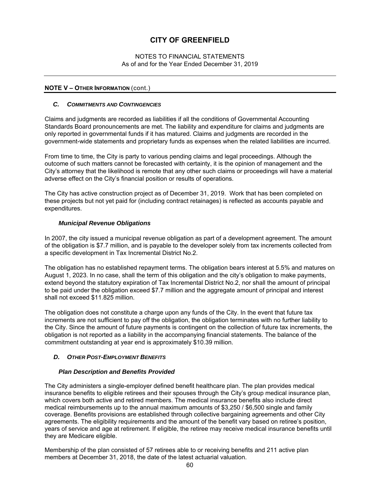# NOTES TO FINANCIAL STATEMENTS As of and for the Year Ended December 31, 2019

## **NOTE V – OTHER INFORMATION** (cont.)

# *C. COMMITMENTS AND CONTINGENCIES*

Claims and judgments are recorded as liabilities if all the conditions of Governmental Accounting Standards Board pronouncements are met. The liability and expenditure for claims and judgments are only reported in governmental funds if it has matured. Claims and judgments are recorded in the government-wide statements and proprietary funds as expenses when the related liabilities are incurred.

From time to time, the City is party to various pending claims and legal proceedings. Although the outcome of such matters cannot be forecasted with certainty, it is the opinion of management and the City's attorney that the likelihood is remote that any other such claims or proceedings will have a material adverse effect on the City's financial position or results of operations.

The City has active construction project as of December 31, 2019. Work that has been completed on these projects but not yet paid for (including contract retainages) is reflected as accounts payable and expenditures.

# *Municipal Revenue Obligations*

In 2007, the city issued a municipal revenue obligation as part of a development agreement. The amount of the obligation is \$7.7 million, and is payable to the developer solely from tax increments collected from a specific development in Tax Incremental District No.2.

The obligation has no established repayment terms. The obligation bears interest at 5.5% and matures on August 1, 2023. In no case, shall the term of this obligation and the city's obligation to make payments, extend beyond the statutory expiration of Tax Incremental District No.2, nor shall the amount of principal to be paid under the obligation exceed \$7.7 million and the aggregate amount of principal and interest shall not exceed \$11.825 million.

The obligation does not constitute a charge upon any funds of the City. In the event that future tax increments are not sufficient to pay off the obligation, the obligation terminates with no further liability to the City. Since the amount of future payments is contingent on the collection of future tax increments, the obligation is not reported as a liability in the accompanying financial statements. The balance of the commitment outstanding at year end is approximately \$10.39 million.

# *D. OTHER POST-EMPLOYMENT BENEFITS*

## *Plan Description and Benefits Provided*

The City administers a single-employer defined benefit healthcare plan. The plan provides medical insurance benefits to eligible retirees and their spouses through the City's group medical insurance plan, which covers both active and retired members. The medical insurance benefits also include direct medical reimbursements up to the annual maximum amounts of \$3,250 / \$6,500 single and family coverage. Benefits provisions are established through collective bargaining agreements and other City agreements. The eligibility requirements and the amount of the benefit vary based on retiree's position, years of service and age at retirement. If eligible, the retiree may receive medical insurance benefits until they are Medicare eligible.

Membership of the plan consisted of 57 retirees able to or receiving benefits and 211 active plan members at December 31, 2018, the date of the latest actuarial valuation.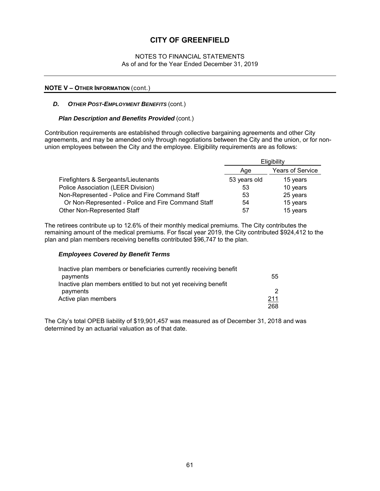## NOTES TO FINANCIAL STATEMENTS As of and for the Year Ended December 31, 2019

### **NOTE V – OTHER INFORMATION** (cont.)

# *D. OTHER POST-EMPLOYMENT BENEFITS* (cont.)

### *Plan Description and Benefits Provided (cont.)*

Contribution requirements are established through collective bargaining agreements and other City agreements, and may be amended only through negotiations between the City and the union, or for nonunion employees between the City and the employee. Eligibility requirements are as follows:

|                                                    | Eligibility  |                         |
|----------------------------------------------------|--------------|-------------------------|
|                                                    | Age          | <b>Years of Service</b> |
| Firefighters & Sergeants/Lieutenants               | 53 years old | 15 years                |
| Police Association (LEER Division)                 | 53           | 10 years                |
| Non-Represented - Police and Fire Command Staff    | 53           | 25 years                |
| Or Non-Represented - Police and Fire Command Staff | 54           | 15 years                |
| Other Non-Represented Staff                        | 57           | 15 years                |

The retirees contribute up to 12.6% of their monthly medical premiums. The City contributes the remaining amount of the medical premiums. For fiscal year 2019, the City contributed \$924,412 to the plan and plan members receiving benefits contributed \$96,747 to the plan.

## *Employees Covered by Benefit Terms*

| Inactive plan members or beneficiaries currently receiving benefit |     |
|--------------------------------------------------------------------|-----|
| payments                                                           | 55  |
| Inactive plan members entitled to but not yet receiving benefit    |     |
| payments                                                           |     |
| Active plan members                                                | 211 |
|                                                                    | 268 |

The City's total OPEB liability of \$19,901,457 was measured as of December 31, 2018 and was determined by an actuarial valuation as of that date.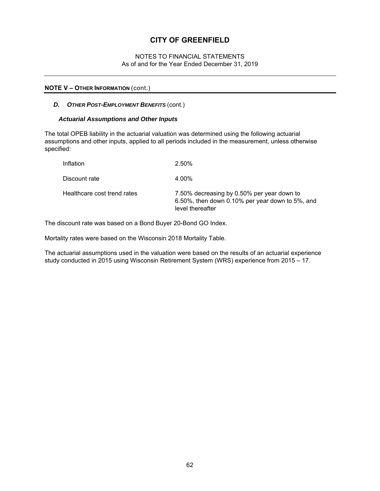# NOTES TO FINANCIAL STATEMENTS As of and for the Year Ended December 31, 2019

# **NOTE V – OTHER INFORMATION** (cont.)

### *D. OTHER POST-EMPLOYMENT BENEFITS* (cont.)

## *Actuarial Assumptions and Other Inputs*

The total OPEB liability in the actuarial valuation was determined using the following actuarial assumptions and other inputs, applied to all periods included in the measurement, unless otherwise specified:

| Inflation                   | 2.50%                                                                                                             |
|-----------------------------|-------------------------------------------------------------------------------------------------------------------|
| Discount rate               | 4.00%                                                                                                             |
| Healthcare cost trend rates | 7.50% decreasing by 0.50% per year down to<br>6.50%, then down 0.10% per year down to 5%, and<br>level thereafter |

The discount rate was based on a Bond Buyer 20-Bond GO Index.

Mortality rates were based on the Wisconsin 2018 Mortality Table.

The actuarial assumptions used in the valuation were based on the results of an actuarial experience study conducted in 2015 using Wisconsin Retirement System (WRS) experience from 2015 – 17.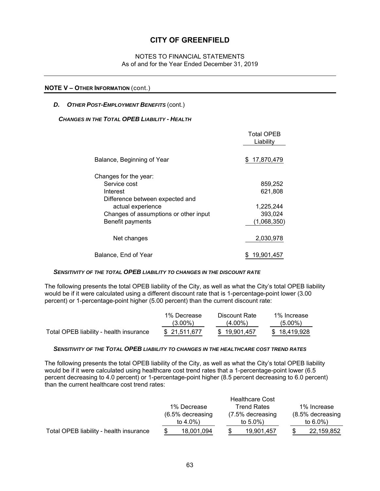# NOTES TO FINANCIAL STATEMENTS As of and for the Year Ended December 31, 2019

#### **NOTE V – OTHER INFORMATION** (cont.)

### *D. OTHER POST-EMPLOYMENT BENEFITS* (cont.)

# *CHANGES IN THE TOTAL OPEB LIABILITY - HEALTH*

|                                       | TOTAL OPEB<br>Liability |
|---------------------------------------|-------------------------|
| Balance, Beginning of Year            | 17,870,479              |
| Changes for the year:                 |                         |
| Service cost                          | 859,252                 |
| Interest                              | 621,808                 |
| Difference between expected and       |                         |
| actual experience                     | 1,225,244               |
| Changes of assumptions or other input | 393,024                 |
| Benefit payments                      | (1,068,350)             |
| Net changes                           | 2,030,978               |
| Balance, End of Year                  | 19,901,457              |

Total OPEB

#### *SENSITIVITY OF THE TOTAL OPEB LIABILITY TO CHANGES IN THE DISCOUNT RATE*

The following presents the total OPEB liability of the City, as well as what the City's total OPEB liability would be if it were calculated using a different discount rate that is 1-percentage-point lower (3.00 percent) or 1-percentage-point higher (5.00 percent) than the current discount rate:

|                                         | 1% Decrease   | Discount Rate | 1% Increase  |
|-----------------------------------------|---------------|---------------|--------------|
|                                         | $(3.00\%)$    | $(4.00\%)$    | $(5.00\%)$   |
| Total OPEB liability - health insurance | \$ 21,511,677 | \$19.901.457  | \$18,419,928 |

#### *SENSITIVITY OF THE TOTAL OPEB LIABILITY TO CHANGES IN THE HEALTHCARE COST TREND RATES*

The following presents the total OPEB liability of the City, as well as what the City's total OPEB liability would be if it were calculated using healthcare cost trend rates that a 1-percentage-point lower (6.5 percent decreasing to 4.0 percent) or 1-percentage-point higher (8.5 percent decreasing to 6.0 percent) than the current healthcare cost trend rates:

|                                         | <b>Healthcare Cost</b> |              |                     |                    |                  |              |
|-----------------------------------------|------------------------|--------------|---------------------|--------------------|------------------|--------------|
|                                         |                        | 1% Decrease  |                     | <b>Trend Rates</b> |                  | 1% Increase  |
|                                         | $(6.5%$ decreasing     |              | $(7.5\%$ decreasing |                    | (8.5% decreasing |              |
|                                         |                        | to $4.0\%$ ) |                     | to $5.0\%$ )       |                  | to $6.0\%$ ) |
| Total OPEB liability - health insurance |                        | 18,001,094   |                     | 19,901,457         |                  | 22,159,852   |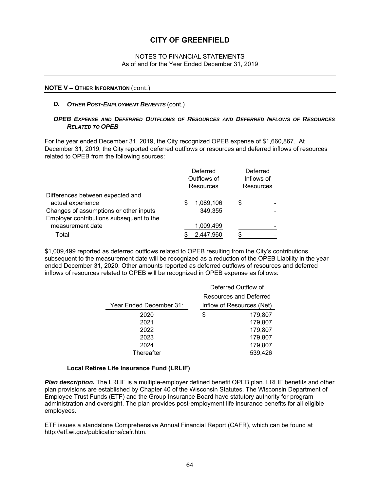## NOTES TO FINANCIAL STATEMENTS As of and for the Year Ended December 31, 2019

### **NOTE V – OTHER INFORMATION** (cont.)

## *D. OTHER POST-EMPLOYMENT BENEFITS* (cont.)

## *OPEB EXPENSE AND DEFERRED OUTFLOWS OF RESOURCES AND DEFERRED INFLOWS OF RESOURCES RELATED TO OPEB*

For the year ended December 31, 2019, the City recognized OPEB expense of \$1,660,867. At December 31, 2019, the City reported deferred outflows or resources and deferred inflows of resources related to OPEB from the following sources:

|                                          | Deferred<br>Outflows of |           | Deferred<br>Inflows of |           |
|------------------------------------------|-------------------------|-----------|------------------------|-----------|
|                                          |                         | Resources |                        | Resources |
| Differences between expected and         |                         |           |                        |           |
| actual experience                        | S                       | 1,089,106 | \$                     | -         |
| Changes of assumptions or other inputs   |                         | 349,355   |                        |           |
| Employer contributions subsequent to the |                         |           |                        |           |
| measurement date                         |                         | 1,009,499 |                        |           |
| Total                                    |                         | 2,447,960 |                        |           |

\$1,009,499 reported as deferred outflows related to OPEB resulting from the City's contributions subsequent to the measurement date will be recognized as a reduction of the OPEB Liability in the year ended December 31, 2020. Other amounts reported as deferred outflows of resources and deferred inflows of resources related to OPEB will be recognized in OPEB expense as follows:

|                         | Deferred Outflow of |                           |
|-------------------------|---------------------|---------------------------|
|                         |                     | Resources and Deferred    |
| Year Ended December 31: |                     | Inflow of Resources (Net) |
| 2020                    | \$                  | 179,807                   |
| 2021                    |                     | 179,807                   |
| 2022                    |                     | 179,807                   |
| 2023                    |                     | 179,807                   |
| 2024                    |                     | 179,807                   |
| Thereafter              |                     | 539,426                   |

## **Local Retiree Life Insurance Fund (LRLIF)**

**Plan description.** The LRLIF is a multiple-employer defined benefit OPEB plan. LRLIF benefits and other plan provisions are established by Chapter 40 of the Wisconsin Statutes. The Wisconsin Department of Employee Trust Funds (ETF) and the Group Insurance Board have statutory authority for program administration and oversight. The plan provides post-employment life insurance benefits for all eligible employees.

ETF issues a standalone Comprehensive Annual Financial Report (CAFR), which can be found at http://etf.wi.gov/publications/cafr.htm.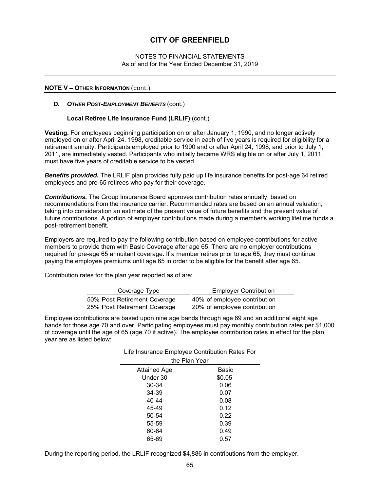## NOTES TO FINANCIAL STATEMENTS As of and for the Year Ended December 31, 2019

#### **NOTE V – OTHER INFORMATION** (cont.)

## *D. OTHER POST-EMPLOYMENT BENEFITS* (cont.)

## **Local Retiree Life Insurance Fund (LRLIF)** (cont.)

**Vesting.** For employees beginning participation on or after January 1, 1990, and no longer actively employed on or after April 24, 1998, creditable service in each of five years is required for eligibility for a retirement annuity. Participants employed prior to 1990 and or after April 24, 1998, and prior to July 1, 2011, are immediately vested. Participants who initially became WRS eligible on or after July 1, 2011, must have five years of creditable service to be vested.

*Benefits provided.* The LRLIF plan provides fully paid up life insurance benefits for post-age 64 retired employees and pre-65 retirees who pay for their coverage.

*Contributions.* The Group Insurance Board approves contribution rates annually, based on recommendations from the insurance carrier. Recommended rates are based on an annual valuation, taking into consideration an estimate of the present value of future benefits and the present value of future contributions. A portion of employer contributions made during a member's working lifetime funds a post-retirement benefit.

Employers are required to pay the following contribution based on employee contributions for active members to provide them with Basic Coverage after age 65. There are no employer contributions required for pre-age 65 annuitant coverage. If a member retires prior to age 65, they must continue paying the employee premiums until age 65 in order to be eligible for the benefit after age 65.

Contribution rates for the plan year reported as of are:

| Coverage Type                | <b>Employer Contribution</b> |
|------------------------------|------------------------------|
| 50% Post Retirement Coverage | 40% of employee contribution |
| 25% Post Retirement Coverage | 20% of employee contribution |

Employee contributions are based upon nine age bands through age 69 and an additional eight age bands for those age 70 and over. Participating employees must pay monthly contribution rates per \$1,000 of coverage until the age of 65 (age 70 if active). The employee contribution rates in effect for the plan year are as listed below:

| the Plan Year |        |  |  |  |
|---------------|--------|--|--|--|
| Attained Age  | Basic  |  |  |  |
| Under 30      | \$0.05 |  |  |  |
| 30-34         | 0.06   |  |  |  |
| 34-39         | 0.07   |  |  |  |
| 40-44         | 0.08   |  |  |  |
| 45-49         | 0.12   |  |  |  |
| 50-54         | 0.22   |  |  |  |
| 55-59         | 0.39   |  |  |  |
| 60-64         | 0.49   |  |  |  |
| 65-69         | 0.57   |  |  |  |

During the reporting period, the LRLIF recognized \$4,886 in contributions from the employer.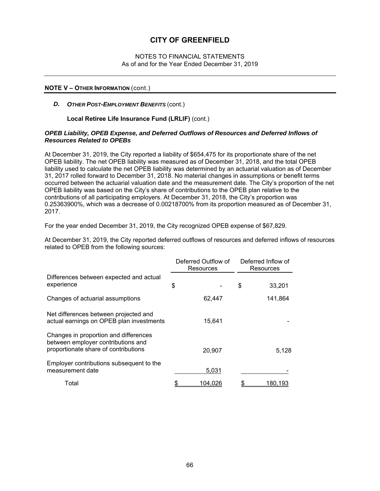## NOTES TO FINANCIAL STATEMENTS As of and for the Year Ended December 31, 2019

### **NOTE V – OTHER INFORMATION** (cont.)

## *D. OTHER POST-EMPLOYMENT BENEFITS* (cont.)

## **Local Retiree Life Insurance Fund (LRLIF)** (cont.)

## *OPEB Liability, OPEB Expense, and Deferred Outflows of Resources and Deferred Inflows of Resources Related to OPEBs*

At December 31, 2019, the City reported a liability of \$654,475 for its proportionate share of the net OPEB liability. The net OPEB liability was measured as of December 31, 2018, and the total OPEB liability used to calculate the net OPEB liability was determined by an actuarial valuation as of December 31, 2017 rolled forward to December 31, 2018. No material changes in assumptions or benefit terms occurred between the actuarial valuation date and the measurement date. The City's proportion of the net OPEB liability was based on the City's share of contributions to the OPEB plan relative to the contributions of all participating employers. At December 31, 2018, the City's proportion was 0.25363900%, which was a decrease of 0.00218700% from its proportion measured as of December 31, 2017.

For the year ended December 31, 2019, the City recognized OPEB expense of \$67,829.

At December 31, 2019, the City reported deferred outflows of resources and deferred inflows of resources related to OPEB from the following sources:

| Differences between expected and actual<br>experience                                                               |    | Deferred Outflow of<br>Resources |    | Deferred Inflow of<br>Resources |  |
|---------------------------------------------------------------------------------------------------------------------|----|----------------------------------|----|---------------------------------|--|
|                                                                                                                     |    |                                  | \$ | 33,201                          |  |
| Changes of actuarial assumptions                                                                                    |    | 62,447                           |    | 141,864                         |  |
| Net differences between projected and<br>actual earnings on OPEB plan investments                                   |    | 15,641                           |    |                                 |  |
| Changes in proportion and differences<br>between employer contributions and<br>proportionate share of contributions |    | 20,907                           |    | 5,128                           |  |
| Employer contributions subsequent to the<br>measurement date                                                        |    | 5,031                            |    |                                 |  |
| Total                                                                                                               | \$ | 104.026                          |    | 180.193                         |  |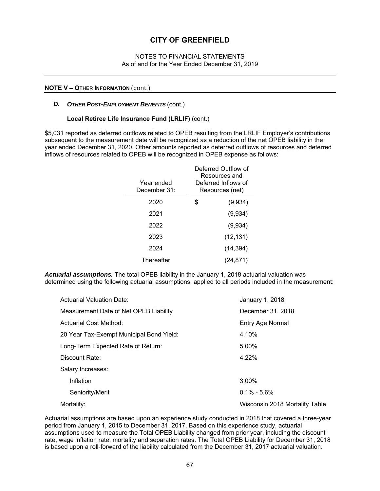## NOTES TO FINANCIAL STATEMENTS As of and for the Year Ended December 31, 2019

#### **NOTE V – OTHER INFORMATION** (cont.)

## *D. OTHER POST-EMPLOYMENT BENEFITS* (cont.)

## **Local Retiree Life Insurance Fund (LRLIF)** (cont.)

\$5,031 reported as deferred outflows related to OPEB resulting from the LRLIF Employer's contributions subsequent to the measurement date will be recognized as a reduction of the net OPEB liability in the year ended December 31, 2020. Other amounts reported as deferred outflows of resources and deferred inflows of resources related to OPEB will be recognized in OPEB expense as follows:

| Year ended<br>December 31: | Deferred Outflow of<br>Resources and<br>Deferred Inflows of<br>Resources (net) |           |
|----------------------------|--------------------------------------------------------------------------------|-----------|
| 2020                       | \$                                                                             | (9,934)   |
| 2021                       |                                                                                | (9,934)   |
| 2022                       |                                                                                | (9,934)   |
| 2023                       |                                                                                | (12, 131) |
| 2024                       |                                                                                | (14, 394) |
| Thereafter                 |                                                                                | (24, 871) |

*Actuarial assumptions.* The total OPEB liability in the January 1, 2018 actuarial valuation was determined using the following actuarial assumptions, applied to all periods included in the measurement:

| <b>Actuarial Valuation Date:</b>         | January 1, 2018                |
|------------------------------------------|--------------------------------|
| Measurement Date of Net OPEB Liability   | December 31, 2018              |
| <b>Actuarial Cost Method:</b>            | Entry Age Normal               |
| 20 Year Tax-Exempt Municipal Bond Yield: | 4.10%                          |
| Long-Term Expected Rate of Return:       | 5.00%                          |
| Discount Rate:                           | 4.22%                          |
| Salary Increases:                        |                                |
| Inflation                                | 3.00%                          |
| Seniority/Merit                          | $0.1\% - 5.6\%$                |
| Mortality:                               | Wisconsin 2018 Mortality Table |

Actuarial assumptions are based upon an experience study conducted in 2018 that covered a three-year period from January 1, 2015 to December 31, 2017. Based on this experience study, actuarial assumptions used to measure the Total OPEB Liability changed from prior year, including the discount rate, wage inflation rate, mortality and separation rates. The Total OPEB Liability for December 31, 2018 is based upon a roll-forward of the liability calculated from the December 31, 2017 actuarial valuation.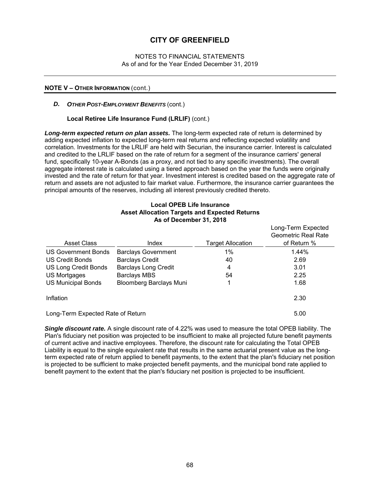## NOTES TO FINANCIAL STATEMENTS As of and for the Year Ended December 31, 2019

### **NOTE V – OTHER INFORMATION** (cont.)

## *D. OTHER POST-EMPLOYMENT BENEFITS* (cont.)

## **Local Retiree Life Insurance Fund (LRLIF)** (cont.)

*Long-term expected return on plan assets.* The long-term expected rate of return is determined by adding expected inflation to expected long-term real returns and reflecting expected volatility and correlation. Investments for the LRLIF are held with Securian, the insurance carrier. Interest is calculated and credited to the LRLIF based on the rate of return for a segment of the insurance carriers' general fund, specifically 10-year A-Bonds (as a proxy, and not tied to any specific investments). The overall aggregate interest rate is calculated using a tiered approach based on the year the funds were originally invested and the rate of return for that year. Investment interest is credited based on the aggregate rate of return and assets are not adjusted to fair market value. Furthermore, the insurance carrier guarantees the principal amounts of the reserves, including all interest previously credited thereto.

# **Local OPEB Life Insurance Asset Allocation Targets and Expected Returns As of December 31, 2018**

| <b>Asset Class</b>                | Index                          | Target Allocation | Long-Term Expected<br><b>Geometric Real Rate</b><br>of Return % |
|-----------------------------------|--------------------------------|-------------------|-----------------------------------------------------------------|
| US Government Bonds               | <b>Barclays Government</b>     | $1\%$             | 1.44%                                                           |
| <b>US Credit Bonds</b>            | <b>Barclays Credit</b>         | 40                | 2.69                                                            |
| <b>US Long Credit Bonds</b>       | <b>Barclays Long Credit</b>    | 4                 | 3.01                                                            |
| US Mortgages                      | <b>Barclays MBS</b>            | 54                | 2.25                                                            |
| <b>US Municipal Bonds</b>         | <b>Bloomberg Barclays Muni</b> | 1                 | 1.68                                                            |
| Inflation                         |                                |                   | 2.30                                                            |
| Long-Term Expected Rate of Return | 5.00                           |                   |                                                                 |

*Single discount rate.* A single discount rate of 4.22% was used to measure the total OPEB liability. The Plan's fiduciary net position was projected to be insufficient to make all projected future benefit payments of current active and inactive employees. Therefore, the discount rate for calculating the Total OPEB Liability is equal to the single equivalent rate that results in the same actuarial present value as the longterm expected rate of return applied to benefit payments, to the extent that the plan's fiduciary net position is projected to be sufficient to make projected benefit payments, and the municipal bond rate applied to benefit payment to the extent that the plan's fiduciary net position is projected to be insufficient.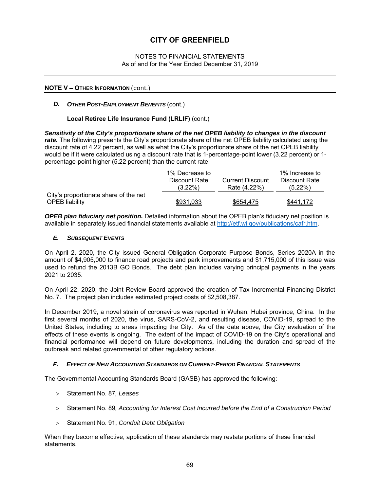#### NOTES TO FINANCIAL STATEMENTS As of and for the Year Ended December 31, 2019

#### **NOTE V – OTHER INFORMATION** (cont.)

#### *D. OTHER POST-EMPLOYMENT BENEFITS* (cont.)

#### **Local Retiree Life Insurance Fund (LRLIF)** (cont.)

*Sensitivity of the City's proportionate share of the net OPEB liability to changes in the discount rate.* The following presents the City's proportionate share of the net OPEB liability calculated using the discount rate of 4.22 percent, as well as what the City's proportionate share of the net OPEB liability would be if it were calculated using a discount rate that is 1-percentage-point lower (3.22 percent) or 1 percentage-point higher (5.22 percent) than the current rate:

|                                       | 1% Decrease to |                         | 1% Increase to |
|---------------------------------------|----------------|-------------------------|----------------|
|                                       | Discount Rate  | <b>Current Discount</b> | Discount Rate  |
|                                       | $(3.22\%)$     | Rate (4.22%)            | $(5.22\%)$     |
| City's proportionate share of the net |                |                         |                |
| <b>OPEB</b> liability                 | \$931,033      | \$654.475               | \$441.172      |

*OPEB plan fiduciary net position.* Detailed information about the OPEB plan's fiduciary net position is available in separately issued financial statements available at http://etf.wi.gov/publications/cafr.htm.

#### *E. SUBSEQUENT EVENTS*

On April 2, 2020, the City issued General Obligation Corporate Purpose Bonds, Series 2020A in the amount of \$4,905,000 to finance road projects and park improvements and \$1,715,000 of this issue was used to refund the 2013B GO Bonds. The debt plan includes varying principal payments in the years 2021 to 2035.

On April 22, 2020, the Joint Review Board approved the creation of Tax Incremental Financing District No. 7. The project plan includes estimated project costs of \$2,508,387.

In December 2019, a novel strain of coronavirus was reported in Wuhan, Hubei province, China. In the first several months of 2020, the virus, SARS-CoV-2, and resulting disease, COVID-19, spread to the United States, including to areas impacting the City. As of the date above, the City evaluation of the effects of these events is ongoing. The extent of the impact of COVID-19 on the City's operational and financial performance will depend on future developments, including the duration and spread of the outbreak and related governmental of other regulatory actions.

#### *F. EFFECT OF NEW ACCOUNTING STANDARDS ON CURRENT-PERIOD FINANCIAL STATEMENTS*

The Governmental Accounting Standards Board (GASB) has approved the following:

- Statement No. 87*, Leases*
- Statement No. 89*, Accounting for Interest Cost Incurred before the End of a Construction Period*
- Statement No. 91, *Conduit Debt Obligation*

When they become effective, application of these standards may restate portions of these financial statements.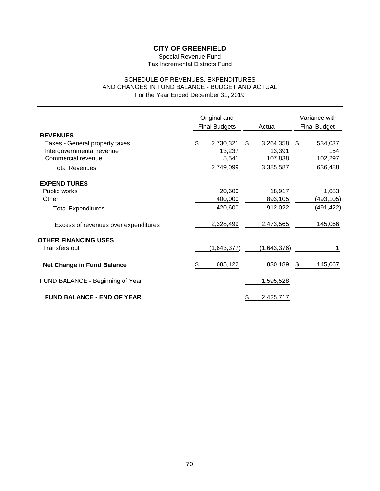Special Revenue Fund Tax Incremental Districts Fund

|                                      | Original and<br><b>Final Budgets</b> |     | Actual      | Variance with<br><b>Final Budget</b> |
|--------------------------------------|--------------------------------------|-----|-------------|--------------------------------------|
| <b>REVENUES</b>                      |                                      |     |             |                                      |
| Taxes - General property taxes       | \$<br>2,730,321                      | \$. | 3,264,358   | \$<br>534,037                        |
| Intergovernmental revenue            | 13,237                               |     | 13,391      | 154                                  |
| Commercial revenue                   | 5,541                                |     | 107,838     | 102,297                              |
| <b>Total Revenues</b>                | 2,749,099                            |     | 3,385,587   | 636,488                              |
| <b>EXPENDITURES</b>                  |                                      |     |             |                                      |
| Public works                         | 20,600                               |     | 18,917      | 1,683                                |
| Other                                | 400,000                              |     | 893,105     | (493,105)                            |
| <b>Total Expenditures</b>            | 420,600                              |     | 912,022     | (491,422)                            |
| Excess of revenues over expenditures | 2,328,499                            |     | 2,473,565   | 145,066                              |
| <b>OTHER FINANCING USES</b>          |                                      |     |             |                                      |
| Transfers out                        | (1,643,377)                          |     | (1,643,376) |                                      |
| <b>Net Change in Fund Balance</b>    | \$<br>685,122                        |     | 830,189     | \$<br>145,067                        |
| FUND BALANCE - Beginning of Year     |                                      |     | 1,595,528   |                                      |
| <b>FUND BALANCE - END OF YEAR</b>    |                                      |     | 2,425,717   |                                      |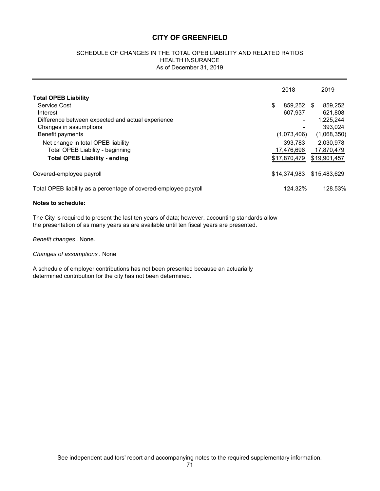#### SCHEDULE OF CHANGES IN THE TOTAL OPEB LIABILITY AND RELATED RATIOS HEALTH INSURANCE As of December 31, 2019

|                                                                  | 2018          |    | 2019         |
|------------------------------------------------------------------|---------------|----|--------------|
| <b>Total OPEB Liability</b>                                      |               |    |              |
| Service Cost                                                     | \$<br>859.252 | -S | 859,252      |
| Interest                                                         | 607.937       |    | 621,808      |
| Difference between expected and actual experience                | ۰             |    | 1,225,244    |
| Changes in assumptions                                           | -             |    | 393.024      |
| Benefit payments                                                 | (1,073,406)   |    | (1,068,350)  |
| Net change in total OPEB liability                               | 393.783       |    | 2,030,978    |
| Total OPEB Liability - beginning                                 | 17,476,696    |    | 17,870,479   |
| <b>Total OPEB Liability - ending</b>                             | \$17,870,479  |    | \$19,901,457 |
| Covered-employee payroll                                         | \$14.374.983  |    | \$15,483,629 |
| Total OPEB liability as a percentage of covered-employee payroll | 124.32%       |    | 128.53%      |

#### **Notes to schedule:**

The City is required to present the last ten years of data; however, accounting standards allow the presentation of as many years as are available until ten fiscal years are presented.

*Benefit changes* . None.

*Changes of assumptions* . None

A schedule of employer contributions has not been presented because an actuarially determined contribution for the city has not been determined.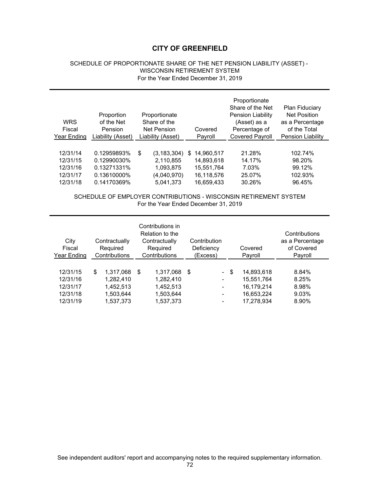#### SCHEDULE OF PROPORTIONATE SHARE OF THE NET PENSION LIABILITY (ASSET) - WISCONSIN RETIREMENT SYSTEM For the Year Ended December 31, 2019

|             |                   |                     |                   | Proportionate     |                     |
|-------------|-------------------|---------------------|-------------------|-------------------|---------------------|
|             |                   |                     |                   | Share of the Net  | Plan Fiduciary      |
|             | Proportion        | Proportionate       |                   | Pension Liability | <b>Net Position</b> |
| <b>WRS</b>  | of the Net        | Share of the        |                   | (Asset) as a      | as a Percentage     |
| Fiscal      | Pension           | Net Pension         | Covered           | Percentage of     | of the Total        |
| Year Ending | Liability (Asset) | Liability (Asset)   | Payroll           | Covered Payroll   | Pension Liability   |
|             |                   |                     |                   |                   |                     |
| 12/31/14    | 0.12959893%       | \$<br>(3, 183, 304) | 14,960,517<br>\$. | 21.28%            | 102.74%             |
| 12/31/15    | 0.12990030%       | 2,110,855           | 14,893,618        | 14.17%            | 98.20%              |
| 12/31/16    | 0.13271331%       | 1,093,875           | 15,551,764        | 7.03%             | 99.12%              |
| 12/31/17    | 0.13610000%       | (4,040,970)         | 16,118,576        | 25.07%            | 102.93%             |
| 12/31/18    | 0.14170369%       | 5.041.373           | 16.659.433        | 30.26%            | 96.45%              |

For the Year Ended December 31, 2019 SCHEDULE OF EMPLOYER CONTRIBUTIONS - WISCONSIN RETIREMENT SYSTEM

See independent auditors' report and accompanying notes to the required supplementary information.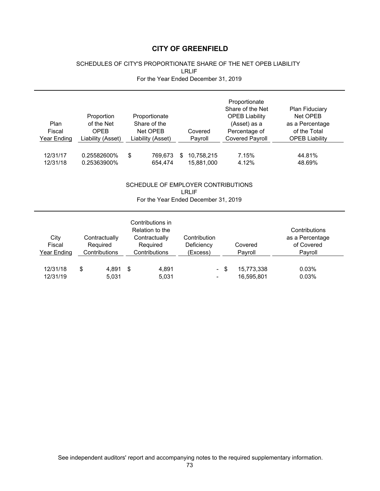#### SCHEDULES OF CITY'S PROPORTIONATE SHARE OF THE NET OPEB LIABILITY

LRLIF

For the Year Ended December 31, 2019

| Plan<br>Fiscal<br>Year Ending | Proportion<br>of the Net<br><b>OPEB</b><br>Liability (Asset) | Proportionate<br>Share of the<br>Net OPEB<br>Liability (Asset) | Covered<br>Payroll       | Proportionate<br>Share of the Net<br><b>OPEB Liability</b><br>(Asset) as a<br>Percentage of<br><b>Covered Payroll</b> | Plan Fiduciary<br>Net OPEB<br>as a Percentage<br>of the Total<br><b>OPEB Liability</b> |
|-------------------------------|--------------------------------------------------------------|----------------------------------------------------------------|--------------------------|-----------------------------------------------------------------------------------------------------------------------|----------------------------------------------------------------------------------------|
| 12/31/17<br>12/31/18          | 0.25582600%<br>0.25363900%                                   | \$<br>769.673<br>654.474                                       | 10.758.215<br>15,881,000 | 7.15%<br>4.12%                                                                                                        | 44.81%<br>48.69%                                                                       |

## SCHEDULE OF EMPLOYER CONTRIBUTIONS

LRLIF

For the Year Ended December 31, 2019

| City<br>Fiscal<br>Year Ending | Contractually<br>Required<br>Contributions | Contributions in<br>Relation to the<br>Contractually<br>Required<br>Contributions | Contribution<br>Deficiency<br>(Excess) |      | Covered<br>Pavroll | Contributions<br>as a Percentage<br>of Covered<br>Pavroll |
|-------------------------------|--------------------------------------------|-----------------------------------------------------------------------------------|----------------------------------------|------|--------------------|-----------------------------------------------------------|
| 12/31/18                      | \$<br>4.891                                | \$<br>4.891                                                                       |                                        | - \$ | 15,773,338         | 0.03%                                                     |
| 12/31/19                      | 5.031                                      | 5,031                                                                             | ۰                                      |      | 16,595,801         | 0.03%                                                     |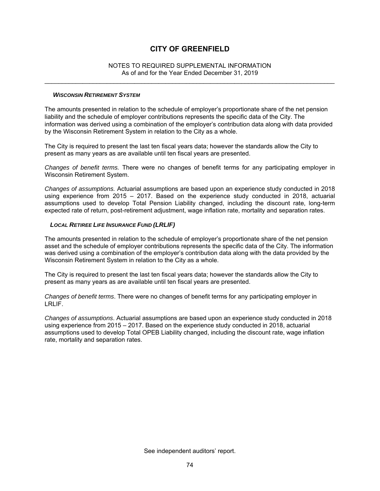#### NOTES TO REQUIRED SUPPLEMENTAL INFORMATION As of and for the Year Ended December 31, 2019

#### *WISCONSIN RETIREMENT SYSTEM*

The amounts presented in relation to the schedule of employer's proportionate share of the net pension liability and the schedule of employer contributions represents the specific data of the City. The information was derived using a combination of the employer's contribution data along with data provided by the Wisconsin Retirement System in relation to the City as a whole.

The City is required to present the last ten fiscal years data; however the standards allow the City to present as many years as are available until ten fiscal years are presented.

*Changes of benefit terms.* There were no changes of benefit terms for any participating employer in Wisconsin Retirement System.

*Changes of assumptions.* Actuarial assumptions are based upon an experience study conducted in 2018 using experience from 2015 – 2017. Based on the experience study conducted in 2018, actuarial assumptions used to develop Total Pension Liability changed, including the discount rate, long-term expected rate of return, post-retirement adjustment, wage inflation rate, mortality and separation rates.

#### *LOCAL RETIREE LIFE INSURANCE FUND (LRLIF)*

The amounts presented in relation to the schedule of employer's proportionate share of the net pension asset and the schedule of employer contributions represents the specific data of the City. The information was derived using a combination of the employer's contribution data along with the data provided by the Wisconsin Retirement System in relation to the City as a whole.

The City is required to present the last ten fiscal years data; however the standards allow the City to present as many years as are available until ten fiscal years are presented.

*Changes of benefit terms*. There were no changes of benefit terms for any participating employer in LRLIF.

*Changes of assumptions*. Actuarial assumptions are based upon an experience study conducted in 2018 using experience from 2015 – 2017. Based on the experience study conducted in 2018, actuarial assumptions used to develop Total OPEB Liability changed, including the discount rate, wage inflation rate, mortality and separation rates.

See independent auditors' report.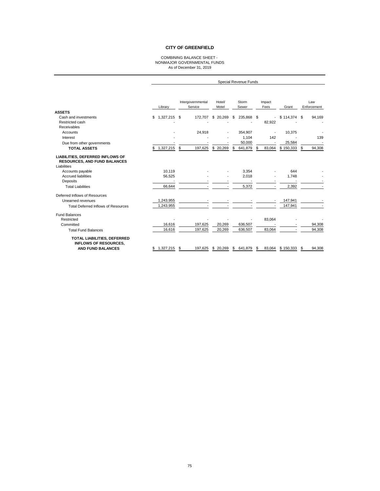COMBINING BALANCE SHEET - NONMAJOR GOVERNMENTAL FUNDS As of December 31, 2019

|                                                                                               |                 |                              |                 |                | <b>Special Revenue Funds</b> |                |        |               |                    |
|-----------------------------------------------------------------------------------------------|-----------------|------------------------------|-----------------|----------------|------------------------------|----------------|--------|---------------|--------------------|
|                                                                                               | Library         | Intergovernmental<br>Service | Hotel/<br>Motel | Storm<br>Sewer |                              | Impact<br>Fees |        | Grant         | Law<br>Enforcement |
| <b>ASSETS</b>                                                                                 |                 |                              |                 |                |                              |                |        |               |                    |
| Cash and investments<br>Restricted cash                                                       | 1,327,215<br>\$ | \$<br>172,707                | \$<br>20,269    | \$             | 235,868                      | \$             |        | $$114,374$ \$ | 94,169             |
| Receivables                                                                                   |                 |                              |                 |                |                              |                | 82,922 |               |                    |
| Accounts                                                                                      |                 | 24,918                       |                 |                | 354,907                      |                |        | 10,375        |                    |
| Interest                                                                                      |                 |                              |                 |                | 1,104                        |                | 142    |               | 139                |
| Due from other governments                                                                    |                 |                              |                 |                | 50,000                       |                |        | 25,584        |                    |
| <b>TOTAL ASSETS</b>                                                                           | 1,327,215<br>\$ | \$<br>197,625                | \$20,269        | \$             | 641,879                      | \$.            | 83,064 | \$150,333     | \$<br>94,308       |
| <b>LIABILITIES, DEFERRED INFLOWS OF</b><br><b>RESOURCES, AND FUND BALANCES</b><br>Liabilities |                 |                              |                 |                |                              |                |        |               |                    |
| Accounts payable                                                                              | 10,119          |                              |                 |                | 3,354                        |                |        | 644           |                    |
| <b>Accrued liabilities</b>                                                                    | 56,525          |                              |                 |                | 2,018                        |                |        | 1,748         |                    |
| Deposits                                                                                      |                 |                              |                 |                |                              |                |        |               |                    |
| <b>Total Liabilities</b>                                                                      | 66,644          |                              |                 |                | 5,372                        |                |        | 2,392         |                    |
| Deferred Inflows of Resources                                                                 |                 |                              |                 |                |                              |                |        |               |                    |
| Unearned revenues                                                                             | 1,243,955       |                              |                 |                |                              |                |        | 147,941       |                    |
| <b>Total Deferred Inflows of Resources</b>                                                    | 1,243,955       |                              |                 |                |                              |                |        | 147,941       |                    |
| <b>Fund Balances</b>                                                                          |                 |                              |                 |                |                              |                |        |               |                    |
| Restricted                                                                                    |                 |                              |                 |                |                              |                | 83,064 |               |                    |
| Committed                                                                                     | 16,616          | 197,625                      | 20,269          |                | 636,507                      |                |        |               | 94,308             |
| <b>Total Fund Balances</b>                                                                    | 16,616          | 197,625                      | 20,269          |                | 636,507                      |                | 83,064 |               | 94,308             |
| <b>TOTAL LIABILITIES, DEFERRED</b><br><b>INFLOWS OF RESOURCES,</b>                            |                 |                              |                 |                |                              |                |        |               |                    |
| <b>AND FUND BALANCES</b>                                                                      | 1,327,215<br>\$ | \$<br>197,625                | \$20,269        | \$             | 641,879                      | S              | 83,064 | \$150,333     | \$<br>94,308       |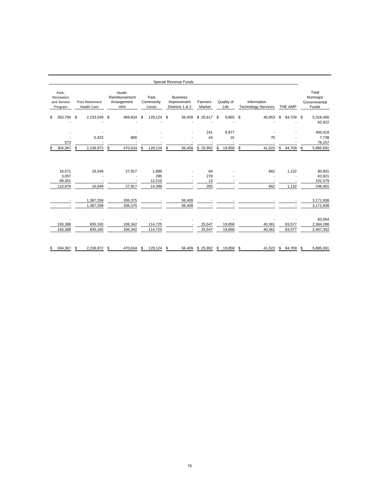|    |                                               |                                       |    |                                                      |    |                             |    | <b>Special Revenue Funds</b>                      |                   |                    |                                           |                  |                            |                  |                                            |                                  |
|----|-----------------------------------------------|---------------------------------------|----|------------------------------------------------------|----|-----------------------------|----|---------------------------------------------------|-------------------|--------------------|-------------------------------------------|------------------|----------------------------|------------------|--------------------------------------------|----------------------------------|
|    | Park,<br>Recreation<br>and Service<br>Program | Post Retirement<br><b>Health Care</b> |    | Health<br>Reimbursement<br>Arrangement<br><b>HRA</b> |    | Park<br>Community<br>Center |    | <b>Business</b><br>Improvement<br>Districts 1 & 2 | Farmers<br>Market | Quality of<br>Life | Information<br><b>Technology Services</b> |                  | THE AMP                    |                  | Total<br>Nonmajor<br>Governmental<br>Funds |                                  |
| \$ | 303,794                                       | \$<br>2,233,549                       | \$ | 469,834                                              | \$ | 129,124                     | \$ | 56,409                                            | \$25,617          | \$<br>9,865        | $\boldsymbol{\mathsf{\$}}$                | 40,953           | \$                         | 84,709           | \$                                         | 5,318,456<br>82,922              |
|    | 573                                           | 5,423                                 |    | 800                                                  |    |                             |    |                                                   | 241<br>44         | 9,977<br>16        |                                           | 70               |                            |                  |                                            | 400,418<br>7,738<br>76,157       |
| \$ | 304,367                                       | \$<br>2,238,972                       | \$ | 470,634                                              | \$ | 129,124                     | \$ | 56,409                                            | \$25,902          | \$<br>19,858       | \$                                        | 41,023           | \$                         | 84,709           | \$                                         | 5,885,691                        |
|    | 18,571<br>3,057                               | 16,549                                |    | 27,917                                               |    | 1,889<br>295                |    |                                                   | 64<br>278         |                    |                                           | 662              |                            | 1,132            |                                            | 80,901<br>63,921                 |
|    | 89,351<br>110,979                             | 16,549                                |    | 27,917                                               |    | 12,215<br>14,399            |    |                                                   | 13<br>355         |                    |                                           | 662              |                            | 1,132            |                                            | 101,579<br>246,401               |
|    |                                               | 1,387,258<br>1,387,258                |    | 336,375<br>336,375                                   |    |                             |    | 56,409<br>56,409                                  |                   |                    |                                           |                  |                            |                  |                                            | 3,171,938<br>3,171,938           |
|    | 193,388<br>193,388                            | 835,165<br>835,165                    |    | 106,342<br>106,342                                   |    | 114,725<br>114,725          |    |                                                   | 25,547<br>25,547  | 19,858<br>19,858   |                                           | 40,361<br>40,361 |                            | 83,577<br>83,577 |                                            | 83,064<br>2,384,288<br>2,467,352 |
| S. | 304,367                                       | \$<br>2,238,972                       | \$ | 470,634                                              | \$ | 129,124                     | \$ | 56,409                                            | \$25,902          | \$<br>19,858       | \$                                        | 41,023           | $\boldsymbol{\mathsf{\$}}$ | 84,709           | \$                                         | 5,885,691                        |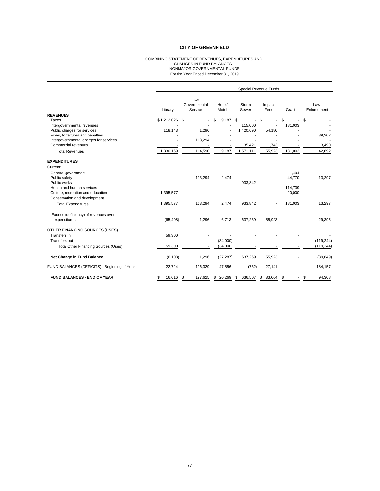|                                                                            |              |                                   |                 |                | <b>Special Revenue Funds</b> |                                |                    |
|----------------------------------------------------------------------------|--------------|-----------------------------------|-----------------|----------------|------------------------------|--------------------------------|--------------------|
|                                                                            | Library      | Inter-<br>Governmental<br>Service | Hotel/<br>Motel | Storm<br>Sewer | Impact<br>Fees               | Grant                          | Law<br>Enforcement |
| <b>REVENUES</b>                                                            |              |                                   |                 |                |                              |                                |                    |
| Taxes                                                                      | \$1,212,026  | -\$                               | \$<br>9,187     | - \$           | \$                           | \$                             | \$                 |
| Intergovernmental revenues                                                 |              |                                   |                 | 115,000        |                              | 181,003                        |                    |
| Public charges for services                                                | 118,143      | 1,296                             |                 | 1,420,690      | 54,180                       |                                |                    |
| Fines, forfeitures and penalties<br>Intergovernmental charges for services |              | 113,294                           |                 |                |                              |                                | 39,202             |
| <b>Commercial revenues</b>                                                 |              |                                   |                 | 35,421         | 1,743                        |                                | 3,490              |
| <b>Total Revenues</b>                                                      | 1,330,169    | 114,590                           | 9,187           | 1,571,111      | 55,923                       | 181,003                        | 42,692             |
| <b>EXPENDITURES</b>                                                        |              |                                   |                 |                |                              |                                |                    |
| Current:                                                                   |              |                                   |                 |                |                              |                                |                    |
| General government                                                         |              |                                   |                 |                |                              | 1,494                          |                    |
| Public safety                                                              |              | 113,294                           | 2,474           |                |                              | 44,770                         | 13,297             |
| Public works                                                               |              |                                   |                 | 933,842        |                              |                                |                    |
| Health and human services                                                  |              |                                   |                 |                |                              | 114,739                        |                    |
| Culture, recreation and education                                          | 1,395,577    |                                   |                 |                |                              | 20,000                         |                    |
| Conservation and development                                               |              |                                   |                 |                |                              |                                |                    |
| <b>Total Expenditures</b>                                                  | 1,395,577    | 113,294                           | 2,474           | 933,842        |                              | 181,003                        | 13,297             |
| Excess (deficiency) of revenues over                                       |              |                                   |                 |                |                              |                                |                    |
| expenditures                                                               | (65, 408)    | 1,296                             | 6,713           | 637,269        | 55,923                       |                                | 29,395             |
| <b>OTHER FINANCING SOURCES (USES)</b>                                      |              |                                   |                 |                |                              |                                |                    |
| Transfers in                                                               | 59,300       |                                   |                 |                |                              |                                |                    |
| <b>Transfers out</b>                                                       |              |                                   | (34,000)        |                |                              |                                | (119, 244)         |
| <b>Total Other Financing Sources (Uses)</b>                                | 59,300       | $\overline{a}$                    | (34,000)        |                |                              |                                | (119, 244)         |
| <b>Net Change in Fund Balance</b>                                          | (6, 108)     | 1,296                             | (27, 287)       | 637,269        | 55,923                       |                                | (89, 849)          |
| FUND BALANCES (DEFICITS) - Beginning of Year                               | 22,724       | 196,329                           | 47,556          | (762)          | 27,141                       |                                | 184,157            |
| <b>FUND BALANCES - END OF YEAR</b>                                         | \$<br>16,616 | 197,625<br>-\$                    | \$<br>20,269    | 636,507<br>\$  | \$<br>83,064                 | \$<br>$\overline{\phantom{0}}$ | \$<br>94,308       |

# COMBINING STATEMENT OF REVENUES, EXPENDITURES AND CHANGES IN FUND BALANCES - NONMAJOR GOVERNMENTAL FUNDS For the Year Ended December 31, 2019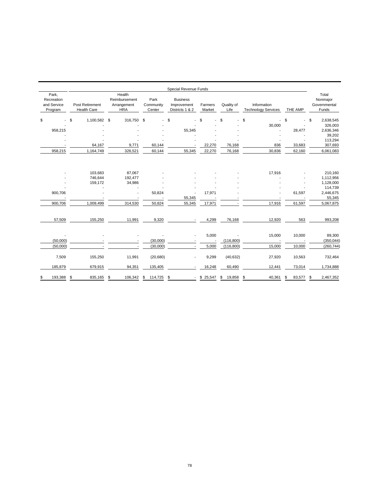|                                               |                                       |                                                      |                             | <b>Special Revenue Funds</b>                      |                   |                            |                                           |                 |                                            |
|-----------------------------------------------|---------------------------------------|------------------------------------------------------|-----------------------------|---------------------------------------------------|-------------------|----------------------------|-------------------------------------------|-----------------|--------------------------------------------|
| Park,<br>Recreation<br>and Service<br>Program | Post Retirement<br><b>Health Care</b> | Health<br>Reimbursement<br>Arrangement<br><b>HRA</b> | Park<br>Community<br>Center | <b>Business</b><br>Improvement<br>Districts 1 & 2 | Farmers<br>Market | Quality of<br>Life         | Information<br><b>Technology Services</b> | THE AMP         | Total<br>Nonmajor<br>Governmental<br>Funds |
| $\,$                                          | $-$ \$<br>1,100,582 \$                | 316,750 \$                                           |                             | $-$ \$                                            | \$                | $\sqrt[6]{\frac{1}{2}}$    | $-$ \$                                    | $-$ \$          | 2,638,545<br>$\sqrt[6]{2}$                 |
|                                               |                                       |                                                      |                             |                                                   |                   |                            | 30,000                                    |                 | 326,003<br>2,636,346                       |
| 958,215                                       |                                       |                                                      |                             | 55,345                                            |                   |                            |                                           | 28,477          | 39,202                                     |
|                                               |                                       |                                                      |                             |                                                   |                   |                            |                                           |                 | 113,294                                    |
|                                               | 64,167                                | 9,771                                                | 60,144                      |                                                   | 22,270            | 76,168                     | 836                                       | 33,683          | 307,693                                    |
| 958,215                                       | 1,164,749                             | 326,521                                              | 60,144                      | 55,345                                            | 22,270            | 76,168                     | 30,836                                    | 62,160          | 6,061,083                                  |
|                                               | 103,683                               | 87,067                                               |                             |                                                   |                   |                            | 17,916                                    |                 | 210,160                                    |
|                                               | 746,644                               | 192,477                                              |                             |                                                   |                   |                            |                                           |                 | 1,112,956                                  |
|                                               | 159,172                               | 34,986                                               |                             |                                                   |                   |                            |                                           |                 | 1,128,000                                  |
|                                               |                                       |                                                      |                             |                                                   |                   |                            |                                           |                 | 114,739                                    |
| 900,706                                       |                                       |                                                      | 50,824                      | $\blacksquare$<br>55,345                          | 17,971            |                            |                                           | 61,597          | 2,446,675<br>55,345                        |
| 900,706                                       | 1,009,499                             | 314,530                                              | 50,824                      | 55,345                                            | 17,971            |                            | 17,916                                    | 61,597          | 5,067,875                                  |
| 57,509                                        | 155,250                               | 11,991                                               | 9,320                       |                                                   | 4,299             | 76,168                     | 12,920                                    | 563             | 993,208                                    |
|                                               |                                       |                                                      |                             |                                                   |                   |                            |                                           |                 |                                            |
|                                               |                                       |                                                      |                             |                                                   | 5,000             |                            | 15,000                                    | 10,000          | 89,300                                     |
| (50,000)                                      |                                       |                                                      | (30,000)                    |                                                   |                   | (116, 800)                 |                                           |                 | (350, 044)                                 |
| (50,000)                                      |                                       |                                                      | (30,000)                    |                                                   | 5,000             | (116, 800)                 | 15,000                                    | 10,000          | (260, 744)                                 |
| 7,509                                         | 155,250                               | 11,991                                               | (20, 680)                   | $\blacksquare$                                    | 9,299             | (40, 632)                  | 27,920                                    | 10,563          | 732,464                                    |
| 185,879                                       | 679,915                               | 94,351                                               | 135,405                     |                                                   | 16,248            | 60,490                     | 12,441                                    | 73,014          | 1,734,888                                  |
| $\frac{1}{2}$<br>193,388 \$                   | 835,165 \$                            |                                                      | 106,342 \$ 114,725 \$       |                                                   |                   | $-$ \$ 25,547 \$ 19,858 \$ | 40,361                                    | 83,577 \$<br>\$ | 2,467,352                                  |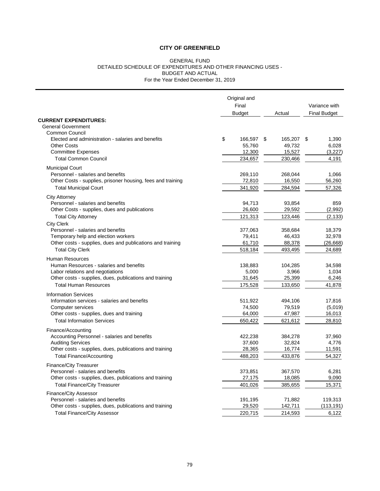#### For the Year Ended December 31, 2019 GENERAL FUND DETAILED SCHEDULE OF EXPENDITURES AND OTHER FINANCING USES - BUDGET AND ACTUAL

|                                                             | Original and<br>Final<br><b>Budget</b> | Actual        | Variance with<br><b>Final Budget</b> |
|-------------------------------------------------------------|----------------------------------------|---------------|--------------------------------------|
| <b>CURRENT EXPENDITURES:</b>                                |                                        |               |                                      |
| <b>General Government</b>                                   |                                        |               |                                      |
| <b>Common Council</b>                                       |                                        |               |                                      |
| Elected and administration - salaries and benefits          | \$<br>166,597                          | \$<br>165,207 | - \$<br>1,390                        |
| <b>Other Costs</b>                                          | 55,760                                 | 49,732        | 6,028                                |
| <b>Committee Expenses</b>                                   | 12,300                                 | 15,527        | (3,227)                              |
| <b>Total Common Council</b>                                 | 234,657                                | 230,466       | 4,191                                |
| <b>Municipal Court</b>                                      |                                        |               |                                      |
| Personnel - salaries and benefits                           | 269,110                                | 268,044       | 1,066                                |
| Other Costs - supplies, prisoner housing, fees and training | 72,810                                 | 16,550        | 56,260                               |
| <b>Total Municipal Court</b>                                | 341,920                                | 284,594       | 57,326                               |
| <b>City Attorney</b>                                        |                                        |               |                                      |
| Personnel - salaries and benefits                           | 94,713                                 | 93,854        | 859                                  |
| Other Costs - supplies, dues and publications               | 26,600                                 | 29,592        | (2,992)                              |
| <b>Total City Attorney</b>                                  | 121,313                                | 123,446       | (2, 133)                             |
| <b>City Clerk</b>                                           |                                        |               |                                      |
| Personnel - salaries and benefits                           | 377,063                                | 358,684       | 18,379                               |
| Temporary help and election workers                         | 79,411                                 | 46,433        | 32,978                               |
| Other costs - supplies, dues and publications and training  | 61,710                                 | 88,378        | (26, 668)                            |
| <b>Total City Clerk</b>                                     | 518,184                                | 493,495       | 24,689                               |
| <b>Human Resources</b>                                      |                                        |               |                                      |
| Human Resources - salaries and benefits                     | 138,883                                | 104,285       | 34,598                               |
| Labor relations and negotiations                            | 5,000                                  | 3,966         | 1,034                                |
| Other costs - supplies, dues, publications and training     | 31,645                                 | 25,399        | 6,246                                |
| <b>Total Human Resources</b>                                | 175,528                                | 133,650       | 41,878                               |
| <b>Information Services</b>                                 |                                        |               |                                      |
| Information services - salaries and benefits                | 511,922                                | 494,106       | 17,816                               |
| Computer services                                           | 74,500                                 | 79,519        | (5,019)                              |
| Other costs - supplies, dues and training                   | 64,000                                 | 47,987        | 16,013                               |
| <b>Total Information Services</b>                           | 650,422                                | 621,612       | 28,810                               |
| Finance/Accounting                                          |                                        |               |                                      |
| Accounting Personnel - salaries and benefits                | 422,238                                | 384,278       | 37,960                               |
| <b>Auditing Services</b>                                    | 37,600                                 | 32,824        | 4,776                                |
| Other costs - supplies, dues, publications and training     | 28,365                                 | 16,774        | 11,591                               |
| <b>Total Finance/Accounting</b>                             | 488,203                                | 433,876       | 54,327                               |
| Finance/City Treasurer                                      |                                        |               |                                      |
| Personnel - salaries and benefits                           | 373,851                                | 367,570       | 6,281                                |
| Other costs - supplies, dues, publications and training     | 27,175                                 | 18,085        | 9,090                                |
| <b>Total Finance/City Treasurer</b>                         | 401,026                                | 385,655       | 15,371                               |
| Finance/City Assessor                                       |                                        |               |                                      |
| Personnel - salaries and benefits                           | 191,195                                | 71,882        | 119,313                              |
| Other costs - supplies, dues, publications and training     | 29,520                                 | 142,711       | (113, 191)                           |
| <b>Total Finance/City Assessor</b>                          | 220,715                                | 214,593       | 6,122                                |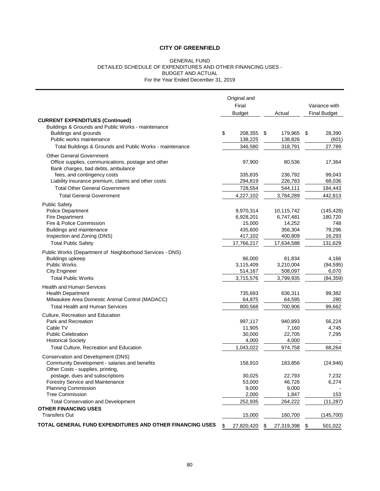#### For the Year Ended December 31, 2019 GENERAL FUND DETAILED SCHEDULE OF EXPENDITURES AND OTHER FINANCING USES - BUDGET AND ACTUAL

|                                                                   | Original and     |                  |               |                     |
|-------------------------------------------------------------------|------------------|------------------|---------------|---------------------|
|                                                                   | Final            |                  | Variance with |                     |
|                                                                   | <b>Budget</b>    | Actual           |               | <b>Final Budget</b> |
| <b>CURRENT EXPENDITUES (Continued)</b>                            |                  |                  |               |                     |
| Buildings & Grounds and Public Works - maintenance                |                  |                  |               |                     |
| Buildings and grounds                                             | \$<br>208,355    | \$<br>179,965    | \$            | 28,390              |
| Public works maintenance                                          | 138,225          | 138,826          |               | (601)               |
| Total Buildings & Grounds and Public Works - maintenance          | 346,580          | 318,791          |               | 27,789              |
|                                                                   |                  |                  |               |                     |
| <b>Other General Government</b>                                   |                  |                  |               |                     |
| Office supplies, communications, postage and other                | 97,900           | 80,536           |               | 17,364              |
| Bank charges, bad debts, ambulance<br>fees, and contingency costs | 335,835          | 236,792          |               | 99,043              |
| Liability insurance premium, claims and other costs               | 294,819          | 226,783          |               | 68,036              |
| <b>Total Other General Government</b>                             | 728,554          | 544,111          |               | 184,443             |
|                                                                   |                  |                  |               |                     |
| <b>Total General Government</b>                                   | 4,227,102        | 3,784,289        |               | 442,813             |
| <b>Public Safety</b>                                              |                  |                  |               |                     |
| <b>Police Department</b>                                          | 9,970,314        | 10,115,742       |               | (145, 428)          |
| <b>Fire Department</b>                                            | 6,928,201        | 6,747,481        |               | 180,720             |
| Fire & Police Commission                                          | 15,000           | 14,252           |               | 748                 |
| Buildings and maintenance                                         | 435,600          | 356,304          |               | 79,296              |
| Inspection and Zoning (DNS)                                       | 417,102          | 400,809          |               | 16,293              |
| <b>Total Public Safety</b>                                        | 17,766,217       | 17,634,588       |               | 131,629             |
| Public Works (Department of Neighborhood Services - DNS)          |                  |                  |               |                     |
| <b>Buildings upkeep</b>                                           | 86,000           | 81,834           |               | 4,166               |
| <b>Public Works</b>                                               | 3,115,409        | 3,210,004        |               | (94, 595)           |
| <b>City Engineer</b>                                              | 514,167          | 508,097          |               | 6,070               |
| <b>Total Public Works</b>                                         | 3,715,576        | 3,799,935        |               | (84, 359)           |
| <b>Health and Human Services</b>                                  |                  |                  |               |                     |
| <b>Health Department</b>                                          | 735,693          | 636,311          |               | 99,382              |
| Milwaukee Area Domestic Animal Control (MADACC)                   | 64,875           | 64,595           |               | 280                 |
| <b>Total Health and Human Services</b>                            | 800,568          | 700,906          |               | 99,662              |
|                                                                   |                  |                  |               |                     |
| Culture, Recreation and Education<br>Park and Recreation          | 997,117          | 940,893          |               | 56,224              |
| Cable TV                                                          | 11,905           | 7,160            |               | 4,745               |
| <b>Public Celebration</b>                                         | 30,000           | 22,705           |               | 7,295               |
| <b>Historical Society</b>                                         | 4,000            | 4,000            |               |                     |
| Total Culture, Recreation and Education                           | 1,043,022        | 974,758          |               | 68,264              |
|                                                                   |                  |                  |               |                     |
| Conservation and Development (DNS)                                |                  |                  |               |                     |
| Community Development - salaries and benefits                     | 158,910          | 183,856          |               | (24, 946)           |
| Other Costs - supplies, printing,                                 |                  |                  |               |                     |
| postage, dues and subscriptions                                   | 30,025           | 22,793           |               | 7,232               |
| <b>Forestry Service and Maintenance</b>                           | 53,000           | 46,726           |               | 6,274               |
| <b>Planning Commission</b><br><b>Tree Commission</b>              | 9,000<br>2,000   | 9,000            |               | 153                 |
|                                                                   |                  | 1,847            |               |                     |
| <b>Total Conservation and Development</b>                         | 252,935          | 264,222          |               | (11, 287)           |
| <b>OTHER FINANCING USES</b>                                       |                  |                  |               |                     |
| <b>Transfers Out</b>                                              | 15,000           | 160,700          |               | (145, 700)          |
| TOTAL GENERAL FUND EXPENDITURES AND OTHER FINANCING USES          | \$<br>27,820,420 | \$<br>27,319,398 | \$            | 501,022             |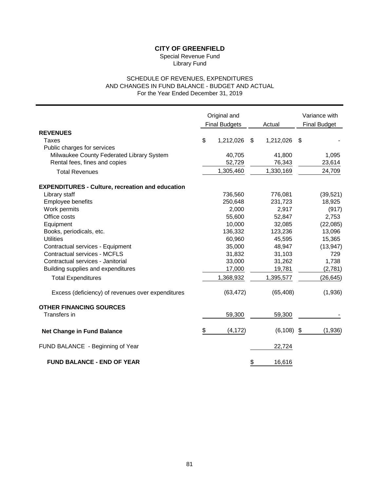Special Revenue Fund Library Fund

|                                                         | Original and<br><b>Final Budgets</b> | Actual       |     | Variance with<br><b>Final Budget</b> |
|---------------------------------------------------------|--------------------------------------|--------------|-----|--------------------------------------|
| <b>REVENUES</b>                                         |                                      |              |     |                                      |
| Taxes                                                   | \$<br>1,212,026 \$                   | 1,212,026    | -\$ |                                      |
| Public charges for services                             |                                      |              |     |                                      |
| Milwaukee County Federated Library System               | 40,705                               | 41,800       |     | 1,095                                |
| Rental fees, fines and copies                           | 52,729                               | 76,343       |     | 23,614                               |
| <b>Total Revenues</b>                                   | 1,305,460                            | 1,330,169    |     | 24,709                               |
| <b>EXPENDITURES - Culture, recreation and education</b> |                                      |              |     |                                      |
| Library staff                                           | 736,560                              | 776,081      |     | (39, 521)                            |
| Employee benefits                                       | 250,648                              | 231,723      |     | 18,925                               |
| Work permits                                            | 2,000                                | 2,917        |     | (917)                                |
| Office costs                                            | 55,600                               | 52,847       |     | 2,753                                |
| Equipment                                               | 10,000                               | 32,085       |     | (22,085)                             |
| Books, periodicals, etc.                                | 136,332                              | 123,236      |     | 13,096                               |
| <b>Utilities</b>                                        | 60,960                               | 45,595       |     | 15,365                               |
| Contractual services - Equipment                        | 35,000                               | 48,947       |     | (13, 947)                            |
| <b>Contractual services - MCFLS</b>                     | 31,832                               | 31,103       |     | 729                                  |
| Contractual services - Janitorial                       | 33,000                               | 31,262       |     | 1,738                                |
| Building supplies and expenditures                      | 17,000                               | 19,781       |     | (2,781)                              |
| <b>Total Expenditures</b>                               | 1,368,932                            | 1,395,577    |     | (26, 645)                            |
| Excess (deficiency) of revenues over expenditures       | (63, 472)                            | (65, 408)    |     | (1,936)                              |
| <b>OTHER FINANCING SOURCES</b>                          |                                      |              |     |                                      |
| Transfers in                                            | 59,300                               | 59,300       |     |                                      |
| <b>Net Change in Fund Balance</b>                       | \$<br>(4, 172)                       | (6, 108)     | -\$ | (1,936)                              |
| FUND BALANCE - Beginning of Year                        |                                      | 22,724       |     |                                      |
| <b>FUND BALANCE - END OF YEAR</b>                       |                                      | \$<br>16,616 |     |                                      |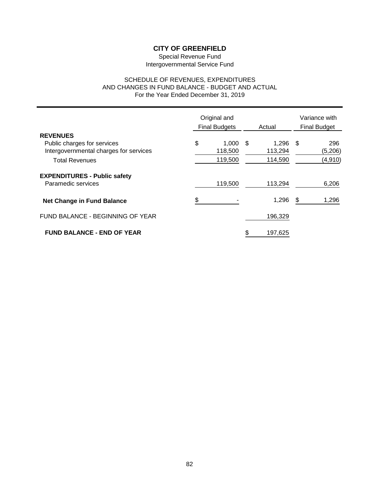Special Revenue Fund Intergovernmental Service Fund

|                                        | Original and<br><b>Final Budgets</b> |      | Actual  | Variance with<br><b>Final Budget</b> |          |  |
|----------------------------------------|--------------------------------------|------|---------|--------------------------------------|----------|--|
| <b>REVENUES</b>                        |                                      |      |         |                                      |          |  |
| Public charges for services            | \$<br>1,000                          | - \$ | 1.296   | - \$                                 | 296.     |  |
| Intergovernmental charges for services | 118,500                              |      | 113.294 |                                      | (5,206)  |  |
| <b>Total Revenues</b>                  | 119,500                              |      | 114,590 |                                      | (4, 910) |  |
| <b>EXPENDITURES - Public safety</b>    |                                      |      |         |                                      |          |  |
| Paramedic services                     | 119,500                              |      | 113.294 |                                      | 6,206    |  |
| <b>Net Change in Fund Balance</b>      | \$                                   |      | 1,296   |                                      | 1,296    |  |
| FUND BALANCE - BEGINNING OF YEAR       |                                      |      | 196,329 |                                      |          |  |
| <b>FUND BALANCE - END OF YEAR</b>      |                                      | S    | 197.625 |                                      |          |  |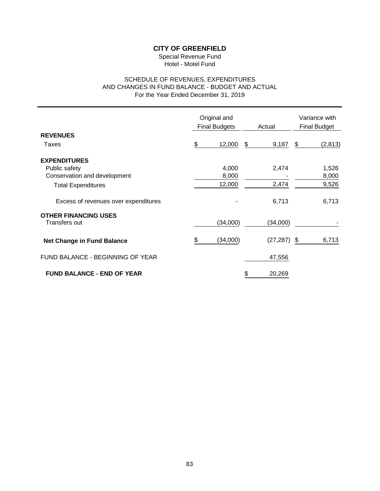Special Revenue Fund Hotel - Motel Fund

|                                              | Original and<br><b>Final Budgets</b> | Actual       | Variance with<br><b>Final Budget</b> |          |
|----------------------------------------------|--------------------------------------|--------------|--------------------------------------|----------|
| <b>REVENUES</b>                              |                                      |              |                                      |          |
| Taxes                                        | \$<br>12,000                         | \$<br>9,187  | \$                                   | (2, 813) |
| <b>EXPENDITURES</b>                          |                                      |              |                                      |          |
| Public safety                                | 4,000                                | 2,474        |                                      | 1,526    |
| Conservation and development                 | 8,000                                |              |                                      | 8,000    |
| <b>Total Expenditures</b>                    | 12,000                               | 2,474        |                                      | 9,526    |
| Excess of revenues over expenditures         |                                      | 6,713        |                                      | 6,713    |
| <b>OTHER FINANCING USES</b><br>Transfers out | (34,000)                             | (34,000)     |                                      |          |
| <b>Net Change in Fund Balance</b>            | \$<br>(34,000)                       | (27, 287)    | \$                                   | 6,713    |
| FUND BALANCE - BEGINNING OF YEAR             |                                      | 47,556       |                                      |          |
| <b>FUND BALANCE - END OF YEAR</b>            |                                      | \$<br>20,269 |                                      |          |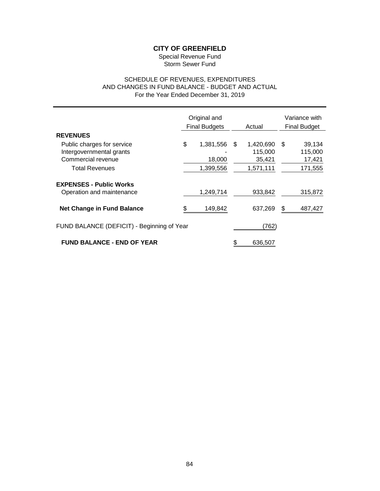Special Revenue Fund Storm Sewer Fund

|                                            | Original and         |     | Variance with |              |         |  |
|--------------------------------------------|----------------------|-----|---------------|--------------|---------|--|
|                                            | <b>Final Budgets</b> |     | Actual        | Final Budget |         |  |
| <b>REVENUES</b>                            |                      |     |               |              |         |  |
| Public charges for service                 | \$<br>1,381,556      | \$. | 1,420,690     | \$.          | 39,134  |  |
| Intergovernmental grants                   |                      |     | 115,000       |              | 115,000 |  |
| Commercial revenue                         | 18,000               |     | 35,421        |              | 17,421  |  |
| <b>Total Revenues</b>                      | 1,399,556            |     | 1,571,111     |              | 171,555 |  |
| <b>EXPENSES - Public Works</b>             |                      |     |               |              |         |  |
| Operation and maintenance                  | 1,249,714            |     | 933,842       |              | 315,872 |  |
| <b>Net Change in Fund Balance</b>          | \$<br>149,842        |     | 637,269       | \$           | 487,427 |  |
| FUND BALANCE (DEFICIT) - Beginning of Year |                      |     | (762)         |              |         |  |
| <b>FUND BALANCE - END OF YEAR</b>          |                      | \$  | 636.507       |              |         |  |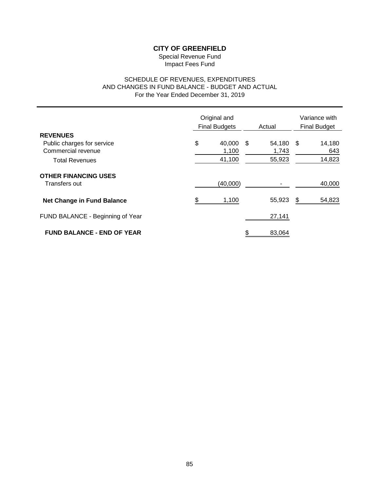Special Revenue Fund Impact Fees Fund

|                                   | Original and<br><b>Final Budgets</b> |    | Actual | Variance with<br><b>Final Budget</b> |        |  |
|-----------------------------------|--------------------------------------|----|--------|--------------------------------------|--------|--|
| <b>REVENUES</b>                   |                                      |    |        |                                      |        |  |
| Public charges for service        | \$<br>40,000                         | -S | 54,180 | - \$                                 | 14,180 |  |
| Commercial revenue                | 1,100                                |    | 1,743  |                                      | 643    |  |
| <b>Total Revenues</b>             | 41,100                               |    | 55,923 |                                      | 14,823 |  |
| <b>OTHER FINANCING USES</b>       |                                      |    |        |                                      |        |  |
| Transfers out                     | (40,000)                             |    |        |                                      | 40,000 |  |
| <b>Net Change in Fund Balance</b> | \$<br>1,100                          |    | 55,923 | \$                                   | 54,823 |  |
| FUND BALANCE - Beginning of Year  |                                      |    | 27,141 |                                      |        |  |
| <b>FUND BALANCE - END OF YEAR</b> |                                      |    | 83,064 |                                      |        |  |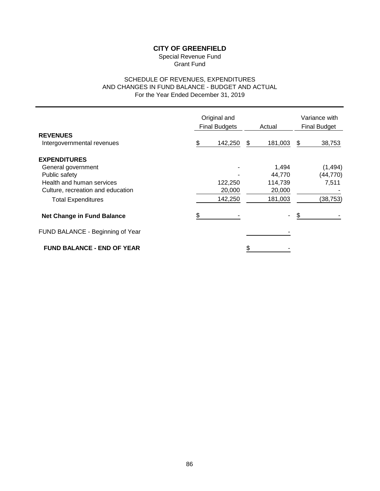Special Revenue Fund Grant Fund

|                                   | Original and<br><b>Final Budgets</b> | Actual  | Variance with<br><b>Final Budget</b> |         |    |           |
|-----------------------------------|--------------------------------------|---------|--------------------------------------|---------|----|-----------|
| <b>REVENUES</b>                   |                                      |         |                                      |         |    |           |
| Intergovernmental revenues        |                                      | 142,250 | S                                    | 181,003 | \$ | 38,753    |
| <b>EXPENDITURES</b>               |                                      |         |                                      |         |    |           |
| General government                |                                      |         |                                      | 1,494   |    | (1, 494)  |
| Public safety                     |                                      |         |                                      | 44,770  |    | (44, 770) |
| Health and human services         |                                      | 122,250 |                                      | 114,739 |    | 7,511     |
| Culture, recreation and education |                                      | 20,000  |                                      | 20,000  |    |           |
| <b>Total Expenditures</b>         |                                      | 142,250 |                                      | 181,003 |    | (38, 753) |
| <b>Net Change in Fund Balance</b> |                                      |         |                                      |         |    |           |
| FUND BALANCE - Beginning of Year  |                                      |         |                                      |         |    |           |
| <b>FUND BALANCE - END OF YEAR</b> |                                      |         |                                      |         |    |           |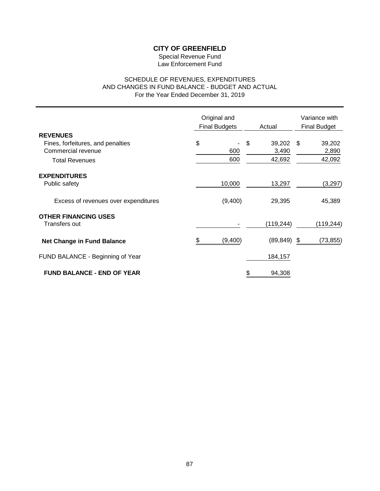Special Revenue Fund Law Enforcement Fund

|                                                                                                     | Original and<br><b>Final Budgets</b> | Actual |                                   | Variance with<br><b>Final Budget</b> |  |  |
|-----------------------------------------------------------------------------------------------------|--------------------------------------|--------|-----------------------------------|--------------------------------------|--|--|
| <b>REVENUES</b><br>Fines, forfeitures, and penalties<br>Commercial revenue<br><b>Total Revenues</b> | \$<br>-<br>600<br>600                | \$     | 39,202<br>- \$<br>3,490<br>42,692 | 39,202<br>2,890<br>42,092            |  |  |
| <b>EXPENDITURES</b><br>Public safety                                                                | 10,000                               |        | 13,297                            | (3,297)                              |  |  |
| Excess of revenues over expenditures                                                                | (9,400)                              |        | 29,395                            | 45,389                               |  |  |
| <b>OTHER FINANCING USES</b><br>Transfers out                                                        |                                      |        | (119, 244)                        | (119,244)                            |  |  |
| <b>Net Change in Fund Balance</b>                                                                   | (9,400)                              |        | (89, 849)<br>\$                   | (73, 855)                            |  |  |
| FUND BALANCE - Beginning of Year                                                                    |                                      |        | 184,157                           |                                      |  |  |
| <b>FUND BALANCE - END OF YEAR</b>                                                                   |                                      | \$     | 94,308                            |                                      |  |  |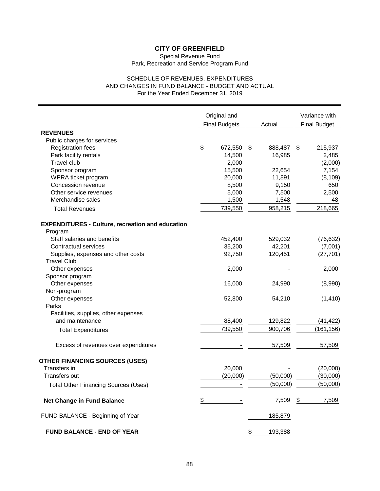Special Revenue Fund Park, Recreation and Service Program Fund

|                                                                    | Original and<br><b>Final Budgets</b><br>Actual |    |          | Variance with<br><b>Final Budget</b> |            |
|--------------------------------------------------------------------|------------------------------------------------|----|----------|--------------------------------------|------------|
| <b>REVENUES</b>                                                    |                                                |    |          |                                      |            |
| Public charges for services                                        |                                                |    |          |                                      |            |
| <b>Registration fees</b>                                           | \$<br>672,550                                  | \$ | 888,487  | \$                                   | 215,937    |
| Park facility rentals                                              | 14,500                                         |    | 16,985   |                                      | 2,485      |
| Travel club                                                        | 2,000                                          |    |          |                                      | (2,000)    |
| Sponsor program                                                    | 15,500                                         |    | 22,654   |                                      | 7,154      |
| WPRA ticket program                                                | 20,000                                         |    | 11,891   |                                      | (8, 109)   |
| Concession revenue                                                 | 8,500                                          |    | 9,150    |                                      | 650        |
| Other service revenues                                             | 5,000                                          |    | 7,500    |                                      | 2,500      |
| Merchandise sales                                                  | 1,500                                          |    | 1,548    |                                      | 48         |
| <b>Total Revenues</b>                                              | 739,550                                        |    | 958,215  |                                      | 218,665    |
|                                                                    |                                                |    |          |                                      |            |
| <b>EXPENDITURES - Culture, recreation and education</b><br>Program |                                                |    |          |                                      |            |
| Staff salaries and benefits                                        | 452,400                                        |    | 529,032  |                                      | (76, 632)  |
| <b>Contractual services</b>                                        | 35,200                                         |    | 42,201   |                                      | (7,001)    |
| Supplies, expenses and other costs                                 | 92,750                                         |    | 120,451  |                                      | (27, 701)  |
| <b>Travel Club</b>                                                 |                                                |    |          |                                      |            |
| Other expenses                                                     | 2,000                                          |    |          |                                      | 2,000      |
| Sponsor program                                                    |                                                |    |          |                                      |            |
| Other expenses                                                     | 16,000                                         |    | 24,990   |                                      | (8,990)    |
| Non-program                                                        |                                                |    |          |                                      |            |
| Other expenses                                                     | 52,800                                         |    | 54,210   |                                      | (1, 410)   |
| Parks                                                              |                                                |    |          |                                      |            |
| Facilities, supplies, other expenses                               |                                                |    |          |                                      |            |
| and maintenance                                                    | 88,400                                         |    | 129,822  |                                      | (41, 422)  |
| <b>Total Expenditures</b>                                          | 739,550                                        |    | 900,706  |                                      | (161, 156) |
|                                                                    |                                                |    |          |                                      |            |
| Excess of revenues over expenditures                               |                                                |    | 57,509   |                                      | 57,509     |
|                                                                    |                                                |    |          |                                      |            |
| <b>OTHER FINANCING SOURCES (USES)</b>                              |                                                |    |          |                                      |            |
| Transfers in                                                       | 20,000                                         |    |          |                                      | (20,000)   |
| Transfers out                                                      | (20,000)                                       |    | (50,000) |                                      | (30,000)   |
| <b>Total Other Financing Sources (Uses)</b>                        |                                                |    | (50,000) |                                      | (50,000)   |
| <b>Net Change in Fund Balance</b>                                  | \$                                             |    | 7,509    | \$                                   | 7,509      |
| FUND BALANCE - Beginning of Year                                   |                                                |    | 185,879  |                                      |            |
| <b>FUND BALANCE - END OF YEAR</b>                                  |                                                | \$ | 193,388  |                                      |            |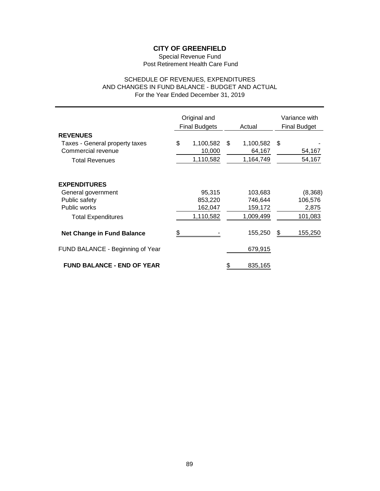Special Revenue Fund Post Retirement Health Care Fund

|                                   | Original and<br><b>Final Budgets</b> |    |           | Variance with<br><b>Final Budget</b> |         |
|-----------------------------------|--------------------------------------|----|-----------|--------------------------------------|---------|
| <b>REVENUES</b>                   |                                      |    |           |                                      |         |
| Taxes - General property taxes    | \$<br>1,100,582                      | S. | 1,100,582 | - \$                                 |         |
| Commercial revenue                | 10,000                               |    | 64,167    |                                      | 54,167  |
| <b>Total Revenues</b>             | 1,110,582                            |    | 1,164,749 |                                      | 54,167  |
| <b>EXPENDITURES</b>               |                                      |    |           |                                      |         |
| General government                | 95,315                               |    | 103,683   |                                      | (8,368) |
| Public safety                     | 853,220                              |    | 746,644   |                                      | 106,576 |
| Public works                      | 162,047                              |    | 159,172   |                                      | 2,875   |
| <b>Total Expenditures</b>         | 1,110,582                            |    | 1,009,499 |                                      | 101,083 |
| Net Change in Fund Balance        |                                      |    | 155,250   | \$                                   | 155,250 |
| FUND BALANCE - Beginning of Year  |                                      |    | 679,915   |                                      |         |
| <b>FUND BALANCE - END OF YEAR</b> |                                      | \$ | 835,165   |                                      |         |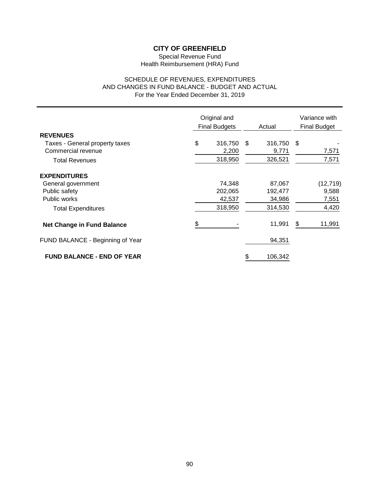Special Revenue Fund Health Reimbursement (HRA) Fund

|                                   | Original and<br><b>Final Budgets</b> | Actual         |              |  |  |  |
|-----------------------------------|--------------------------------------|----------------|--------------|--|--|--|
| <b>REVENUES</b>                   |                                      |                |              |  |  |  |
| Taxes - General property taxes    | \$<br>316,750                        | \$.<br>316,750 | \$           |  |  |  |
| Commercial revenue                | 2,200                                | 9,771          | 7,571        |  |  |  |
| <b>Total Revenues</b>             | 318,950                              | 326,521        | 7,571        |  |  |  |
| <b>EXPENDITURES</b>               |                                      |                |              |  |  |  |
| General government                | 74,348                               | 87,067         | (12, 719)    |  |  |  |
| Public safety                     | 202,065                              | 192,477        | 9,588        |  |  |  |
| Public works                      | 42,537                               | 34,986         | 7,551        |  |  |  |
| <b>Total Expenditures</b>         | 318,950                              | 314,530        | 4,420        |  |  |  |
| <b>Net Change in Fund Balance</b> | \$                                   | 11,991         | \$<br>11,991 |  |  |  |
| FUND BALANCE - Beginning of Year  |                                      | 94,351         |              |  |  |  |
| <b>FUND BALANCE - END OF YEAR</b> |                                      | \$<br>106,342  |              |  |  |  |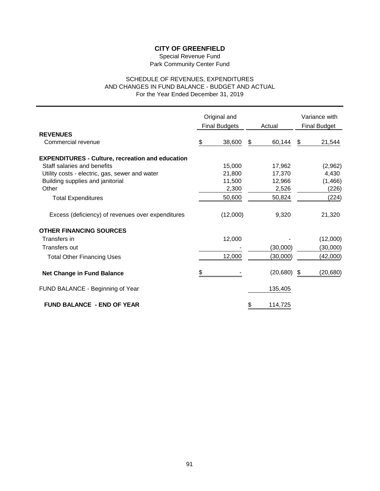Special Revenue Fund Park Community Center Fund

| <b>REVENUES</b>                                         |    | Original and<br><b>Final Budgets</b> | Actual        | Variance with<br><b>Final Budget</b> |           |
|---------------------------------------------------------|----|--------------------------------------|---------------|--------------------------------------|-----------|
| Commercial revenue                                      | \$ | 38,600                               | \$<br>60,144  | \$                                   | 21,544    |
| <b>EXPENDITURES - Culture, recreation and education</b> |    |                                      |               |                                      |           |
| Staff salaries and benefits                             |    | 15,000                               | 17,962        |                                      | (2,962)   |
| Utility costs - electric, gas, sewer and water          |    | 21,800                               | 17,370        |                                      | 4,430     |
| Building supplies and janitorial                        |    | 11,500                               | 12,966        |                                      | (1,466)   |
| Other                                                   |    | 2,300                                | 2,526         |                                      | (226)     |
| <b>Total Expenditures</b>                               |    | 50,600                               | 50,824        |                                      | (224)     |
| Excess (deficiency) of revenues over expenditures       |    | (12,000)                             | 9,320         |                                      | 21,320    |
| <b>OTHER FINANCING SOURCES</b>                          |    |                                      |               |                                      |           |
| Transfers in                                            |    | 12,000                               |               |                                      | (12,000)  |
| <b>Transfers out</b>                                    |    |                                      | (30,000)      |                                      | (30,000)  |
| <b>Total Other Financing Uses</b>                       |    | 12,000                               | (30,000)      |                                      | (42,000)  |
| <b>Net Change in Fund Balance</b>                       | \$ |                                      | (20, 680)     | \$                                   | (20, 680) |
| FUND BALANCE - Beginning of Year                        |    |                                      | 135,405       |                                      |           |
| <b>FUND BALANCE - END OF YEAR</b>                       |    |                                      | \$<br>114,725 |                                      |           |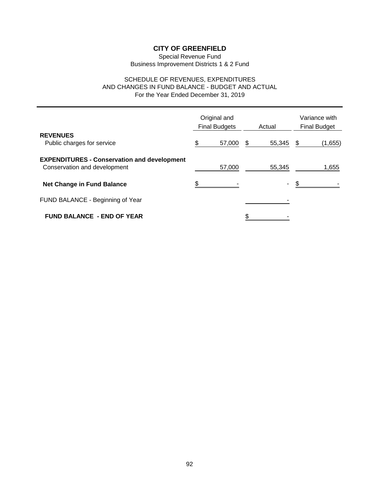Special Revenue Fund Business Improvement Districts 1 & 2 Fund

|                                                                                    | Original and<br><b>Final Budgets</b> |   | Actual | Variance with<br><b>Final Budget</b> |
|------------------------------------------------------------------------------------|--------------------------------------|---|--------|--------------------------------------|
| <b>REVENUES</b><br>Public charges for service                                      | \$<br>57,000                         | S | 55,345 | \$<br>(1,655)                        |
| <b>EXPENDITURES - Conservation and development</b><br>Conservation and development | 57,000                               |   | 55,345 | 1,655                                |
| <b>Net Change in Fund Balance</b>                                                  |                                      |   | ٠      |                                      |
| FUND BALANCE - Beginning of Year                                                   |                                      |   |        |                                      |
| <b>FUND BALANCE - END OF YEAR</b>                                                  |                                      |   |        |                                      |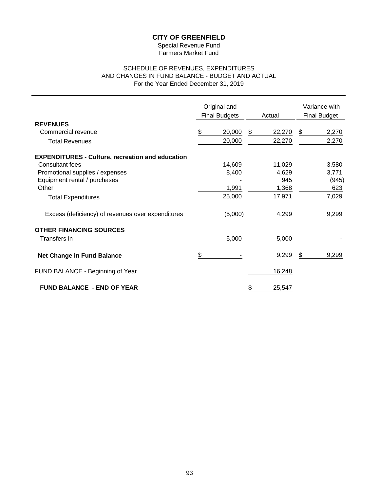Special Revenue Fund Farmers Market Fund

|                                                         | Original and         | Variance with |              |    |                     |  |
|---------------------------------------------------------|----------------------|---------------|--------------|----|---------------------|--|
|                                                         | <b>Final Budgets</b> |               | Actual       |    | <b>Final Budget</b> |  |
| <b>REVENUES</b>                                         |                      |               |              |    |                     |  |
| Commercial revenue                                      | \$                   | 20,000        | \$<br>22,270 | \$ | 2,270               |  |
| <b>Total Revenues</b>                                   |                      | 20,000        | 22,270       |    | 2,270               |  |
| <b>EXPENDITURES - Culture, recreation and education</b> |                      |               |              |    |                     |  |
| Consultant fees                                         |                      | 14,609        | 11,029       |    | 3,580               |  |
| Promotional supplies / expenses                         |                      | 8,400         | 4,629        |    | 3,771               |  |
| Equipment rental / purchases                            |                      |               | 945          |    | (945)               |  |
| Other                                                   |                      | 1,991         | 1,368        |    | 623                 |  |
| <b>Total Expenditures</b>                               |                      | 25,000        | 17,971       |    | 7,029               |  |
| Excess (deficiency) of revenues over expenditures       |                      | (5,000)       | 4,299        |    | 9,299               |  |
| <b>OTHER FINANCING SOURCES</b>                          |                      |               |              |    |                     |  |
| Transfers in                                            |                      | 5,000         | 5,000        |    |                     |  |
| <b>Net Change in Fund Balance</b>                       | \$                   |               | 9,299        | \$ | 9,299               |  |
| FUND BALANCE - Beginning of Year                        |                      |               | 16,248       |    |                     |  |
| <b>FUND BALANCE - END OF YEAR</b>                       |                      |               | \$<br>25,547 |    |                     |  |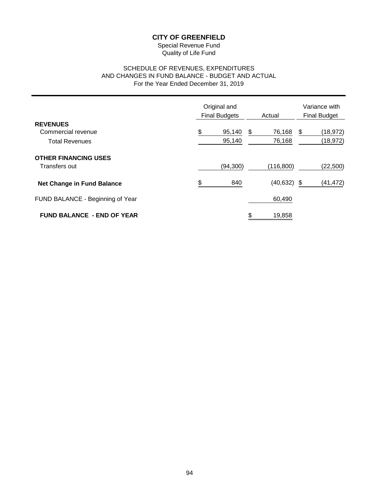Special Revenue Fund Quality of Life Fund

|                                                                | Original and<br><b>Final Budgets</b> | Actual                 | Variance with<br><b>Final Budget</b> |                       |  |
|----------------------------------------------------------------|--------------------------------------|------------------------|--------------------------------------|-----------------------|--|
| <b>REVENUES</b><br>Commercial revenue<br><b>Total Revenues</b> | \$<br>95,140<br>95,140               | \$<br>76,168<br>76,168 | \$                                   | (18,972)<br>(18, 972) |  |
| <b>OTHER FINANCING USES</b><br>Transfers out                   | (94, 300)                            | (116, 800)             |                                      | (22, 500)             |  |
| <b>Net Change in Fund Balance</b>                              | \$<br>840                            | (40, 632)              | \$                                   | (41, 472)             |  |
| FUND BALANCE - Beginning of Year                               |                                      | 60,490                 |                                      |                       |  |
| <b>FUND BALANCE - END OF YEAR</b>                              |                                      | \$<br>19,858           |                                      |                       |  |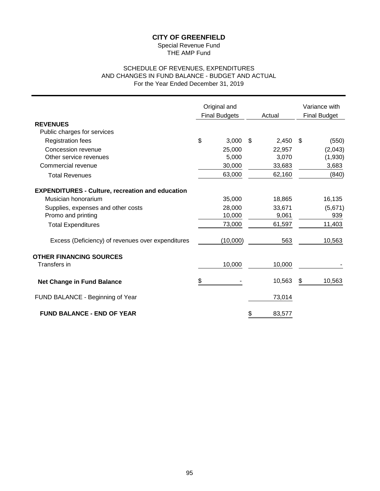#### Special Revenue Fund THE AMP Fund

|                                                         | Original and         |          |    | Variance with |    |                     |
|---------------------------------------------------------|----------------------|----------|----|---------------|----|---------------------|
|                                                         | <b>Final Budgets</b> |          |    | Actual        |    | <b>Final Budget</b> |
| <b>REVENUES</b><br>Public charges for services          |                      |          |    |               |    |                     |
| <b>Registration fees</b>                                | \$                   | 3,000    | \$ | 2,450         | \$ | (550)               |
| Concession revenue                                      |                      | 25,000   |    | 22,957        |    | (2,043)             |
| Other service revenues                                  |                      | 5,000    |    | 3,070         |    | (1,930)             |
| Commercial revenue                                      |                      | 30,000   |    | 33,683        |    | 3,683               |
| <b>Total Revenues</b>                                   |                      | 63,000   |    | 62,160        |    | (840)               |
| <b>EXPENDITURES - Culture, recreation and education</b> |                      |          |    |               |    |                     |
| Musician honorarium                                     |                      | 35,000   |    | 18,865        |    | 16,135              |
| Supplies, expenses and other costs                      |                      | 28,000   |    | 33,671        |    | (5,671)             |
| Promo and printing                                      |                      | 10,000   |    | 9,061         |    | 939                 |
| <b>Total Expenditures</b>                               |                      | 73,000   |    | 61,597        |    | 11,403              |
| Excess (Deficiency) of revenues over expenditures       |                      | (10,000) |    | 563           |    | 10,563              |
| <b>OTHER FINANCING SOURCES</b>                          |                      |          |    |               |    |                     |
| Transfers in                                            |                      | 10,000   |    | 10,000        |    |                     |
| <b>Net Change in Fund Balance</b>                       | \$                   |          |    | 10,563        | \$ | 10,563              |
| FUND BALANCE - Beginning of Year                        |                      |          |    | 73,014        |    |                     |
| <b>FUND BALANCE - END OF YEAR</b>                       |                      |          | \$ | 83,577        |    |                     |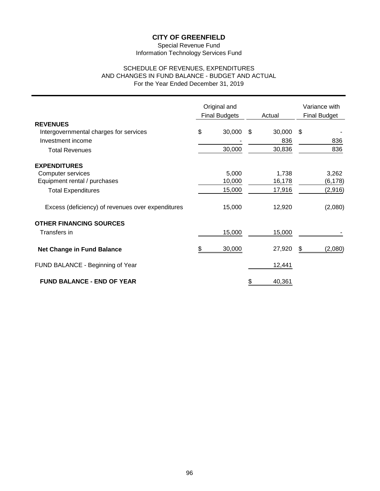Special Revenue Fund Information Technology Services Fund

|                                                   | Original and         |    | Variance with |    |                     |  |
|---------------------------------------------------|----------------------|----|---------------|----|---------------------|--|
|                                                   | <b>Final Budgets</b> |    | Actual        |    | <b>Final Budget</b> |  |
| <b>REVENUES</b>                                   |                      |    |               |    |                     |  |
| Intergovernmental charges for services            | \$<br>30,000         | \$ | 30,000        | \$ |                     |  |
| Investment income                                 |                      |    | 836           |    | 836                 |  |
|                                                   | 30,000               |    | 30,836        |    |                     |  |
| <b>Total Revenues</b>                             |                      |    |               |    | 836                 |  |
| <b>EXPENDITURES</b>                               |                      |    |               |    |                     |  |
| Computer services                                 | 5,000                |    | 1,738         |    | 3,262               |  |
| Equipment rental / purchases                      | 10,000               |    | 16,178        |    | (6,178)             |  |
| <b>Total Expenditures</b>                         | 15,000               |    | 17,916        |    | (2,916)             |  |
|                                                   |                      |    |               |    |                     |  |
| Excess (deficiency) of revenues over expenditures | 15,000               |    | 12,920        |    | (2,080)             |  |
| <b>OTHER FINANCING SOURCES</b>                    |                      |    |               |    |                     |  |
| Transfers in                                      | 15,000               |    | 15,000        |    |                     |  |
|                                                   |                      |    |               |    |                     |  |
| <b>Net Change in Fund Balance</b>                 | \$<br>30,000         |    | 27,920        | \$ | (2,080)             |  |
| FUND BALANCE - Beginning of Year                  |                      |    | 12,441        |    |                     |  |
|                                                   |                      |    |               |    |                     |  |
| <b>FUND BALANCE - END OF YEAR</b>                 |                      | \$ | 40,361        |    |                     |  |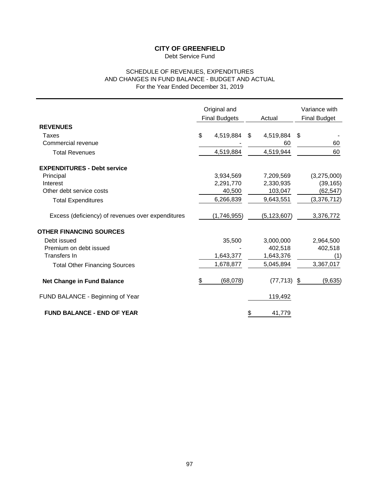Debt Service Fund

|                                                   | Original and         |                 | Variance with<br><b>Final Budget</b> |             |  |
|---------------------------------------------------|----------------------|-----------------|--------------------------------------|-------------|--|
|                                                   | <b>Final Budgets</b> | Actual          |                                      |             |  |
| <b>REVENUES</b>                                   |                      |                 |                                      |             |  |
| <b>Taxes</b>                                      | \$<br>4,519,884      | \$<br>4,519,884 | \$                                   |             |  |
| Commercial revenue                                |                      | 60              |                                      | 60          |  |
| <b>Total Revenues</b>                             | 4,519,884            | 4,519,944       |                                      | 60          |  |
| <b>EXPENDITURES - Debt service</b>                |                      |                 |                                      |             |  |
| Principal                                         | 3,934,569            | 7,209,569       |                                      | (3,275,000) |  |
| Interest                                          | 2,291,770            | 2,330,935       |                                      | (39, 165)   |  |
| Other debt service costs                          | 40,500               | 103,047         |                                      | (62, 547)   |  |
| <b>Total Expenditures</b>                         | 6,266,839            | 9,643,551       |                                      | (3,376,712) |  |
| Excess (deficiency) of revenues over expenditures | (1,746,955)          | (5, 123, 607)   |                                      | 3,376,772   |  |
| <b>OTHER FINANCING SOURCES</b>                    |                      |                 |                                      |             |  |
| Debt issued                                       | 35,500               | 3,000,000       |                                      | 2,964,500   |  |
| Premium on debt issued                            |                      | 402,518         |                                      | 402,518     |  |
| Transfers In                                      | 1,643,377            | 1,643,376       |                                      | (1)         |  |
| <b>Total Other Financing Sources</b>              | 1,678,877            | 5,045,894       |                                      | 3,367,017   |  |
| <b>Net Change in Fund Balance</b>                 | \$<br>(68,078)       | (77, 713)       | \$                                   | (9,635)     |  |
| FUND BALANCE - Beginning of Year                  |                      | 119,492         |                                      |             |  |
| <b>FUND BALANCE - END OF YEAR</b>                 |                      | \$<br>41,779    |                                      |             |  |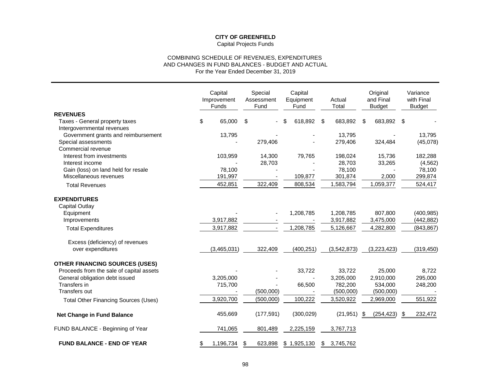Capital Projects Funds

|                                                               | Capital<br>Improvement<br>Funds |               | Special<br>Assessment<br>Fund | Capital<br>Equipment<br>Fund |             |    |                   |                  |               |  |  |  |  |  |  | Actual<br>Total |  | Original<br>and Final<br><b>Budget</b> | Variance<br>with Final<br><b>Budget</b> |
|---------------------------------------------------------------|---------------------------------|---------------|-------------------------------|------------------------------|-------------|----|-------------------|------------------|---------------|--|--|--|--|--|--|-----------------|--|----------------------------------------|-----------------------------------------|
| <b>REVENUES</b>                                               |                                 |               |                               |                              |             |    |                   |                  |               |  |  |  |  |  |  |                 |  |                                        |                                         |
| Taxes - General property taxes                                | \$<br>65,000                    | $\frac{1}{2}$ |                               | \$                           | 618,892     | \$ | 683,892           | \$<br>683,892 \$ |               |  |  |  |  |  |  |                 |  |                                        |                                         |
| Intergovernmental revenues                                    |                                 |               |                               |                              |             |    |                   |                  |               |  |  |  |  |  |  |                 |  |                                        |                                         |
| Government grants and reimbursement                           | 13,795                          |               |                               |                              |             |    | 13,795            |                  | 13,795        |  |  |  |  |  |  |                 |  |                                        |                                         |
| Special assessments                                           |                                 |               | 279,406                       |                              |             |    | 279,406           | 324,484          | (45,078)      |  |  |  |  |  |  |                 |  |                                        |                                         |
| Commercial revenue                                            |                                 |               |                               |                              |             |    |                   |                  |               |  |  |  |  |  |  |                 |  |                                        |                                         |
| Interest from investments                                     | 103,959                         |               | 14,300                        |                              | 79,765      |    | 198,024           | 15,736           | 182,288       |  |  |  |  |  |  |                 |  |                                        |                                         |
| Interest income                                               |                                 |               | 28,703                        |                              |             |    | 28,703            | 33,265           | (4, 562)      |  |  |  |  |  |  |                 |  |                                        |                                         |
| Gain (loss) on land held for resale<br>Miscellaneous revenues | 78,100                          |               |                               |                              | 109,877     |    | 78,100<br>301,874 | 2,000            | 78,100        |  |  |  |  |  |  |                 |  |                                        |                                         |
|                                                               | 191,997                         |               |                               |                              |             |    |                   |                  | 299,874       |  |  |  |  |  |  |                 |  |                                        |                                         |
| <b>Total Revenues</b>                                         | 452,851                         |               | 322,409                       |                              | 808,534     |    | 1,583,794         | 1,059,377        | 524,417       |  |  |  |  |  |  |                 |  |                                        |                                         |
| <b>EXPENDITURES</b>                                           |                                 |               |                               |                              |             |    |                   |                  |               |  |  |  |  |  |  |                 |  |                                        |                                         |
| <b>Capital Outlay</b>                                         |                                 |               |                               |                              |             |    |                   |                  |               |  |  |  |  |  |  |                 |  |                                        |                                         |
| Equipment                                                     |                                 |               |                               |                              | 1,208,785   |    | 1,208,785         | 807,800          | (400, 985)    |  |  |  |  |  |  |                 |  |                                        |                                         |
| Improvements                                                  | 3,917,882                       |               |                               |                              |             |    | 3,917,882         | 3,475,000        | (442, 882)    |  |  |  |  |  |  |                 |  |                                        |                                         |
| <b>Total Expenditures</b>                                     | 3,917,882                       |               |                               |                              | 1,208,785   |    | 5,126,667         | 4,282,800        | (843, 867)    |  |  |  |  |  |  |                 |  |                                        |                                         |
| Excess (deficiency) of revenues                               |                                 |               |                               |                              |             |    |                   |                  |               |  |  |  |  |  |  |                 |  |                                        |                                         |
| over expenditures                                             | (3,465,031)                     |               | 322,409                       |                              | (400, 251)  |    | (3,542,873)       | (3,223,423)      | (319, 450)    |  |  |  |  |  |  |                 |  |                                        |                                         |
| <b>OTHER FINANCING SOURCES (USES)</b>                         |                                 |               |                               |                              |             |    |                   |                  |               |  |  |  |  |  |  |                 |  |                                        |                                         |
| Proceeds from the sale of capital assets                      |                                 |               |                               |                              | 33,722      |    | 33,722            | 25,000           | 8,722         |  |  |  |  |  |  |                 |  |                                        |                                         |
| General obligation debt issued                                | 3,205,000                       |               |                               |                              |             |    | 3,205,000         | 2,910,000        | 295,000       |  |  |  |  |  |  |                 |  |                                        |                                         |
| Transfers in                                                  | 715,700                         |               |                               |                              | 66,500      |    | 782,200           | 534,000          | 248,200       |  |  |  |  |  |  |                 |  |                                        |                                         |
| <b>Transfers out</b>                                          |                                 |               | (500,000)                     |                              |             |    | (500,000)         | (500,000)        |               |  |  |  |  |  |  |                 |  |                                        |                                         |
| <b>Total Other Financing Sources (Uses)</b>                   | 3,920,700                       |               | (500,000)                     |                              | 100,222     |    | 3,520,922         | 2,969,000        | 551,922       |  |  |  |  |  |  |                 |  |                                        |                                         |
| <b>Net Change in Fund Balance</b>                             | 455,669                         |               | (177, 591)                    |                              | (300, 029)  |    | (21, 951)         | \$<br>(254, 423) | \$<br>232,472 |  |  |  |  |  |  |                 |  |                                        |                                         |
| FUND BALANCE - Beginning of Year                              | 741,065                         |               | 801,489                       |                              | 2,225,159   |    | 3,767,713         |                  |               |  |  |  |  |  |  |                 |  |                                        |                                         |
| <b>FUND BALANCE - END OF YEAR</b>                             | \$<br>1,196,734                 | \$            | 623,898                       |                              | \$1,925,130 | S  | 3,745,762         |                  |               |  |  |  |  |  |  |                 |  |                                        |                                         |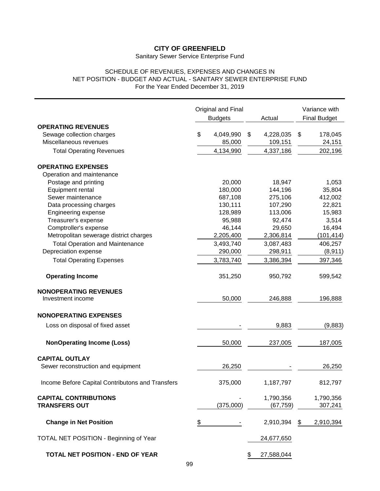### Sanitary Sewer Service Enterprise Fund

#### For the Year Ended December 31, 2019 SCHEDULE OF REVENUES, EXPENSES AND CHANGES IN NET POSITION - BUDGET AND ACTUAL - SANITARY SEWER ENTERPRISE FUND

|                                                  | Original and Final |    |            |                     | Variance with |  |
|--------------------------------------------------|--------------------|----|------------|---------------------|---------------|--|
|                                                  | <b>Budgets</b>     |    | Actual     | <b>Final Budget</b> |               |  |
| <b>OPERATING REVENUES</b>                        |                    |    |            |                     |               |  |
| Sewage collection charges                        | \$<br>4,049,990    | \$ | 4,228,035  | \$                  | 178,045       |  |
| Miscellaneous revenues                           | 85,000             |    | 109,151    |                     | 24,151        |  |
| <b>Total Operating Revenues</b>                  | 4,134,990          |    | 4,337,186  |                     | 202,196       |  |
| <b>OPERATING EXPENSES</b>                        |                    |    |            |                     |               |  |
| Operation and maintenance                        |                    |    |            |                     |               |  |
| Postage and printing                             | 20,000             |    | 18,947     |                     | 1,053         |  |
| Equipment rental                                 | 180,000            |    | 144,196    |                     | 35,804        |  |
| Sewer maintenance                                | 687,108            |    | 275,106    |                     | 412,002       |  |
| Data processing charges                          | 130,111            |    | 107,290    |                     | 22,821        |  |
| Engineering expense                              | 128,989            |    | 113,006    |                     | 15,983        |  |
| Treasurer's expense                              | 95,988             |    | 92,474     |                     | 3,514         |  |
| Comptroller's expense                            | 46,144             |    | 29,650     |                     | 16,494        |  |
| Metropolitan sewerage district charges           | 2,205,400          |    | 2,306,814  |                     | (101, 414)    |  |
| <b>Total Operation and Maintenance</b>           | 3,493,740          |    | 3,087,483  |                     | 406,257       |  |
| Depreciation expense                             | 290,000            |    | 298,911    |                     | (8,911)       |  |
| <b>Total Operating Expenses</b>                  | 3,783,740          |    | 3,386,394  |                     | 397,346       |  |
| <b>Operating Income</b>                          | 351,250            |    | 950,792    |                     | 599,542       |  |
| <b>NONOPERATING REVENUES</b>                     |                    |    |            |                     |               |  |
| Investment income                                | 50,000             |    | 246,888    |                     | 196,888       |  |
| <b>NONOPERATING EXPENSES</b>                     |                    |    |            |                     |               |  |
| Loss on disposal of fixed asset                  |                    |    | 9,883      |                     | (9,883)       |  |
| <b>NonOperating Income (Loss)</b>                | 50,000             |    | 237,005    |                     | 187,005       |  |
| <b>CAPITAL OUTLAY</b>                            |                    |    |            |                     |               |  |
| Sewer reconstruction and equipment               | 26,250             |    |            |                     | 26,250        |  |
| Income Before Capital Contributons and Transfers | 375,000            |    | 1,187,797  |                     | 812,797       |  |
| <b>CAPITAL CONTRIBUTIONS</b>                     |                    |    | 1,790,356  |                     | 1,790,356     |  |
| <b>TRANSFERS OUT</b>                             | (375,000)          |    | (67, 759)  |                     | 307,241       |  |
| <b>Change in Net Position</b>                    | \$                 |    | 2,910,394  | \$                  | 2,910,394     |  |
| TOTAL NET POSITION - Beginning of Year           |                    |    | 24,677,650 |                     |               |  |
| <b>TOTAL NET POSITION - END OF YEAR</b>          |                    |    | 27,588,044 |                     |               |  |